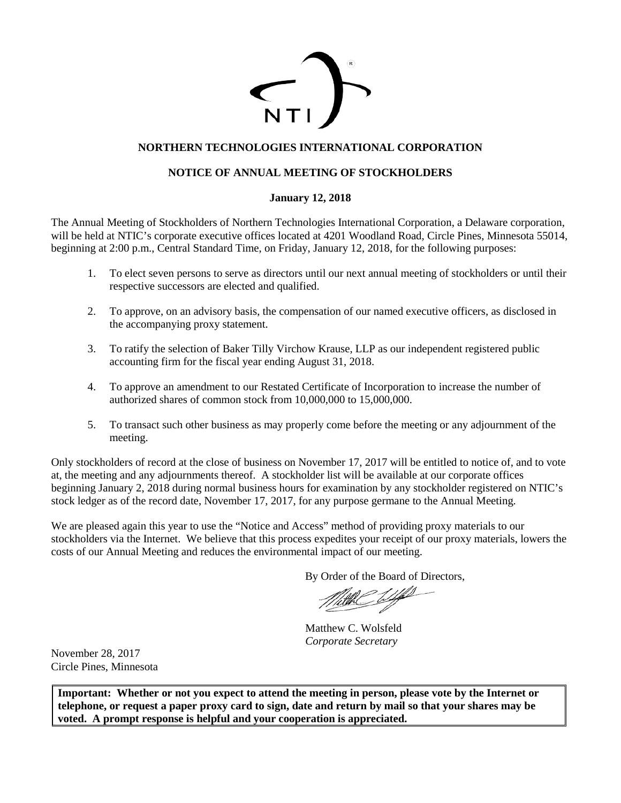

# **NORTHERN TECHNOLOGIES INTERNATIONAL CORPORATION**

# **NOTICE OF ANNUAL MEETING OF STOCKHOLDERS**

# **January 12, 2018**

The Annual Meeting of Stockholders of Northern Technologies International Corporation, a Delaware corporation, will be held at NTIC's corporate executive offices located at 4201 Woodland Road, Circle Pines, Minnesota 55014, beginning at 2:00 p.m., Central Standard Time, on Friday, January 12, 2018, for the following purposes:

- 1. To elect seven persons to serve as directors until our next annual meeting of stockholders or until their respective successors are elected and qualified.
- 2. To approve, on an advisory basis, the compensation of our named executive officers, as disclosed in the accompanying proxy statement.
- 3. To ratify the selection of Baker Tilly Virchow Krause, LLP as our independent registered public accounting firm for the fiscal year ending August 31, 2018.
- 4. To approve an amendment to our Restated Certificate of Incorporation to increase the number of authorized shares of common stock from 10,000,000 to 15,000,000.
- 5. To transact such other business as may properly come before the meeting or any adjournment of the meeting.

Only stockholders of record at the close of business on November 17, 2017 will be entitled to notice of, and to vote at, the meeting and any adjournments thereof. A stockholder list will be available at our corporate offices beginning January 2, 2018 during normal business hours for examination by any stockholder registered on NTIC's stock ledger as of the record date, November 17, 2017, for any purpose germane to the Annual Meeting.

We are pleased again this year to use the "Notice and Access" method of providing proxy materials to our stockholders via the Internet. We believe that this process expedites your receipt of our proxy materials, lowers the costs of our Annual Meeting and reduces the environmental impact of our meeting.

By Order of the Board of Directors,

Matthew C. Wolsfeld *Corporate Secretary*

November 28, 2017 Circle Pines, Minnesota

**Important: Whether or not you expect to attend the meeting in person, please vote by the Internet or telephone, or request a paper proxy card to sign, date and return by mail so that your shares may be voted. A prompt response is helpful and your cooperation is appreciated.**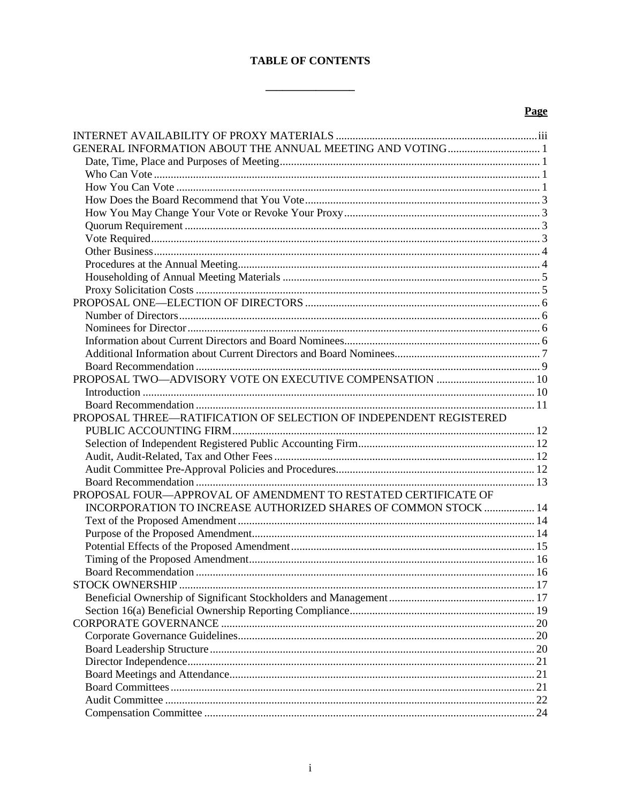# **TABLE OF CONTENTS**

l,

#### Page

| PROPOSAL THREE—RATIFICATION OF SELECTION OF INDEPENDENT REGISTERED |  |
|--------------------------------------------------------------------|--|
|                                                                    |  |
|                                                                    |  |
|                                                                    |  |
|                                                                    |  |
|                                                                    |  |
| PROPOSAL FOUR—APPROVAL OF AMENDMENT TO RESTATED CERTIFICATE OF     |  |
| INCORPORATION TO INCREASE AUTHORIZED SHARES OF COMMON STOCK  14    |  |
|                                                                    |  |
|                                                                    |  |
|                                                                    |  |
|                                                                    |  |
|                                                                    |  |
|                                                                    |  |
|                                                                    |  |
|                                                                    |  |
|                                                                    |  |
|                                                                    |  |
|                                                                    |  |
|                                                                    |  |
|                                                                    |  |
|                                                                    |  |
|                                                                    |  |
|                                                                    |  |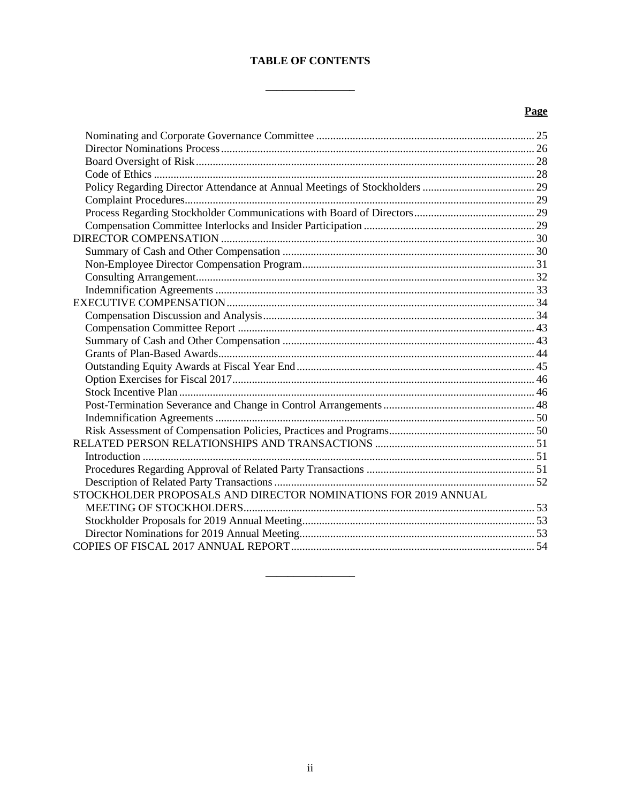# **TABLE OF CONTENTS**

L,

### Page

| STOCKHOLDER PROPOSALS AND DIRECTOR NOMINATIONS FOR 2019 ANNUAL |  |
|----------------------------------------------------------------|--|
|                                                                |  |
|                                                                |  |
|                                                                |  |
|                                                                |  |
|                                                                |  |

 $\overline{\phantom{a}}$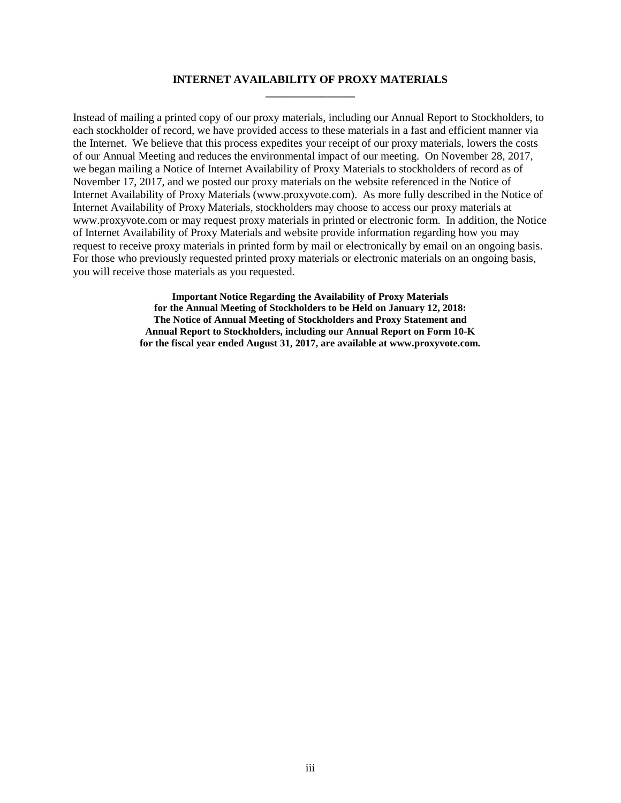#### **INTERNET AVAILABILITY OF PROXY MATERIALS \_\_\_\_\_\_\_\_\_\_\_\_\_\_\_\_**

<span id="page-3-0"></span>Instead of mailing a printed copy of our proxy materials, including our Annual Report to Stockholders, to each stockholder of record, we have provided access to these materials in a fast and efficient manner via the Internet. We believe that this process expedites your receipt of our proxy materials, lowers the costs of our Annual Meeting and reduces the environmental impact of our meeting. On November 28, 2017, we began mailing a Notice of Internet Availability of Proxy Materials to stockholders of record as of November 17, 2017, and we posted our proxy materials on the website referenced in the Notice of Internet Availability of Proxy Materials (www.proxyvote.com). As more fully described in the Notice of Internet Availability of Proxy Materials, stockholders may choose to access our proxy materials at www.proxyvote.com or may request proxy materials in printed or electronic form. In addition, the Notice of Internet Availability of Proxy Materials and website provide information regarding how you may request to receive proxy materials in printed form by mail or electronically by email on an ongoing basis. For those who previously requested printed proxy materials or electronic materials on an ongoing basis, you will receive those materials as you requested.

> **Important Notice Regarding the Availability of Proxy Materials for the Annual Meeting of Stockholders to be Held on January 12, 2018: The Notice of Annual Meeting of Stockholders and Proxy Statement and Annual Report to Stockholders, including our Annual Report on Form 10-K for the fiscal year ended August 31, 2017, are available at www.proxyvote.com.**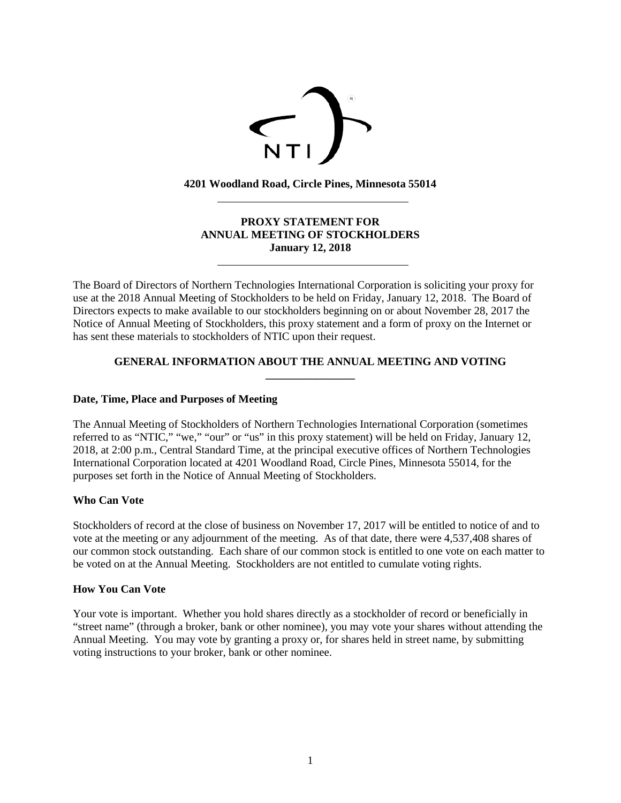

**4201 Woodland Road, Circle Pines, Minnesota 55014**

# **PROXY STATEMENT FOR ANNUAL MEETING OF STOCKHOLDERS January 12, 2018**

The Board of Directors of Northern Technologies International Corporation is soliciting your proxy for use at the 2018 Annual Meeting of Stockholders to be held on Friday, January 12, 2018. The Board of Directors expects to make available to our stockholders beginning on or about November 28, 2017 the Notice of Annual Meeting of Stockholders, this proxy statement and a form of proxy on the Internet or has sent these materials to stockholders of NTIC upon their request.

# **GENERAL INFORMATION ABOUT THE ANNUAL MEETING AND VOTING \_\_\_\_\_\_\_\_\_\_\_\_\_\_\_\_**

### <span id="page-4-1"></span><span id="page-4-0"></span>**Date, Time, Place and Purposes of Meeting**

The Annual Meeting of Stockholders of Northern Technologies International Corporation (sometimes referred to as "NTIC," "we," "our" or "us" in this proxy statement) will be held on Friday, January 12, 2018, at 2:00 p.m., Central Standard Time, at the principal executive offices of Northern Technologies International Corporation located at 4201 Woodland Road, Circle Pines, Minnesota 55014, for the purposes set forth in the Notice of Annual Meeting of Stockholders.

### <span id="page-4-2"></span>**Who Can Vote**

Stockholders of record at the close of business on November 17, 2017 will be entitled to notice of and to vote at the meeting or any adjournment of the meeting. As of that date, there were 4,537,408 shares of our common stock outstanding. Each share of our common stock is entitled to one vote on each matter to be voted on at the Annual Meeting. Stockholders are not entitled to cumulate voting rights.

#### <span id="page-4-3"></span>**How You Can Vote**

Your vote is important. Whether you hold shares directly as a stockholder of record or beneficially in "street name" (through a broker, bank or other nominee), you may vote your shares without attending the Annual Meeting. You may vote by granting a proxy or, for shares held in street name, by submitting voting instructions to your broker, bank or other nominee.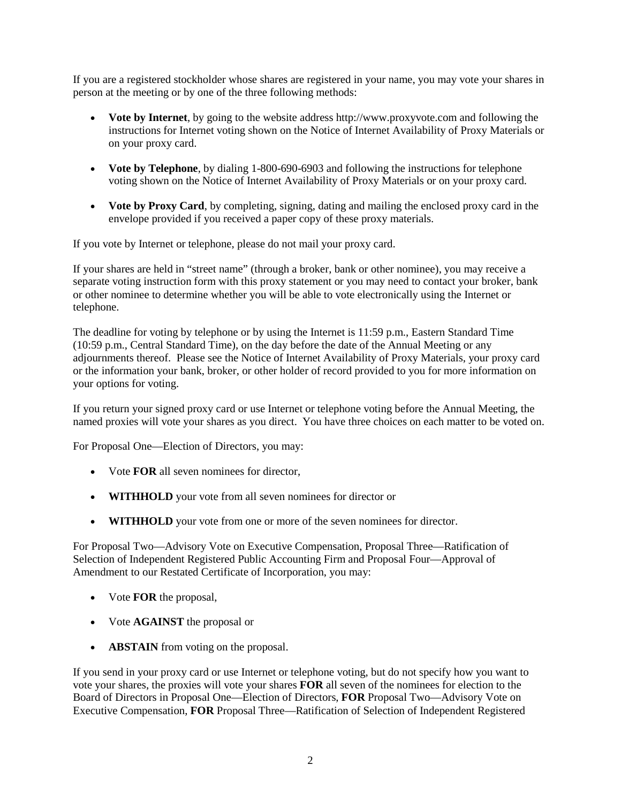If you are a registered stockholder whose shares are registered in your name, you may vote your shares in person at the meeting or by one of the three following methods:

- **Vote by Internet**, by going to the website address http://www.proxyvote.com and following the instructions for Internet voting shown on the Notice of Internet Availability of Proxy Materials or on your proxy card.
- **Vote by Telephone**, by dialing 1-800-690-6903 and following the instructions for telephone voting shown on the Notice of Internet Availability of Proxy Materials or on your proxy card.
- **Vote by Proxy Card**, by completing, signing, dating and mailing the enclosed proxy card in the envelope provided if you received a paper copy of these proxy materials.

If you vote by Internet or telephone, please do not mail your proxy card.

If your shares are held in "street name" (through a broker, bank or other nominee), you may receive a separate voting instruction form with this proxy statement or you may need to contact your broker, bank or other nominee to determine whether you will be able to vote electronically using the Internet or telephone.

The deadline for voting by telephone or by using the Internet is 11:59 p.m., Eastern Standard Time (10:59 p.m., Central Standard Time), on the day before the date of the Annual Meeting or any adjournments thereof. Please see the Notice of Internet Availability of Proxy Materials, your proxy card or the information your bank, broker, or other holder of record provided to you for more information on your options for voting.

If you return your signed proxy card or use Internet or telephone voting before the Annual Meeting, the named proxies will vote your shares as you direct. You have three choices on each matter to be voted on.

For Proposal One—Election of Directors, you may:

- Vote **FOR** all seven nominees for director,
- **WITHHOLD** your vote from all seven nominees for director or
- **WITHHOLD** your vote from one or more of the seven nominees for director.

For Proposal Two—Advisory Vote on Executive Compensation, Proposal Three—Ratification of Selection of Independent Registered Public Accounting Firm and Proposal Four—Approval of Amendment to our Restated Certificate of Incorporation, you may:

- Vote **FOR** the proposal,
- Vote **AGAINST** the proposal or
- **ABSTAIN** from voting on the proposal.

If you send in your proxy card or use Internet or telephone voting, but do not specify how you want to vote your shares, the proxies will vote your shares **FOR** all seven of the nominees for election to the Board of Directors in Proposal One—Election of Directors, **FOR** Proposal Two—Advisory Vote on Executive Compensation, **FOR** Proposal Three—Ratification of Selection of Independent Registered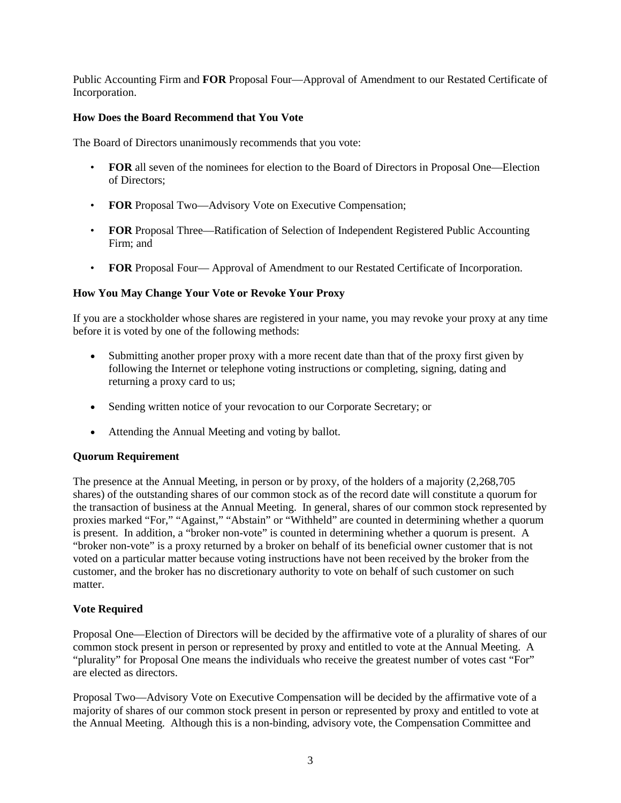Public Accounting Firm and **FOR** Proposal Four—Approval of Amendment to our Restated Certificate of Incorporation.

# <span id="page-6-0"></span>**How Does the Board Recommend that You Vote**

The Board of Directors unanimously recommends that you vote:

- **FOR** all seven of the nominees for election to the Board of Directors in Proposal One—Election of Directors;
- **FOR** Proposal Two—Advisory Vote on Executive Compensation;
- **FOR** Proposal Three—Ratification of Selection of Independent Registered Public Accounting Firm; and
- **FOR** Proposal Four— Approval of Amendment to our Restated Certificate of Incorporation.

# <span id="page-6-1"></span>**How You May Change Your Vote or Revoke Your Proxy**

If you are a stockholder whose shares are registered in your name, you may revoke your proxy at any time before it is voted by one of the following methods:

- Submitting another proper proxy with a more recent date than that of the proxy first given by following the Internet or telephone voting instructions or completing, signing, dating and returning a proxy card to us;
- Sending written notice of your revocation to our Corporate Secretary; or
- Attending the Annual Meeting and voting by ballot.

### <span id="page-6-2"></span>**Quorum Requirement**

The presence at the Annual Meeting, in person or by proxy, of the holders of a majority (2,268,705 shares) of the outstanding shares of our common stock as of the record date will constitute a quorum for the transaction of business at the Annual Meeting. In general, shares of our common stock represented by proxies marked "For," "Against," "Abstain" or "Withheld" are counted in determining whether a quorum is present. In addition, a "broker non-vote" is counted in determining whether a quorum is present. A "broker non-vote" is a proxy returned by a broker on behalf of its beneficial owner customer that is not voted on a particular matter because voting instructions have not been received by the broker from the customer, and the broker has no discretionary authority to vote on behalf of such customer on such matter.

### <span id="page-6-3"></span>**Vote Required**

Proposal One—Election of Directors will be decided by the affirmative vote of a plurality of shares of our common stock present in person or represented by proxy and entitled to vote at the Annual Meeting. A "plurality" for Proposal One means the individuals who receive the greatest number of votes cast "For" are elected as directors.

Proposal Two—Advisory Vote on Executive Compensation will be decided by the affirmative vote of a majority of shares of our common stock present in person or represented by proxy and entitled to vote at the Annual Meeting. Although this is a non-binding, advisory vote, the Compensation Committee and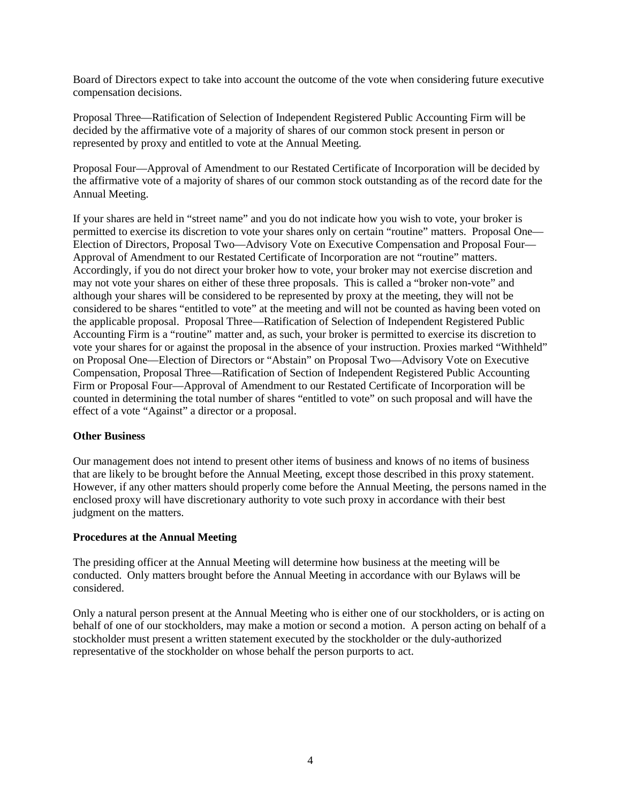Board of Directors expect to take into account the outcome of the vote when considering future executive compensation decisions.

Proposal Three—Ratification of Selection of Independent Registered Public Accounting Firm will be decided by the affirmative vote of a majority of shares of our common stock present in person or represented by proxy and entitled to vote at the Annual Meeting.

Proposal Four—Approval of Amendment to our Restated Certificate of Incorporation will be decided by the affirmative vote of a majority of shares of our common stock outstanding as of the record date for the Annual Meeting.

If your shares are held in "street name" and you do not indicate how you wish to vote, your broker is permitted to exercise its discretion to vote your shares only on certain "routine" matters. Proposal One— Election of Directors, Proposal Two—Advisory Vote on Executive Compensation and Proposal Four— Approval of Amendment to our Restated Certificate of Incorporation are not "routine" matters. Accordingly, if you do not direct your broker how to vote, your broker may not exercise discretion and may not vote your shares on either of these three proposals. This is called a "broker non-vote" and although your shares will be considered to be represented by proxy at the meeting, they will not be considered to be shares "entitled to vote" at the meeting and will not be counted as having been voted on the applicable proposal. Proposal Three—Ratification of Selection of Independent Registered Public Accounting Firm is a "routine" matter and, as such, your broker is permitted to exercise its discretion to vote your shares for or against the proposal in the absence of your instruction. Proxies marked "Withheld" on Proposal One—Election of Directors or "Abstain" on Proposal Two—Advisory Vote on Executive Compensation, Proposal Three—Ratification of Section of Independent Registered Public Accounting Firm or Proposal Four—Approval of Amendment to our Restated Certificate of Incorporation will be counted in determining the total number of shares "entitled to vote" on such proposal and will have the effect of a vote "Against" a director or a proposal.

### <span id="page-7-0"></span>**Other Business**

Our management does not intend to present other items of business and knows of no items of business that are likely to be brought before the Annual Meeting, except those described in this proxy statement. However, if any other matters should properly come before the Annual Meeting, the persons named in the enclosed proxy will have discretionary authority to vote such proxy in accordance with their best judgment on the matters.

#### <span id="page-7-1"></span>**Procedures at the Annual Meeting**

The presiding officer at the Annual Meeting will determine how business at the meeting will be conducted. Only matters brought before the Annual Meeting in accordance with our Bylaws will be considered.

Only a natural person present at the Annual Meeting who is either one of our stockholders, or is acting on behalf of one of our stockholders, may make a motion or second a motion. A person acting on behalf of a stockholder must present a written statement executed by the stockholder or the duly-authorized representative of the stockholder on whose behalf the person purports to act.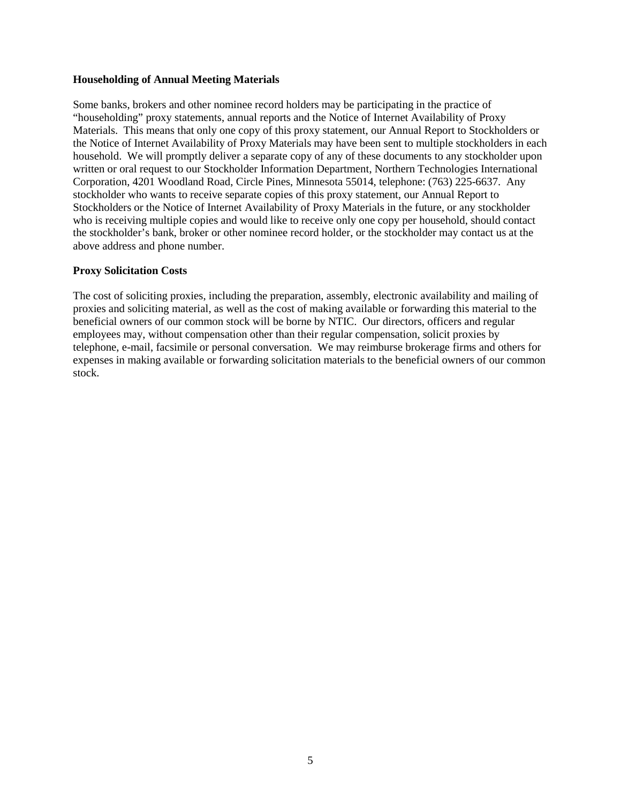#### <span id="page-8-0"></span>**Householding of Annual Meeting Materials**

Some banks, brokers and other nominee record holders may be participating in the practice of "householding" proxy statements, annual reports and the Notice of Internet Availability of Proxy Materials. This means that only one copy of this proxy statement, our Annual Report to Stockholders or the Notice of Internet Availability of Proxy Materials may have been sent to multiple stockholders in each household. We will promptly deliver a separate copy of any of these documents to any stockholder upon written or oral request to our Stockholder Information Department, Northern Technologies International Corporation, 4201 Woodland Road, Circle Pines, Minnesota 55014, telephone: (763) 225-6637. Any stockholder who wants to receive separate copies of this proxy statement, our Annual Report to Stockholders or the Notice of Internet Availability of Proxy Materials in the future, or any stockholder who is receiving multiple copies and would like to receive only one copy per household, should contact the stockholder's bank, broker or other nominee record holder, or the stockholder may contact us at the above address and phone number.

### <span id="page-8-1"></span>**Proxy Solicitation Costs**

The cost of soliciting proxies, including the preparation, assembly, electronic availability and mailing of proxies and soliciting material, as well as the cost of making available or forwarding this material to the beneficial owners of our common stock will be borne by NTIC. Our directors, officers and regular employees may, without compensation other than their regular compensation, solicit proxies by telephone, e-mail, facsimile or personal conversation. We may reimburse brokerage firms and others for expenses in making available or forwarding solicitation materials to the beneficial owners of our common stock.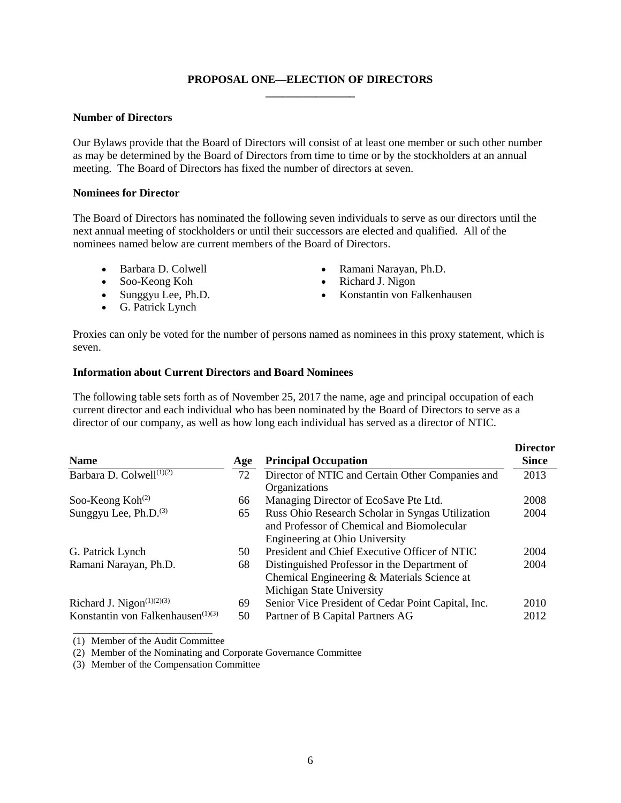# **PROPOSAL ONE—ELECTION OF DIRECTORS \_\_\_\_\_\_\_\_\_\_\_\_\_\_\_\_**

#### <span id="page-9-1"></span><span id="page-9-0"></span>**Number of Directors**

Our Bylaws provide that the Board of Directors will consist of at least one member or such other number as may be determined by the Board of Directors from time to time or by the stockholders at an annual meeting. The Board of Directors has fixed the number of directors at seven.

#### <span id="page-9-2"></span>**Nominees for Director**

The Board of Directors has nominated the following seven individuals to serve as our directors until the next annual meeting of stockholders or until their successors are elected and qualified. All of the nominees named below are current members of the Board of Directors.

- 
- 
- Soo-Keong Koh Richard J. Nigon
- G. Patrick Lynch
- Barbara D. Colwell Ramani Narayan, Ph.D.
	-
	- Konstantin von Falkenhausen

Proxies can only be voted for the number of persons named as nominees in this proxy statement, which is seven.

#### <span id="page-9-3"></span>**Information about Current Directors and Board Nominees**

The following table sets forth as of November 25, 2017 the name, age and principal occupation of each current director and each individual who has been nominated by the Board of Directors to serve as a director of our company, as well as how long each individual has served as a director of NTIC.

| <b>Name</b>                          | Age | <b>Principal Occupation</b>                                                                                                             | <b>Director</b><br><b>Since</b> |
|--------------------------------------|-----|-----------------------------------------------------------------------------------------------------------------------------------------|---------------------------------|
| Barbara D. Colwell <sup>(1)(2)</sup> | 72  | Director of NTIC and Certain Other Companies and<br>Organizations                                                                       | 2013                            |
| Soo-Keong $Koh(2)$                   | 66  | Managing Director of EcoSave Pte Ltd.                                                                                                   | 2008                            |
| Sunggyu Lee, Ph.D. <sup>(3)</sup>    | 65  | Russ Ohio Research Scholar in Syngas Utilization<br>and Professor of Chemical and Biomolecular<br><b>Engineering at Ohio University</b> | 2004                            |
| G. Patrick Lynch                     | 50  | President and Chief Executive Officer of NTIC                                                                                           | 2004                            |
| Ramani Narayan, Ph.D.                | 68  | Distinguished Professor in the Department of<br>Chemical Engineering & Materials Science at<br>Michigan State University                | 2004                            |
| Richard J. Nigon $(1)(2)(3)$         | 69  | Senior Vice President of Cedar Point Capital, Inc.                                                                                      | 2010                            |
| Konstantin von Falkenhausen $(1)(3)$ | 50  | Partner of B Capital Partners AG                                                                                                        | 2012                            |

(1) Member of the Audit Committee

(2) Member of the Nominating and Corporate Governance Committee

(3) Member of the Compensation Committee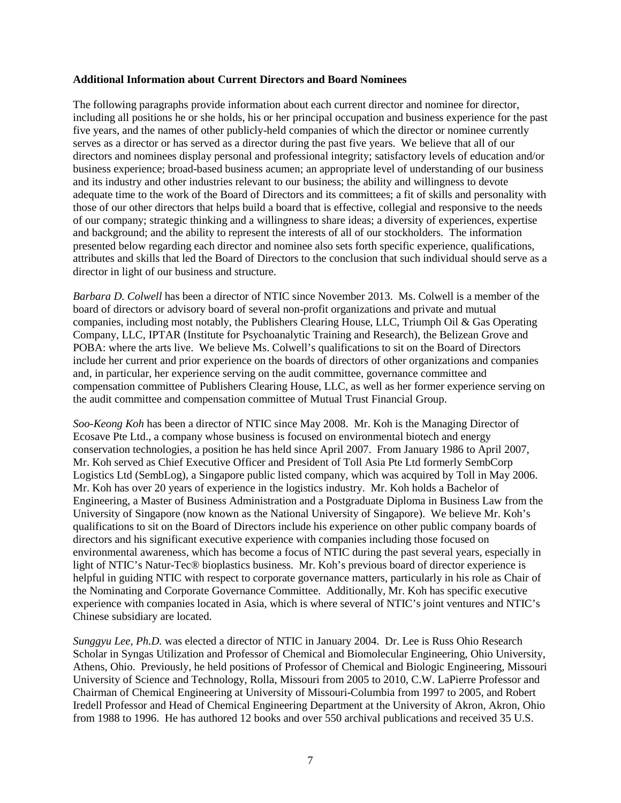#### <span id="page-10-0"></span>**Additional Information about Current Directors and Board Nominees**

The following paragraphs provide information about each current director and nominee for director, including all positions he or she holds, his or her principal occupation and business experience for the past five years, and the names of other publicly-held companies of which the director or nominee currently serves as a director or has served as a director during the past five years. We believe that all of our directors and nominees display personal and professional integrity; satisfactory levels of education and/or business experience; broad-based business acumen; an appropriate level of understanding of our business and its industry and other industries relevant to our business; the ability and willingness to devote adequate time to the work of the Board of Directors and its committees; a fit of skills and personality with those of our other directors that helps build a board that is effective, collegial and responsive to the needs of our company; strategic thinking and a willingness to share ideas; a diversity of experiences, expertise and background; and the ability to represent the interests of all of our stockholders. The information presented below regarding each director and nominee also sets forth specific experience, qualifications, attributes and skills that led the Board of Directors to the conclusion that such individual should serve as a director in light of our business and structure.

*Barbara D. Colwell* has been a director of NTIC since November 2013. Ms. Colwell is a member of the board of directors or advisory board of several non-profit organizations and private and mutual companies, including most notably, the Publishers Clearing House, LLC, Triumph Oil & Gas Operating Company, LLC, IPTAR (Institute for Psychoanalytic Training and Research), the Belizean Grove and POBA: where the arts live. We believe Ms. Colwell's qualifications to sit on the Board of Directors include her current and prior experience on the boards of directors of other organizations and companies and, in particular, her experience serving on the audit committee, governance committee and compensation committee of Publishers Clearing House, LLC, as well as her former experience serving on the audit committee and compensation committee of Mutual Trust Financial Group.

*Soo-Keong Koh* has been a director of NTIC since May 2008. Mr. Koh is the Managing Director of Ecosave Pte Ltd., a company whose business is focused on environmental biotech and energy conservation technologies, a position he has held since April 2007. From January 1986 to April 2007, Mr. Koh served as Chief Executive Officer and President of Toll Asia Pte Ltd formerly SembCorp Logistics Ltd (SembLog), a Singapore public listed company, which was acquired by Toll in May 2006. Mr. Koh has over 20 years of experience in the logistics industry. Mr. Koh holds a Bachelor of Engineering, a Master of Business Administration and a Postgraduate Diploma in Business Law from the University of Singapore (now known as the National University of Singapore). We believe Mr. Koh's qualifications to sit on the Board of Directors include his experience on other public company boards of directors and his significant executive experience with companies including those focused on environmental awareness, which has become a focus of NTIC during the past several years, especially in light of NTIC's Natur-Tec® bioplastics business. Mr. Koh's previous board of director experience is helpful in guiding NTIC with respect to corporate governance matters, particularly in his role as Chair of the Nominating and Corporate Governance Committee. Additionally, Mr. Koh has specific executive experience with companies located in Asia, which is where several of NTIC's joint ventures and NTIC's Chinese subsidiary are located.

*Sunggyu Lee, Ph.D.* was elected a director of NTIC in January 2004. Dr. Lee is Russ Ohio Research Scholar in Syngas Utilization and Professor of Chemical and Biomolecular Engineering, Ohio University, Athens, Ohio. Previously, he held positions of Professor of Chemical and Biologic Engineering, Missouri University of Science and Technology, Rolla, Missouri from 2005 to 2010, C.W. LaPierre Professor and Chairman of Chemical Engineering at University of Missouri-Columbia from 1997 to 2005, and Robert Iredell Professor and Head of Chemical Engineering Department at the University of Akron, Akron, Ohio from 1988 to 1996. He has authored 12 books and over 550 archival publications and received 35 U.S.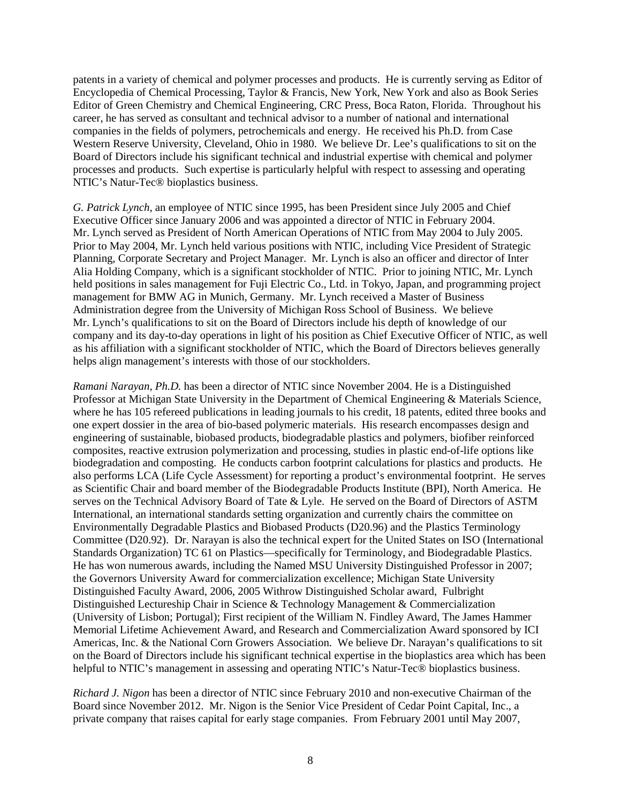patents in a variety of chemical and polymer processes and products. He is currently serving as Editor of Encyclopedia of Chemical Processing, Taylor & Francis, New York, New York and also as Book Series Editor of Green Chemistry and Chemical Engineering, CRC Press, Boca Raton, Florida. Throughout his career, he has served as consultant and technical advisor to a number of national and international companies in the fields of polymers, petrochemicals and energy. He received his Ph.D. from Case Western Reserve University, Cleveland, Ohio in 1980. We believe Dr. Lee's qualifications to sit on the Board of Directors include his significant technical and industrial expertise with chemical and polymer processes and products. Such expertise is particularly helpful with respect to assessing and operating NTIC's Natur-Tec® bioplastics business.

*G. Patrick Lynch*, an employee of NTIC since 1995, has been President since July 2005 and Chief Executive Officer since January 2006 and was appointed a director of NTIC in February 2004. Mr. Lynch served as President of North American Operations of NTIC from May 2004 to July 2005. Prior to May 2004, Mr. Lynch held various positions with NTIC, including Vice President of Strategic Planning, Corporate Secretary and Project Manager. Mr. Lynch is also an officer and director of Inter Alia Holding Company, which is a significant stockholder of NTIC. Prior to joining NTIC, Mr. Lynch held positions in sales management for Fuji Electric Co., Ltd. in Tokyo, Japan, and programming project management for BMW AG in Munich, Germany. Mr. Lynch received a Master of Business Administration degree from the University of Michigan Ross School of Business. We believe Mr. Lynch's qualifications to sit on the Board of Directors include his depth of knowledge of our company and its day-to-day operations in light of his position as Chief Executive Officer of NTIC, as well as his affiliation with a significant stockholder of NTIC, which the Board of Directors believes generally helps align management's interests with those of our stockholders.

*Ramani Narayan, Ph.D.* has been a director of NTIC since November 2004. He is a Distinguished Professor at Michigan State University in the Department of Chemical Engineering & Materials Science, where he has 105 refereed publications in leading journals to his credit, 18 patents, edited three books and one expert dossier in the area of bio-based polymeric materials. His research encompasses design and engineering of sustainable, biobased products, biodegradable plastics and polymers, biofiber reinforced composites, reactive extrusion polymerization and processing, studies in plastic end-of-life options like biodegradation and composting. He conducts carbon footprint calculations for plastics and products. He also performs LCA (Life Cycle Assessment) for reporting a product's environmental footprint. He serves as Scientific Chair and board member of the Biodegradable Products Institute (BPI), North America. He serves on the Technical Advisory Board of Tate & Lyle. He served on the Board of Directors of ASTM International, an international standards setting organization and currently chairs the committee on Environmentally Degradable Plastics and Biobased Products (D20.96) and the Plastics Terminology Committee (D20.92). Dr. Narayan is also the technical expert for the United States on ISO (International Standards Organization) TC 61 on Plastics—specifically for Terminology, and Biodegradable Plastics. He has won numerous awards, including the Named MSU University Distinguished Professor in 2007; the Governors University Award for commercialization excellence; Michigan State University Distinguished Faculty Award, 2006, 2005 Withrow Distinguished Scholar award, Fulbright Distinguished Lectureship Chair in Science & Technology Management & Commercialization (University of Lisbon; Portugal); First recipient of the William N. Findley Award, The James Hammer Memorial Lifetime Achievement Award, and Research and Commercialization Award sponsored by ICI Americas, Inc. & the National Corn Growers Association. We believe Dr. Narayan's qualifications to sit on the Board of Directors include his significant technical expertise in the bioplastics area which has been helpful to NTIC's management in assessing and operating NTIC's Natur-Tec® bioplastics business.

*Richard J. Nigon* has been a director of NTIC since February 2010 and non-executive Chairman of the Board since November 2012. Mr. Nigon is the Senior Vice President of Cedar Point Capital, Inc., a private company that raises capital for early stage companies. From February 2001 until May 2007,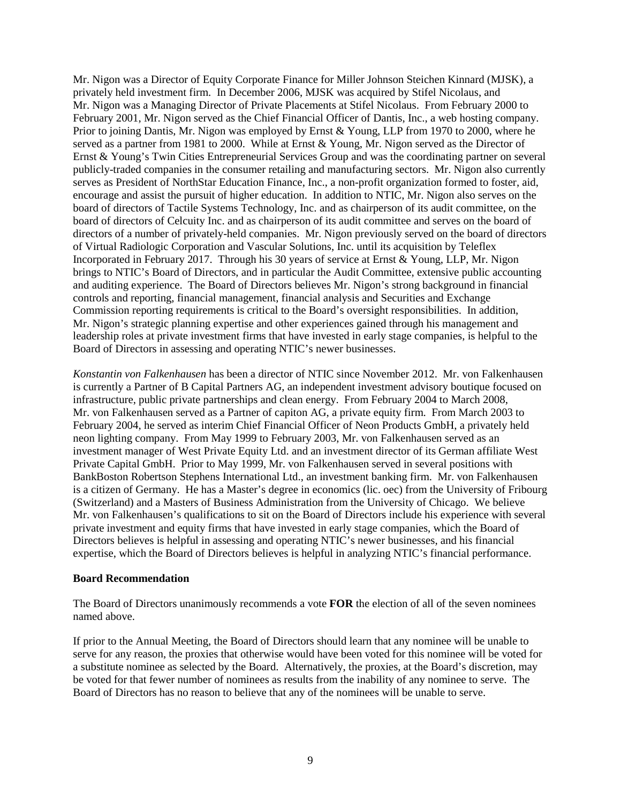Mr. Nigon was a Director of Equity Corporate Finance for Miller Johnson Steichen Kinnard (MJSK), a privately held investment firm. In December 2006, MJSK was acquired by Stifel Nicolaus, and Mr. Nigon was a Managing Director of Private Placements at Stifel Nicolaus. From February 2000 to February 2001, Mr. Nigon served as the Chief Financial Officer of Dantis, Inc., a web hosting company. Prior to joining Dantis, Mr. Nigon was employed by Ernst & Young, LLP from 1970 to 2000, where he served as a partner from 1981 to 2000. While at Ernst & Young, Mr. Nigon served as the Director of Ernst & Young's Twin Cities Entrepreneurial Services Group and was the coordinating partner on several publicly-traded companies in the consumer retailing and manufacturing sectors. Mr. Nigon also currently serves as President of NorthStar Education Finance, Inc., a non-profit organization formed to foster, aid, encourage and assist the pursuit of higher education. In addition to NTIC, Mr. Nigon also serves on the board of directors of Tactile Systems Technology, Inc. and as chairperson of its audit committee, on the board of directors of Celcuity Inc. and as chairperson of its audit committee and serves on the board of directors of a number of privately-held companies. Mr. Nigon previously served on the board of directors of Virtual Radiologic Corporation and Vascular Solutions, Inc. until its acquisition by Teleflex Incorporated in February 2017. Through his 30 years of service at Ernst & Young, LLP, Mr. Nigon brings to NTIC's Board of Directors, and in particular the Audit Committee, extensive public accounting and auditing experience. The Board of Directors believes Mr. Nigon's strong background in financial controls and reporting, financial management, financial analysis and Securities and Exchange Commission reporting requirements is critical to the Board's oversight responsibilities. In addition, Mr. Nigon's strategic planning expertise and other experiences gained through his management and leadership roles at private investment firms that have invested in early stage companies, is helpful to the Board of Directors in assessing and operating NTIC's newer businesses.

*Konstantin von Falkenhausen* has been a director of NTIC since November 2012. Mr. von Falkenhausen is currently a Partner of B Capital Partners AG, an independent investment advisory boutique focused on infrastructure, public private partnerships and clean energy. From February 2004 to March 2008, Mr. von Falkenhausen served as a Partner of capiton AG, a private equity firm. From March 2003 to February 2004, he served as interim Chief Financial Officer of Neon Products GmbH, a privately held neon lighting company. From May 1999 to February 2003, Mr. von Falkenhausen served as an investment manager of West Private Equity Ltd. and an investment director of its German affiliate West Private Capital GmbH. Prior to May 1999, Mr. von Falkenhausen served in several positions with BankBoston Robertson Stephens International Ltd., an investment banking firm. Mr. von Falkenhausen is a citizen of Germany. He has a Master's degree in economics (lic. oec) from the University of Fribourg (Switzerland) and a Masters of Business Administration from the University of Chicago. We believe Mr. von Falkenhausen's qualifications to sit on the Board of Directors include his experience with several private investment and equity firms that have invested in early stage companies, which the Board of Directors believes is helpful in assessing and operating NTIC's newer businesses, and his financial expertise, which the Board of Directors believes is helpful in analyzing NTIC's financial performance.

#### <span id="page-12-0"></span>**Board Recommendation**

The Board of Directors unanimously recommends a vote **FOR** the election of all of the seven nominees named above.

If prior to the Annual Meeting, the Board of Directors should learn that any nominee will be unable to serve for any reason, the proxies that otherwise would have been voted for this nominee will be voted for a substitute nominee as selected by the Board. Alternatively, the proxies, at the Board's discretion, may be voted for that fewer number of nominees as results from the inability of any nominee to serve. The Board of Directors has no reason to believe that any of the nominees will be unable to serve.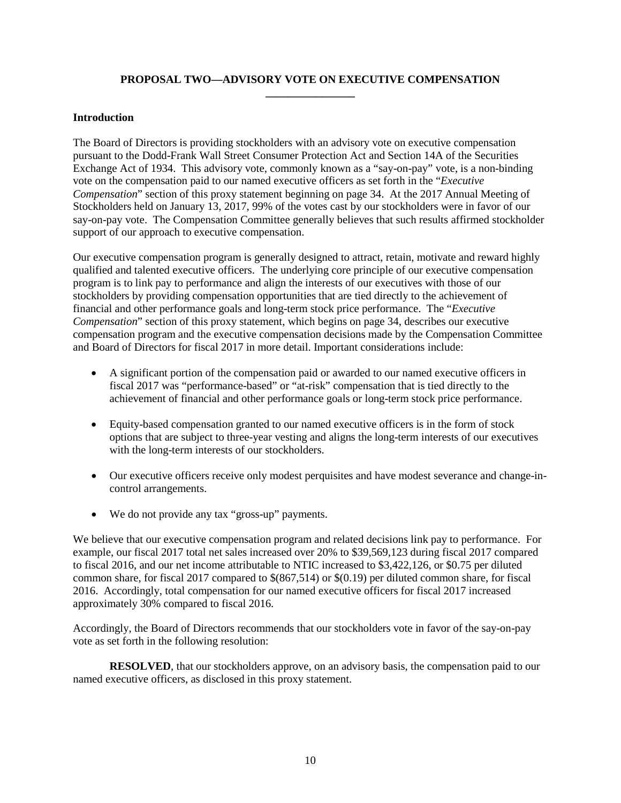# **PROPOSAL TWO—ADVISORY VOTE ON EXECUTIVE COMPENSATION \_\_\_\_\_\_\_\_\_\_\_\_\_\_\_\_**

### <span id="page-13-1"></span><span id="page-13-0"></span>**Introduction**

The Board of Directors is providing stockholders with an advisory vote on executive compensation pursuant to the Dodd-Frank Wall Street Consumer Protection Act and Section 14A of the Securities Exchange Act of 1934. This advisory vote, commonly known as a "say-on-pay" vote, is a non-binding vote on the compensation paid to our named executive officers as set forth in the "*Executive Compensation*" section of this proxy statement beginning on page 34. At the 2017 Annual Meeting of Stockholders held on January 13, 2017, 99% of the votes cast by our stockholders were in favor of our say-on-pay vote. The Compensation Committee generally believes that such results affirmed stockholder support of our approach to executive compensation.

Our executive compensation program is generally designed to attract, retain, motivate and reward highly qualified and talented executive officers. The underlying core principle of our executive compensation program is to link pay to performance and align the interests of our executives with those of our stockholders by providing compensation opportunities that are tied directly to the achievement of financial and other performance goals and long-term stock price performance. The "*Executive Compensation*" section of this proxy statement, which begins on page 34, describes our executive compensation program and the executive compensation decisions made by the Compensation Committee and Board of Directors for fiscal 2017 in more detail. Important considerations include:

- A significant portion of the compensation paid or awarded to our named executive officers in fiscal 2017 was "performance-based" or "at-risk" compensation that is tied directly to the achievement of financial and other performance goals or long-term stock price performance.
- Equity-based compensation granted to our named executive officers is in the form of stock options that are subject to three-year vesting and aligns the long-term interests of our executives with the long-term interests of our stockholders.
- Our executive officers receive only modest perquisites and have modest severance and change-incontrol arrangements.
- We do not provide any tax "gross-up" payments.

We believe that our executive compensation program and related decisions link pay to performance. For example, our fiscal 2017 total net sales increased over 20% to \$39,569,123 during fiscal 2017 compared to fiscal 2016, and our net income attributable to NTIC increased to \$3,422,126, or \$0.75 per diluted common share, for fiscal 2017 compared to \$(867,514) or \$(0.19) per diluted common share, for fiscal 2016. Accordingly, total compensation for our named executive officers for fiscal 2017 increased approximately 30% compared to fiscal 2016.

Accordingly, the Board of Directors recommends that our stockholders vote in favor of the say-on-pay vote as set forth in the following resolution:

**RESOLVED**, that our stockholders approve, on an advisory basis, the compensation paid to our named executive officers, as disclosed in this proxy statement.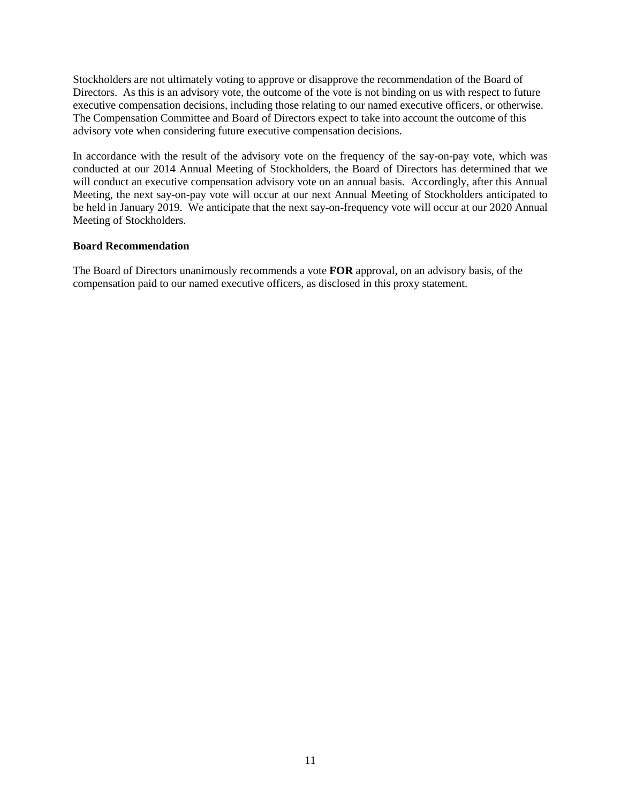Stockholders are not ultimately voting to approve or disapprove the recommendation of the Board of Directors. As this is an advisory vote, the outcome of the vote is not binding on us with respect to future executive compensation decisions, including those relating to our named executive officers, or otherwise. The Compensation Committee and Board of Directors expect to take into account the outcome of this advisory vote when considering future executive compensation decisions.

In accordance with the result of the advisory vote on the frequency of the say-on-pay vote, which was conducted at our 2014 Annual Meeting of Stockholders, the Board of Directors has determined that we will conduct an executive compensation advisory vote on an annual basis. Accordingly, after this Annual Meeting, the next say-on-pay vote will occur at our next Annual Meeting of Stockholders anticipated to be held in January 2019. We anticipate that the next say-on-frequency vote will occur at our 2020 Annual Meeting of Stockholders.

#### <span id="page-14-0"></span>**Board Recommendation**

The Board of Directors unanimously recommends a vote **FOR** approval, on an advisory basis, of the compensation paid to our named executive officers, as disclosed in this proxy statement.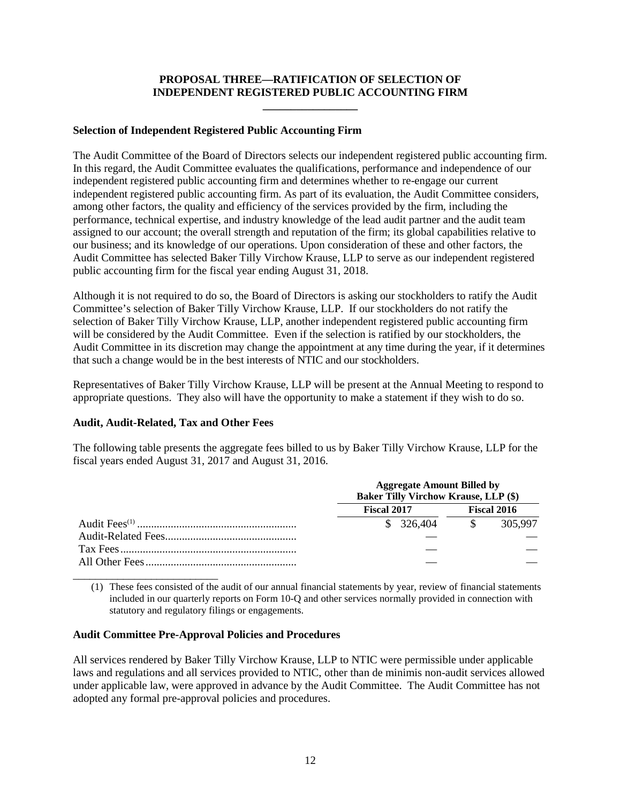# **PROPOSAL THREE—RATIFICATION OF SELECTION OF INDEPENDENT REGISTERED PUBLIC ACCOUNTING FIRM**

**\_\_\_\_\_\_\_\_\_\_\_\_\_\_\_\_\_**

### <span id="page-15-1"></span><span id="page-15-0"></span>**Selection of Independent Registered Public Accounting Firm**

The Audit Committee of the Board of Directors selects our independent registered public accounting firm. In this regard, the Audit Committee evaluates the qualifications, performance and independence of our independent registered public accounting firm and determines whether to re-engage our current independent registered public accounting firm. As part of its evaluation, the Audit Committee considers, among other factors, the quality and efficiency of the services provided by the firm, including the performance, technical expertise, and industry knowledge of the lead audit partner and the audit team assigned to our account; the overall strength and reputation of the firm; its global capabilities relative to our business; and its knowledge of our operations. Upon consideration of these and other factors, the Audit Committee has selected Baker Tilly Virchow Krause, LLP to serve as our independent registered public accounting firm for the fiscal year ending August 31, 2018.

Although it is not required to do so, the Board of Directors is asking our stockholders to ratify the Audit Committee's selection of Baker Tilly Virchow Krause, LLP. If our stockholders do not ratify the selection of Baker Tilly Virchow Krause, LLP, another independent registered public accounting firm will be considered by the Audit Committee. Even if the selection is ratified by our stockholders, the Audit Committee in its discretion may change the appointment at any time during the year, if it determines that such a change would be in the best interests of NTIC and our stockholders.

Representatives of Baker Tilly Virchow Krause, LLP will be present at the Annual Meeting to respond to appropriate questions. They also will have the opportunity to make a statement if they wish to do so.

### <span id="page-15-2"></span>**Audit, Audit-Related, Tax and Other Fees**

The following table presents the aggregate fees billed to us by Baker Tilly Virchow Krause, LLP for the fiscal years ended August 31, 2017 and August 31, 2016.

| <b>Aggregate Amount Billed by</b><br><b>Baker Tilly Virchow Krause, LLP (\$)</b> |  |             |  |  |
|----------------------------------------------------------------------------------|--|-------------|--|--|
| Fiscal 2017                                                                      |  | Fiscal 2016 |  |  |
| $$326,404$ $$305,997$                                                            |  |             |  |  |
|                                                                                  |  |             |  |  |
|                                                                                  |  |             |  |  |
|                                                                                  |  |             |  |  |

\_\_\_\_\_\_\_\_\_\_\_\_\_\_\_\_\_\_\_\_\_\_\_\_\_\_ (1) These fees consisted of the audit of our annual financial statements by year, review of financial statements included in our quarterly reports on Form 10-Q and other services normally provided in connection with statutory and regulatory filings or engagements.

#### <span id="page-15-3"></span>**Audit Committee Pre-Approval Policies and Procedures**

All services rendered by Baker Tilly Virchow Krause, LLP to NTIC were permissible under applicable laws and regulations and all services provided to NTIC, other than de minimis non-audit services allowed under applicable law, were approved in advance by the Audit Committee. The Audit Committee has not adopted any formal pre-approval policies and procedures.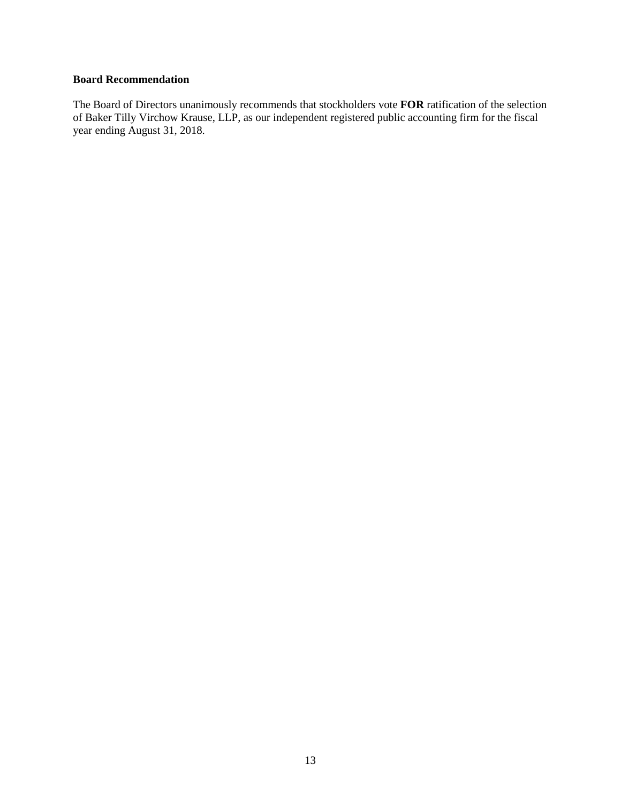### <span id="page-16-0"></span>**Board Recommendation**

The Board of Directors unanimously recommends that stockholders vote **FOR** ratification of the selection of Baker Tilly Virchow Krause, LLP, as our independent registered public accounting firm for the fiscal year ending August 31, 2018.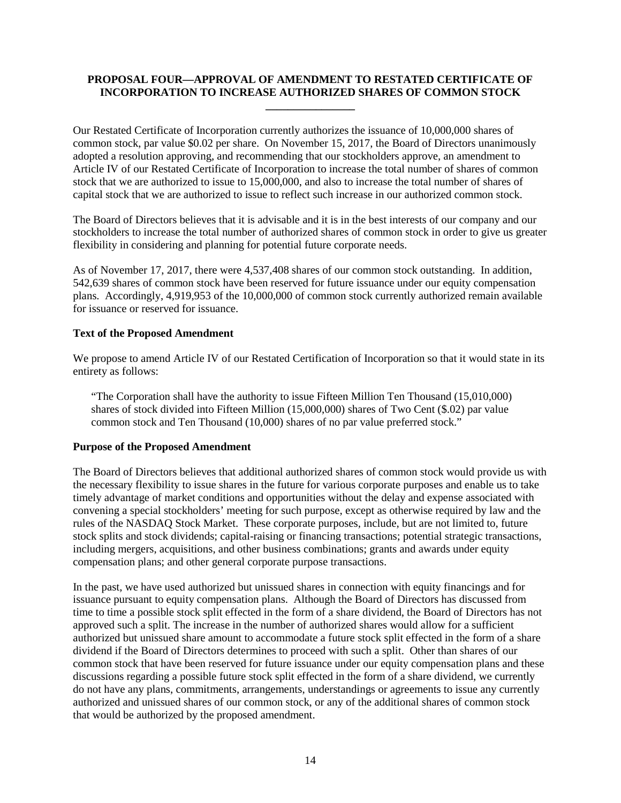# <span id="page-17-0"></span>**PROPOSAL FOUR—APPROVAL OF AMENDMENT TO RESTATED CERTIFICATE OF INCORPORATION TO INCREASE AUTHORIZED SHARES OF COMMON STOCK \_\_\_\_\_\_\_\_\_\_\_\_\_\_\_\_**

Our Restated Certificate of Incorporation currently authorizes the issuance of 10,000,000 shares of common stock, par value \$0.02 per share. On November 15, 2017, the Board of Directors unanimously adopted a resolution approving, and recommending that our stockholders approve, an amendment to Article IV of our Restated Certificate of Incorporation to increase the total number of shares of common stock that we are authorized to issue to 15,000,000, and also to increase the total number of shares of capital stock that we are authorized to issue to reflect such increase in our authorized common stock.

The Board of Directors believes that it is advisable and it is in the best interests of our company and our stockholders to increase the total number of authorized shares of common stock in order to give us greater flexibility in considering and planning for potential future corporate needs.

As of November 17, 2017, there were 4,537,408 shares of our common stock outstanding. In addition, 542,639 shares of common stock have been reserved for future issuance under our equity compensation plans. Accordingly, 4,919,953 of the 10,000,000 of common stock currently authorized remain available for issuance or reserved for issuance.

#### <span id="page-17-1"></span>**Text of the Proposed Amendment**

We propose to amend Article IV of our Restated Certification of Incorporation so that it would state in its entirety as follows:

"The Corporation shall have the authority to issue Fifteen Million Ten Thousand (15,010,000) shares of stock divided into Fifteen Million (15,000,000) shares of Two Cent (\$.02) par value common stock and Ten Thousand (10,000) shares of no par value preferred stock."

#### <span id="page-17-2"></span>**Purpose of the Proposed Amendment**

The Board of Directors believes that additional authorized shares of common stock would provide us with the necessary flexibility to issue shares in the future for various corporate purposes and enable us to take timely advantage of market conditions and opportunities without the delay and expense associated with convening a special stockholders' meeting for such purpose, except as otherwise required by law and the rules of the NASDAQ Stock Market. These corporate purposes, include, but are not limited to, future stock splits and stock dividends; capital-raising or financing transactions; potential strategic transactions, including mergers, acquisitions, and other business combinations; grants and awards under equity compensation plans; and other general corporate purpose transactions.

In the past, we have used authorized but unissued shares in connection with equity financings and for issuance pursuant to equity compensation plans. Although the Board of Directors has discussed from time to time a possible stock split effected in the form of a share dividend, the Board of Directors has not approved such a split. The increase in the number of authorized shares would allow for a sufficient authorized but unissued share amount to accommodate a future stock split effected in the form of a share dividend if the Board of Directors determines to proceed with such a split. Other than shares of our common stock that have been reserved for future issuance under our equity compensation plans and these discussions regarding a possible future stock split effected in the form of a share dividend, we currently do not have any plans, commitments, arrangements, understandings or agreements to issue any currently authorized and unissued shares of our common stock, or any of the additional shares of common stock that would be authorized by the proposed amendment.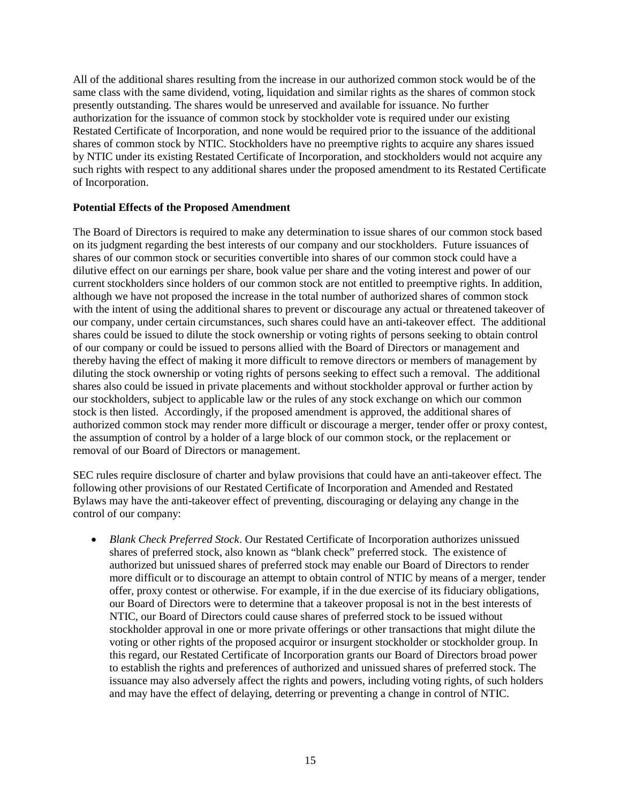All of the additional shares resulting from the increase in our authorized common stock would be of the same class with the same dividend, voting, liquidation and similar rights as the shares of common stock presently outstanding. The shares would be unreserved and available for issuance. No further authorization for the issuance of common stock by stockholder vote is required under our existing Restated Certificate of Incorporation, and none would be required prior to the issuance of the additional shares of common stock by NTIC. Stockholders have no preemptive rights to acquire any shares issued by NTIC under its existing Restated Certificate of Incorporation, and stockholders would not acquire any such rights with respect to any additional shares under the proposed amendment to its Restated Certificate of Incorporation.

#### <span id="page-18-0"></span>**Potential Effects of the Proposed Amendment**

The Board of Directors is required to make any determination to issue shares of our common stock based on its judgment regarding the best interests of our company and our stockholders. Future issuances of shares of our common stock or securities convertible into shares of our common stock could have a dilutive effect on our earnings per share, book value per share and the voting interest and power of our current stockholders since holders of our common stock are not entitled to preemptive rights. In addition, although we have not proposed the increase in the total number of authorized shares of common stock with the intent of using the additional shares to prevent or discourage any actual or threatened takeover of our company, under certain circumstances, such shares could have an anti-takeover effect. The additional shares could be issued to dilute the stock ownership or voting rights of persons seeking to obtain control of our company or could be issued to persons allied with the Board of Directors or management and thereby having the effect of making it more difficult to remove directors or members of management by diluting the stock ownership or voting rights of persons seeking to effect such a removal. The additional shares also could be issued in private placements and without stockholder approval or further action by our stockholders, subject to applicable law or the rules of any stock exchange on which our common stock is then listed. Accordingly, if the proposed amendment is approved, the additional shares of authorized common stock may render more difficult or discourage a merger, tender offer or proxy contest, the assumption of control by a holder of a large block of our common stock, or the replacement or removal of our Board of Directors or management.

SEC rules require disclosure of charter and bylaw provisions that could have an anti-takeover effect. The following other provisions of our Restated Certificate of Incorporation and Amended and Restated Bylaws may have the anti-takeover effect of preventing, discouraging or delaying any change in the control of our company:

• *Blank Check Preferred Stock*. Our Restated Certificate of Incorporation authorizes unissued shares of preferred stock, also known as "blank check" preferred stock. The existence of authorized but unissued shares of preferred stock may enable our Board of Directors to render more difficult or to discourage an attempt to obtain control of NTIC by means of a merger, tender offer, proxy contest or otherwise. For example, if in the due exercise of its fiduciary obligations, our Board of Directors were to determine that a takeover proposal is not in the best interests of NTIC, our Board of Directors could cause shares of preferred stock to be issued without stockholder approval in one or more private offerings or other transactions that might dilute the voting or other rights of the proposed acquiror or insurgent stockholder or stockholder group. In this regard, our Restated Certificate of Incorporation grants our Board of Directors broad power to establish the rights and preferences of authorized and unissued shares of preferred stock. The issuance may also adversely affect the rights and powers, including voting rights, of such holders and may have the effect of delaying, deterring or preventing a change in control of NTIC.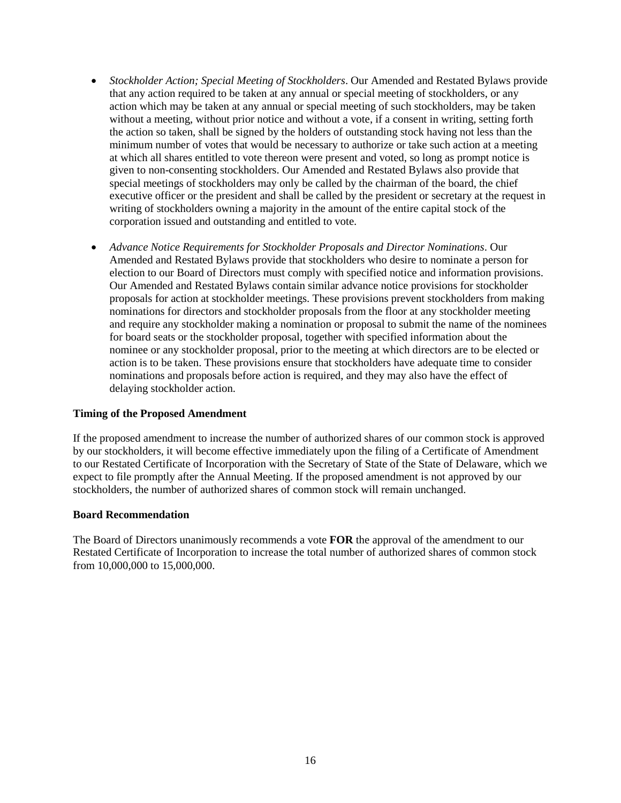- *Stockholder Action; Special Meeting of Stockholders*. Our Amended and Restated Bylaws provide that any action required to be taken at any annual or special meeting of stockholders, or any action which may be taken at any annual or special meeting of such stockholders, may be taken without a meeting, without prior notice and without a vote, if a consent in writing, setting forth the action so taken, shall be signed by the holders of outstanding stock having not less than the minimum number of votes that would be necessary to authorize or take such action at a meeting at which all shares entitled to vote thereon were present and voted, so long as prompt notice is given to non-consenting stockholders. Our Amended and Restated Bylaws also provide that special meetings of stockholders may only be called by the chairman of the board, the chief executive officer or the president and shall be called by the president or secretary at the request in writing of stockholders owning a majority in the amount of the entire capital stock of the corporation issued and outstanding and entitled to vote.
- *Advance Notice Requirements for Stockholder Proposals and Director Nominations*. Our Amended and Restated Bylaws provide that stockholders who desire to nominate a person for election to our Board of Directors must comply with specified notice and information provisions. Our Amended and Restated Bylaws contain similar advance notice provisions for stockholder proposals for action at stockholder meetings. These provisions prevent stockholders from making nominations for directors and stockholder proposals from the floor at any stockholder meeting and require any stockholder making a nomination or proposal to submit the name of the nominees for board seats or the stockholder proposal, together with specified information about the nominee or any stockholder proposal, prior to the meeting at which directors are to be elected or action is to be taken. These provisions ensure that stockholders have adequate time to consider nominations and proposals before action is required, and they may also have the effect of delaying stockholder action.

### <span id="page-19-0"></span>**Timing of the Proposed Amendment**

If the proposed amendment to increase the number of authorized shares of our common stock is approved by our stockholders, it will become effective immediately upon the filing of a Certificate of Amendment to our Restated Certificate of Incorporation with the Secretary of State of the State of Delaware, which we expect to file promptly after the Annual Meeting. If the proposed amendment is not approved by our stockholders, the number of authorized shares of common stock will remain unchanged.

#### <span id="page-19-1"></span>**Board Recommendation**

The Board of Directors unanimously recommends a vote **FOR** the approval of the amendment to our Restated Certificate of Incorporation to increase the total number of authorized shares of common stock from 10,000,000 to 15,000,000.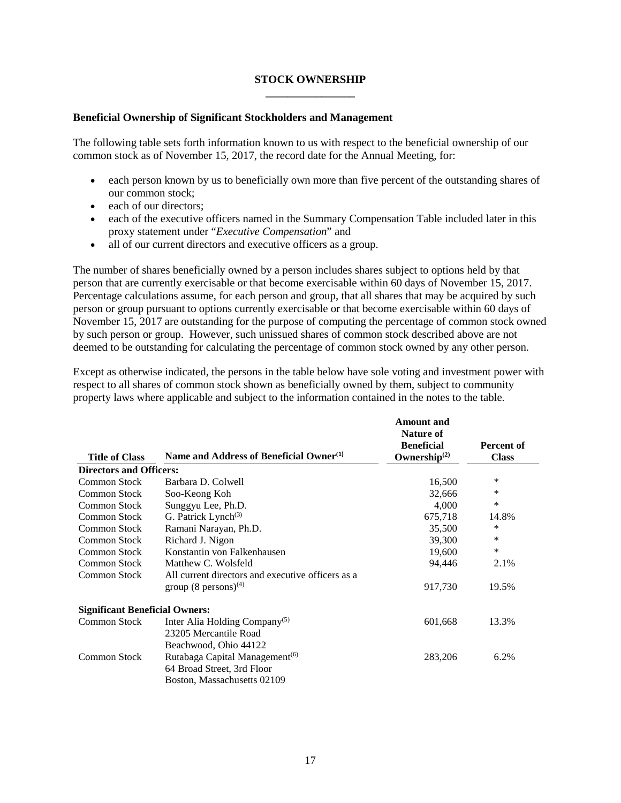## **STOCK OWNERSHIP \_\_\_\_\_\_\_\_\_\_\_\_\_\_\_\_**

#### <span id="page-20-1"></span><span id="page-20-0"></span>**Beneficial Ownership of Significant Stockholders and Management**

The following table sets forth information known to us with respect to the beneficial ownership of our common stock as of November 15, 2017, the record date for the Annual Meeting, for:

- each person known by us to beneficially own more than five percent of the outstanding shares of our common stock;
- each of our directors:
- each of the executive officers named in the Summary Compensation Table included later in this proxy statement under "*Executive Compensation*" and
- all of our current directors and executive officers as a group.

The number of shares beneficially owned by a person includes shares subject to options held by that person that are currently exercisable or that become exercisable within 60 days of November 15, 2017. Percentage calculations assume, for each person and group, that all shares that may be acquired by such person or group pursuant to options currently exercisable or that become exercisable within 60 days of November 15, 2017 are outstanding for the purpose of computing the percentage of common stock owned by such person or group. However, such unissued shares of common stock described above are not deemed to be outstanding for calculating the percentage of common stock owned by any other person.

Except as otherwise indicated, the persons in the table below have sole voting and investment power with respect to all shares of common stock shown as beneficially owned by them, subject to community property laws where applicable and subject to the information contained in the notes to the table.

| <b>Title of Class</b>                 | Name and Address of Beneficial Owner <sup>(1)</sup> | <b>Amount</b> and<br><b>Nature of</b><br><b>Beneficial</b><br>Ownership $^{(2)}$ | Percent of<br><b>Class</b> |
|---------------------------------------|-----------------------------------------------------|----------------------------------------------------------------------------------|----------------------------|
| <b>Directors and Officers:</b>        |                                                     |                                                                                  |                            |
| Common Stock                          | Barbara D. Colwell                                  | 16,500                                                                           | *                          |
| Common Stock                          | Soo-Keong Koh                                       | 32,666                                                                           | *                          |
| <b>Common Stock</b>                   | Sunggyu Lee, Ph.D.                                  | 4,000                                                                            | *                          |
| <b>Common Stock</b>                   | G. Patrick Lynch <sup>(3)</sup>                     | 675,718                                                                          | 14.8%                      |
| <b>Common Stock</b>                   | Ramani Narayan, Ph.D.                               | 35,500                                                                           | *                          |
| Common Stock                          | Richard J. Nigon                                    | 39,300                                                                           | *                          |
| <b>Common Stock</b>                   | Konstantin von Falkenhausen                         | 19,600                                                                           | $\ast$                     |
| Common Stock                          | Matthew C. Wolsfeld                                 | 94,446                                                                           | 2.1%                       |
| <b>Common Stock</b>                   | All current directors and executive officers as a   |                                                                                  |                            |
|                                       | group $(8 \text{ persons})^{(4)}$                   | 917,730                                                                          | 19.5%                      |
| <b>Significant Beneficial Owners:</b> |                                                     |                                                                                  |                            |
| Common Stock                          | Inter Alia Holding Company <sup>(5)</sup>           | 601,668                                                                          | 13.3%                      |
|                                       | 23205 Mercantile Road                               |                                                                                  |                            |
|                                       | Beachwood, Ohio 44122                               |                                                                                  |                            |
| Common Stock                          | Rutabaga Capital Management <sup>(6)</sup>          | 283,206                                                                          | 6.2%                       |
|                                       | 64 Broad Street, 3rd Floor                          |                                                                                  |                            |
|                                       | Boston, Massachusetts 02109                         |                                                                                  |                            |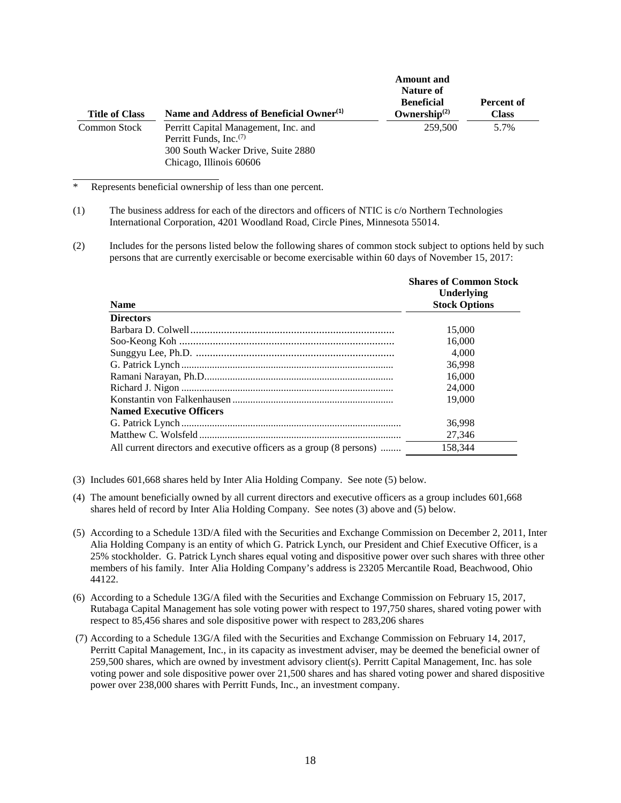| <b>Title of Class</b> | Name and Address of Beneficial Owner <sup>(1)</sup>                                                                                         | Amount and<br>Nature of<br><b>Beneficial</b><br>Ownership $^{(2)}$ | Percent of<br><b>Class</b> |
|-----------------------|---------------------------------------------------------------------------------------------------------------------------------------------|--------------------------------------------------------------------|----------------------------|
| <b>Common Stock</b>   | Perritt Capital Management, Inc. and<br>Perritt Funds, Inc. <sup>(7)</sup><br>300 South Wacker Drive, Suite 2880<br>Chicago, Illinois 60606 | 259,500                                                            | 5.7%                       |

**Amount and** 

Represents beneficial ownership of less than one percent.

(2) Includes for the persons listed below the following shares of common stock subject to options held by such persons that are currently exercisable or become exercisable within 60 days of November 15, 2017:

|                                                                     | <b>Shares of Common Stock</b><br>Underlying |
|---------------------------------------------------------------------|---------------------------------------------|
| <b>Name</b>                                                         | <b>Stock Options</b>                        |
| <b>Directors</b>                                                    |                                             |
|                                                                     | 15,000                                      |
|                                                                     | 16,000                                      |
|                                                                     | 4.000                                       |
|                                                                     | 36,998                                      |
|                                                                     | 16,000                                      |
|                                                                     | 24,000                                      |
|                                                                     | 19,000                                      |
| <b>Named Executive Officers</b>                                     |                                             |
|                                                                     | 36,998                                      |
|                                                                     | 27,346                                      |
| All current directors and executive officers as a group (8 persons) | 158.344                                     |

- (3) Includes 601,668 shares held by Inter Alia Holding Company. See note (5) below.
- (4) The amount beneficially owned by all current directors and executive officers as a group includes 601,668 shares held of record by Inter Alia Holding Company. See notes (3) above and (5) below.
- (5) According to a Schedule 13D/A filed with the Securities and Exchange Commission on December 2, 2011, Inter Alia Holding Company is an entity of which G. Patrick Lynch, our President and Chief Executive Officer, is a 25% stockholder. G. Patrick Lynch shares equal voting and dispositive power over such shares with three other members of his family. Inter Alia Holding Company's address is 23205 Mercantile Road, Beachwood, Ohio 44122.
- (6) According to a Schedule 13G/A filed with the Securities and Exchange Commission on February 15, 2017, Rutabaga Capital Management has sole voting power with respect to 197,750 shares, shared voting power with respect to 85,456 shares and sole dispositive power with respect to 283,206 shares
- (7) According to a Schedule 13G/A filed with the Securities and Exchange Commission on February 14, 2017, Perritt Capital Management, Inc., in its capacity as investment adviser, may be deemed the beneficial owner of 259,500 shares, which are owned by investment advisory client(s). Perritt Capital Management, Inc. has sole voting power and sole dispositive power over 21,500 shares and has shared voting power and shared dispositive power over 238,000 shares with Perritt Funds, Inc., an investment company.

<sup>(1)</sup> The business address for each of the directors and officers of NTIC is c/o Northern Technologies International Corporation, 4201 Woodland Road, Circle Pines, Minnesota 55014.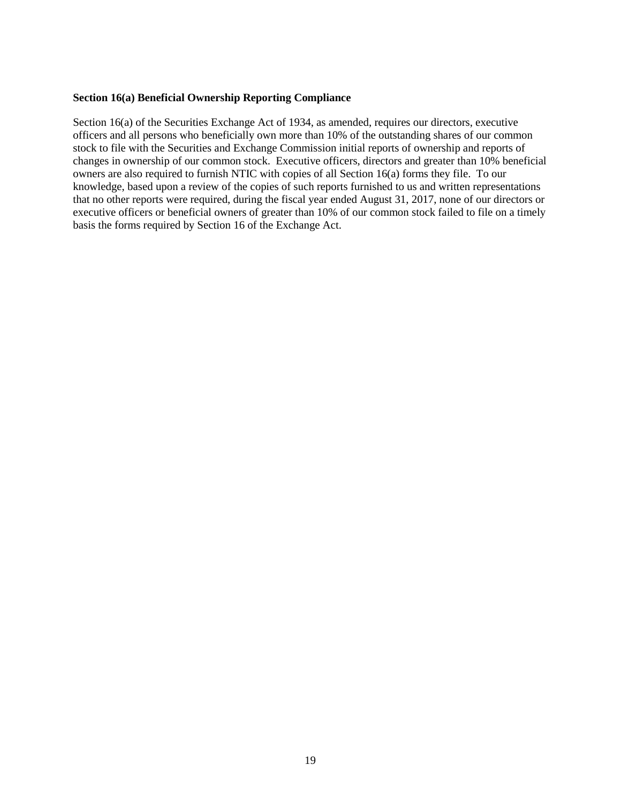#### <span id="page-22-0"></span>**Section 16(a) Beneficial Ownership Reporting Compliance**

Section 16(a) of the Securities Exchange Act of 1934, as amended, requires our directors, executive officers and all persons who beneficially own more than 10% of the outstanding shares of our common stock to file with the Securities and Exchange Commission initial reports of ownership and reports of changes in ownership of our common stock. Executive officers, directors and greater than 10% beneficial owners are also required to furnish NTIC with copies of all Section 16(a) forms they file. To our knowledge, based upon a review of the copies of such reports furnished to us and written representations that no other reports were required, during the fiscal year ended August 31, 2017, none of our directors or executive officers or beneficial owners of greater than 10% of our common stock failed to file on a timely basis the forms required by Section 16 of the Exchange Act.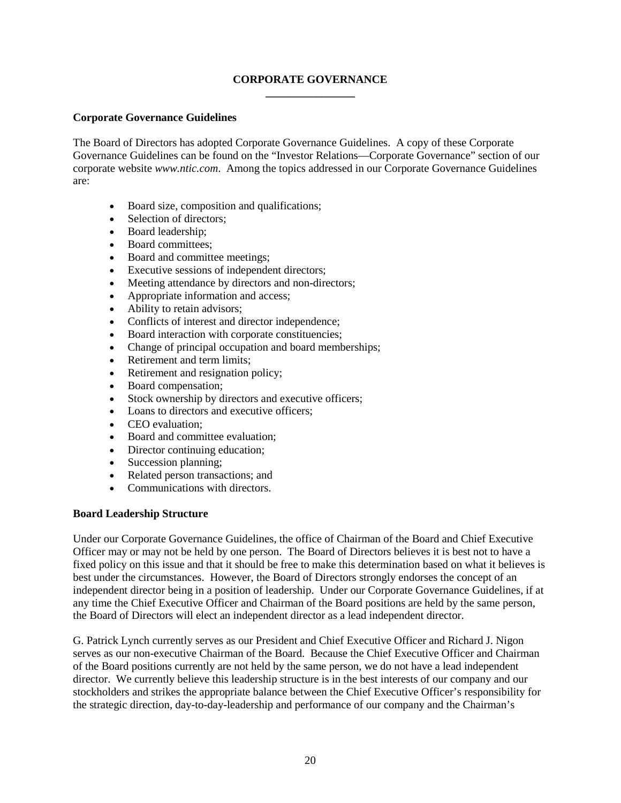# **CORPORATE GOVERNANCE \_\_\_\_\_\_\_\_\_\_\_\_\_\_\_\_**

### <span id="page-23-1"></span><span id="page-23-0"></span>**Corporate Governance Guidelines**

The Board of Directors has adopted Corporate Governance Guidelines. A copy of these Corporate Governance Guidelines can be found on the "Investor Relations—Corporate Governance" section of our corporate website *www.ntic.com*. Among the topics addressed in our Corporate Governance Guidelines are:

- Board size, composition and qualifications;
- Selection of directors;
- Board leadership;
- Board committees;
- Board and committee meetings;
- Executive sessions of independent directors;
- Meeting attendance by directors and non-directors;
- Appropriate information and access;
- Ability to retain advisors;
- Conflicts of interest and director independence;
- Board interaction with corporate constituencies;
- Change of principal occupation and board memberships;
- Retirement and term limits;
- Retirement and resignation policy;
- Board compensation;
- Stock ownership by directors and executive officers;
- Loans to directors and executive officers;
- CEO evaluation;
- Board and committee evaluation:
- Director continuing education;
- Succession planning;
- Related person transactions: and
- Communications with directors.

#### <span id="page-23-2"></span>**Board Leadership Structure**

Under our Corporate Governance Guidelines, the office of Chairman of the Board and Chief Executive Officer may or may not be held by one person. The Board of Directors believes it is best not to have a fixed policy on this issue and that it should be free to make this determination based on what it believes is best under the circumstances. However, the Board of Directors strongly endorses the concept of an independent director being in a position of leadership. Under our Corporate Governance Guidelines, if at any time the Chief Executive Officer and Chairman of the Board positions are held by the same person, the Board of Directors will elect an independent director as a lead independent director.

G. Patrick Lynch currently serves as our President and Chief Executive Officer and Richard J. Nigon serves as our non-executive Chairman of the Board. Because the Chief Executive Officer and Chairman of the Board positions currently are not held by the same person, we do not have a lead independent director. We currently believe this leadership structure is in the best interests of our company and our stockholders and strikes the appropriate balance between the Chief Executive Officer's responsibility for the strategic direction, day-to-day-leadership and performance of our company and the Chairman's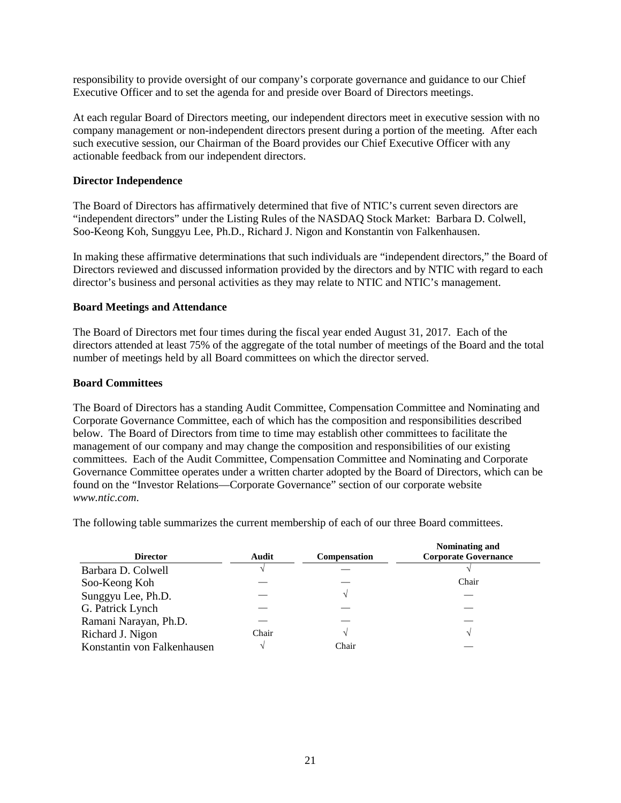responsibility to provide oversight of our company's corporate governance and guidance to our Chief Executive Officer and to set the agenda for and preside over Board of Directors meetings.

At each regular Board of Directors meeting, our independent directors meet in executive session with no company management or non-independent directors present during a portion of the meeting. After each such executive session, our Chairman of the Board provides our Chief Executive Officer with any actionable feedback from our independent directors.

# <span id="page-24-0"></span>**Director Independence**

The Board of Directors has affirmatively determined that five of NTIC's current seven directors are "independent directors" under the Listing Rules of the NASDAQ Stock Market: Barbara D. Colwell, Soo-Keong Koh, Sunggyu Lee, Ph.D., Richard J. Nigon and Konstantin von Falkenhausen.

In making these affirmative determinations that such individuals are "independent directors," the Board of Directors reviewed and discussed information provided by the directors and by NTIC with regard to each director's business and personal activities as they may relate to NTIC and NTIC's management.

# <span id="page-24-1"></span>**Board Meetings and Attendance**

The Board of Directors met four times during the fiscal year ended August 31, 2017. Each of the directors attended at least 75% of the aggregate of the total number of meetings of the Board and the total number of meetings held by all Board committees on which the director served.

# <span id="page-24-2"></span>**Board Committees**

The Board of Directors has a standing Audit Committee, Compensation Committee and Nominating and Corporate Governance Committee, each of which has the composition and responsibilities described below. The Board of Directors from time to time may establish other committees to facilitate the management of our company and may change the composition and responsibilities of our existing committees. Each of the Audit Committee, Compensation Committee and Nominating and Corporate Governance Committee operates under a written charter adopted by the Board of Directors, which can be found on the "Investor Relations—Corporate Governance" section of our corporate website *www.ntic.com*.

The following table summarizes the current membership of each of our three Board committees.

| <b>Director</b>             | Audit | <b>Compensation</b> | Nominating and<br><b>Corporate Governance</b> |
|-----------------------------|-------|---------------------|-----------------------------------------------|
| Barbara D. Colwell          |       |                     |                                               |
| Soo-Keong Koh               |       |                     | Chair                                         |
| Sunggyu Lee, Ph.D.          |       |                     |                                               |
| G. Patrick Lynch            |       |                     |                                               |
| Ramani Narayan, Ph.D.       |       |                     |                                               |
| Richard J. Nigon            | Chair |                     |                                               |
| Konstantin von Falkenhausen |       | Chair               |                                               |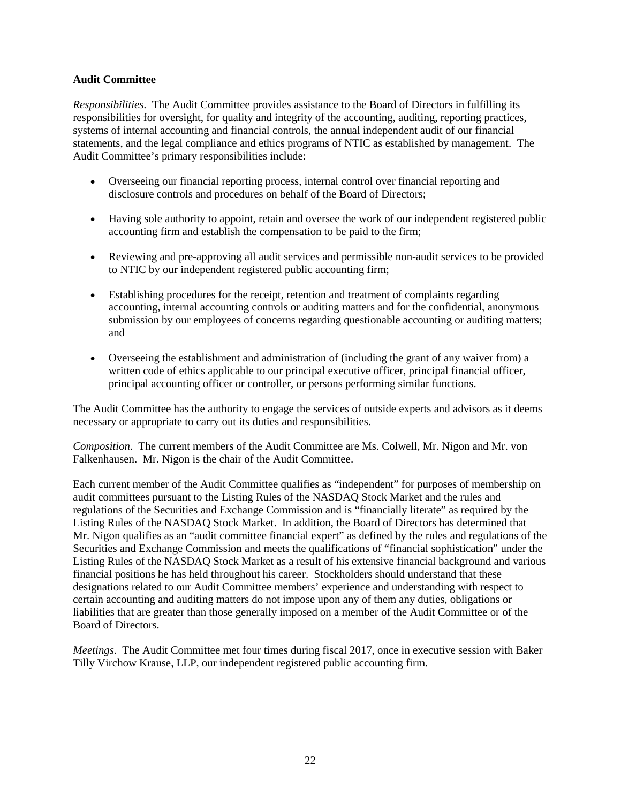### <span id="page-25-0"></span>**Audit Committee**

*Responsibilities*. The Audit Committee provides assistance to the Board of Directors in fulfilling its responsibilities for oversight, for quality and integrity of the accounting, auditing, reporting practices, systems of internal accounting and financial controls, the annual independent audit of our financial statements, and the legal compliance and ethics programs of NTIC as established by management. The Audit Committee's primary responsibilities include:

- Overseeing our financial reporting process, internal control over financial reporting and disclosure controls and procedures on behalf of the Board of Directors;
- Having sole authority to appoint, retain and oversee the work of our independent registered public accounting firm and establish the compensation to be paid to the firm;
- Reviewing and pre-approving all audit services and permissible non-audit services to be provided to NTIC by our independent registered public accounting firm;
- Establishing procedures for the receipt, retention and treatment of complaints regarding accounting, internal accounting controls or auditing matters and for the confidential, anonymous submission by our employees of concerns regarding questionable accounting or auditing matters; and
- Overseeing the establishment and administration of (including the grant of any waiver from) a written code of ethics applicable to our principal executive officer, principal financial officer, principal accounting officer or controller, or persons performing similar functions.

The Audit Committee has the authority to engage the services of outside experts and advisors as it deems necessary or appropriate to carry out its duties and responsibilities.

*Composition*. The current members of the Audit Committee are Ms. Colwell, Mr. Nigon and Mr. von Falkenhausen. Mr. Nigon is the chair of the Audit Committee.

Each current member of the Audit Committee qualifies as "independent" for purposes of membership on audit committees pursuant to the Listing Rules of the NASDAQ Stock Market and the rules and regulations of the Securities and Exchange Commission and is "financially literate" as required by the Listing Rules of the NASDAQ Stock Market. In addition, the Board of Directors has determined that Mr. Nigon qualifies as an "audit committee financial expert" as defined by the rules and regulations of the Securities and Exchange Commission and meets the qualifications of "financial sophistication" under the Listing Rules of the NASDAQ Stock Market as a result of his extensive financial background and various financial positions he has held throughout his career. Stockholders should understand that these designations related to our Audit Committee members' experience and understanding with respect to certain accounting and auditing matters do not impose upon any of them any duties, obligations or liabilities that are greater than those generally imposed on a member of the Audit Committee or of the Board of Directors.

*Meetings*. The Audit Committee met four times during fiscal 2017, once in executive session with Baker Tilly Virchow Krause, LLP, our independent registered public accounting firm.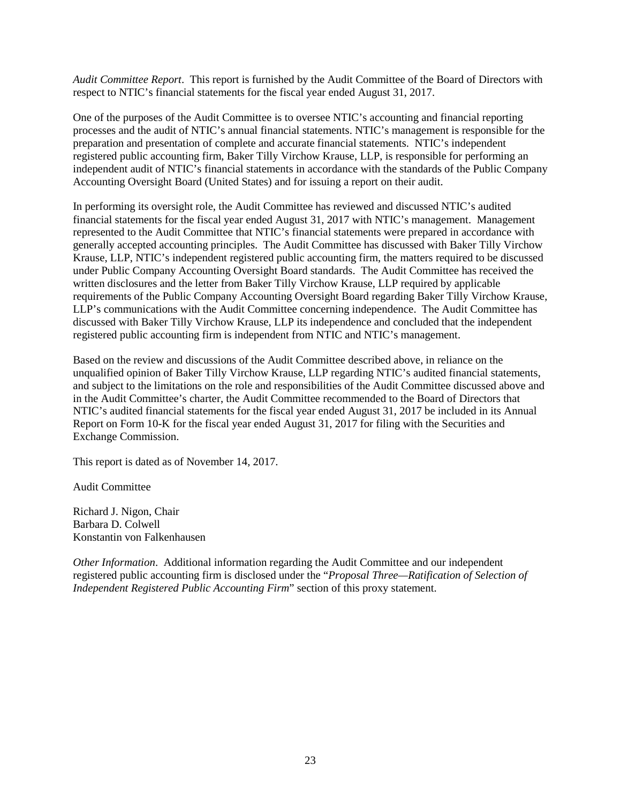*Audit Committee Report*. This report is furnished by the Audit Committee of the Board of Directors with respect to NTIC's financial statements for the fiscal year ended August 31, 2017.

One of the purposes of the Audit Committee is to oversee NTIC's accounting and financial reporting processes and the audit of NTIC's annual financial statements. NTIC's management is responsible for the preparation and presentation of complete and accurate financial statements. NTIC's independent registered public accounting firm, Baker Tilly Virchow Krause, LLP, is responsible for performing an independent audit of NTIC's financial statements in accordance with the standards of the Public Company Accounting Oversight Board (United States) and for issuing a report on their audit.

In performing its oversight role, the Audit Committee has reviewed and discussed NTIC's audited financial statements for the fiscal year ended August 31, 2017 with NTIC's management. Management represented to the Audit Committee that NTIC's financial statements were prepared in accordance with generally accepted accounting principles. The Audit Committee has discussed with Baker Tilly Virchow Krause, LLP, NTIC's independent registered public accounting firm, the matters required to be discussed under Public Company Accounting Oversight Board standards. The Audit Committee has received the written disclosures and the letter from Baker Tilly Virchow Krause, LLP required by applicable requirements of the Public Company Accounting Oversight Board regarding Baker Tilly Virchow Krause, LLP's communications with the Audit Committee concerning independence. The Audit Committee has discussed with Baker Tilly Virchow Krause, LLP its independence and concluded that the independent registered public accounting firm is independent from NTIC and NTIC's management.

Based on the review and discussions of the Audit Committee described above, in reliance on the unqualified opinion of Baker Tilly Virchow Krause, LLP regarding NTIC's audited financial statements, and subject to the limitations on the role and responsibilities of the Audit Committee discussed above and in the Audit Committee's charter, the Audit Committee recommended to the Board of Directors that NTIC's audited financial statements for the fiscal year ended August 31, 2017 be included in its Annual Report on Form 10-K for the fiscal year ended August 31, 2017 for filing with the Securities and Exchange Commission.

This report is dated as of November 14, 2017.

Audit Committee

Richard J. Nigon, Chair Barbara D. Colwell Konstantin von Falkenhausen

*Other Information*. Additional information regarding the Audit Committee and our independent registered public accounting firm is disclosed under the "*Proposal Three—Ratification of Selection of Independent Registered Public Accounting Firm*" section of this proxy statement.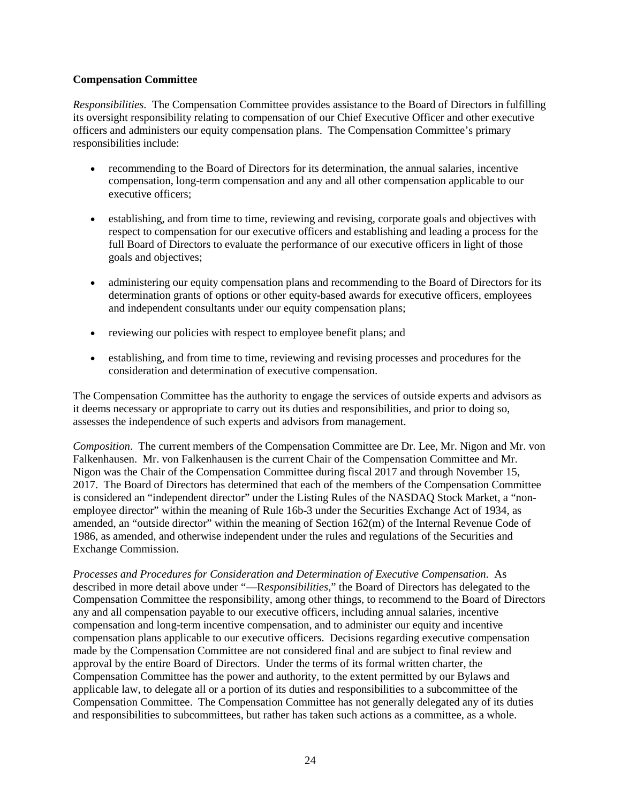### <span id="page-27-0"></span>**Compensation Committee**

*Responsibilities*. The Compensation Committee provides assistance to the Board of Directors in fulfilling its oversight responsibility relating to compensation of our Chief Executive Officer and other executive officers and administers our equity compensation plans. The Compensation Committee's primary responsibilities include:

- recommending to the Board of Directors for its determination, the annual salaries, incentive compensation, long-term compensation and any and all other compensation applicable to our executive officers;
- establishing, and from time to time, reviewing and revising, corporate goals and objectives with respect to compensation for our executive officers and establishing and leading a process for the full Board of Directors to evaluate the performance of our executive officers in light of those goals and objectives;
- administering our equity compensation plans and recommending to the Board of Directors for its determination grants of options or other equity-based awards for executive officers, employees and independent consultants under our equity compensation plans;
- reviewing our policies with respect to employee benefit plans; and
- establishing, and from time to time, reviewing and revising processes and procedures for the consideration and determination of executive compensation.

The Compensation Committee has the authority to engage the services of outside experts and advisors as it deems necessary or appropriate to carry out its duties and responsibilities, and prior to doing so, assesses the independence of such experts and advisors from management.

*Composition*. The current members of the Compensation Committee are Dr. Lee, Mr. Nigon and Mr. von Falkenhausen. Mr. von Falkenhausen is the current Chair of the Compensation Committee and Mr. Nigon was the Chair of the Compensation Committee during fiscal 2017 and through November 15, 2017. The Board of Directors has determined that each of the members of the Compensation Committee is considered an "independent director" under the Listing Rules of the NASDAQ Stock Market, a "nonemployee director" within the meaning of Rule 16b-3 under the Securities Exchange Act of 1934, as amended, an "outside director" within the meaning of Section 162(m) of the Internal Revenue Code of 1986, as amended, and otherwise independent under the rules and regulations of the Securities and Exchange Commission.

*Processes and Procedures for Consideration and Determination of Executive Compensation*. As described in more detail above under "—R*esponsibilities*," the Board of Directors has delegated to the Compensation Committee the responsibility, among other things, to recommend to the Board of Directors any and all compensation payable to our executive officers, including annual salaries, incentive compensation and long-term incentive compensation, and to administer our equity and incentive compensation plans applicable to our executive officers. Decisions regarding executive compensation made by the Compensation Committee are not considered final and are subject to final review and approval by the entire Board of Directors. Under the terms of its formal written charter, the Compensation Committee has the power and authority, to the extent permitted by our Bylaws and applicable law, to delegate all or a portion of its duties and responsibilities to a subcommittee of the Compensation Committee. The Compensation Committee has not generally delegated any of its duties and responsibilities to subcommittees, but rather has taken such actions as a committee, as a whole.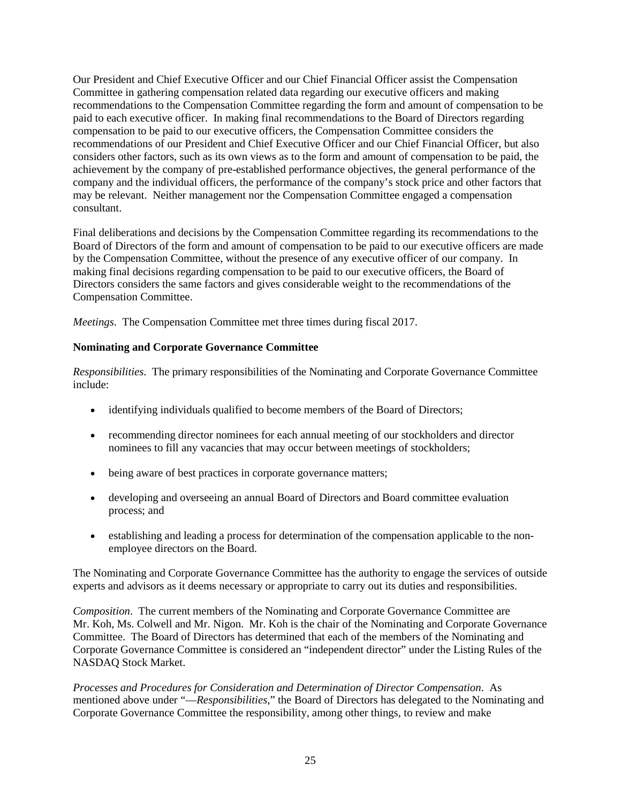Our President and Chief Executive Officer and our Chief Financial Officer assist the Compensation Committee in gathering compensation related data regarding our executive officers and making recommendations to the Compensation Committee regarding the form and amount of compensation to be paid to each executive officer. In making final recommendations to the Board of Directors regarding compensation to be paid to our executive officers, the Compensation Committee considers the recommendations of our President and Chief Executive Officer and our Chief Financial Officer, but also considers other factors, such as its own views as to the form and amount of compensation to be paid, the achievement by the company of pre-established performance objectives, the general performance of the company and the individual officers, the performance of the company's stock price and other factors that may be relevant. Neither management nor the Compensation Committee engaged a compensation consultant.

Final deliberations and decisions by the Compensation Committee regarding its recommendations to the Board of Directors of the form and amount of compensation to be paid to our executive officers are made by the Compensation Committee, without the presence of any executive officer of our company. In making final decisions regarding compensation to be paid to our executive officers, the Board of Directors considers the same factors and gives considerable weight to the recommendations of the Compensation Committee.

*Meetings*. The Compensation Committee met three times during fiscal 2017.

### <span id="page-28-0"></span>**Nominating and Corporate Governance Committee**

*Responsibilities*. The primary responsibilities of the Nominating and Corporate Governance Committee include:

- identifying individuals qualified to become members of the Board of Directors;
- recommending director nominees for each annual meeting of our stockholders and director nominees to fill any vacancies that may occur between meetings of stockholders;
- being aware of best practices in corporate governance matters;
- developing and overseeing an annual Board of Directors and Board committee evaluation process; and
- establishing and leading a process for determination of the compensation applicable to the nonemployee directors on the Board.

The Nominating and Corporate Governance Committee has the authority to engage the services of outside experts and advisors as it deems necessary or appropriate to carry out its duties and responsibilities.

*Composition*. The current members of the Nominating and Corporate Governance Committee are Mr. Koh, Ms. Colwell and Mr. Nigon. Mr. Koh is the chair of the Nominating and Corporate Governance Committee. The Board of Directors has determined that each of the members of the Nominating and Corporate Governance Committee is considered an "independent director" under the Listing Rules of the NASDAQ Stock Market.

*Processes and Procedures for Consideration and Determination of Director Compensation*. As mentioned above under "—*Responsibilities*," the Board of Directors has delegated to the Nominating and Corporate Governance Committee the responsibility, among other things, to review and make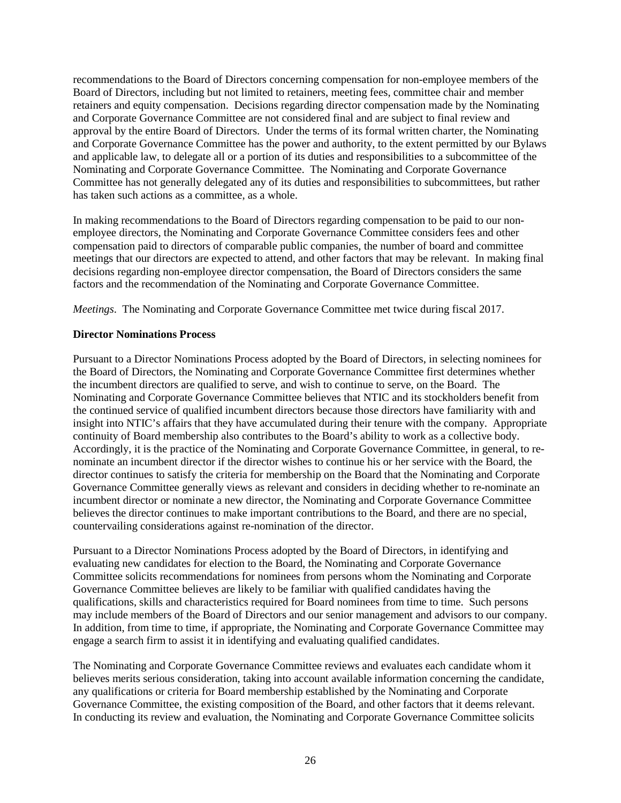recommendations to the Board of Directors concerning compensation for non-employee members of the Board of Directors, including but not limited to retainers, meeting fees, committee chair and member retainers and equity compensation. Decisions regarding director compensation made by the Nominating and Corporate Governance Committee are not considered final and are subject to final review and approval by the entire Board of Directors. Under the terms of its formal written charter, the Nominating and Corporate Governance Committee has the power and authority, to the extent permitted by our Bylaws and applicable law, to delegate all or a portion of its duties and responsibilities to a subcommittee of the Nominating and Corporate Governance Committee. The Nominating and Corporate Governance Committee has not generally delegated any of its duties and responsibilities to subcommittees, but rather has taken such actions as a committee, as a whole.

In making recommendations to the Board of Directors regarding compensation to be paid to our nonemployee directors, the Nominating and Corporate Governance Committee considers fees and other compensation paid to directors of comparable public companies, the number of board and committee meetings that our directors are expected to attend, and other factors that may be relevant. In making final decisions regarding non-employee director compensation, the Board of Directors considers the same factors and the recommendation of the Nominating and Corporate Governance Committee.

*Meetings*. The Nominating and Corporate Governance Committee met twice during fiscal 2017.

# <span id="page-29-0"></span>**Director Nominations Process**

Pursuant to a Director Nominations Process adopted by the Board of Directors, in selecting nominees for the Board of Directors, the Nominating and Corporate Governance Committee first determines whether the incumbent directors are qualified to serve, and wish to continue to serve, on the Board. The Nominating and Corporate Governance Committee believes that NTIC and its stockholders benefit from the continued service of qualified incumbent directors because those directors have familiarity with and insight into NTIC's affairs that they have accumulated during their tenure with the company. Appropriate continuity of Board membership also contributes to the Board's ability to work as a collective body. Accordingly, it is the practice of the Nominating and Corporate Governance Committee, in general, to renominate an incumbent director if the director wishes to continue his or her service with the Board, the director continues to satisfy the criteria for membership on the Board that the Nominating and Corporate Governance Committee generally views as relevant and considers in deciding whether to re-nominate an incumbent director or nominate a new director, the Nominating and Corporate Governance Committee believes the director continues to make important contributions to the Board, and there are no special, countervailing considerations against re-nomination of the director.

Pursuant to a Director Nominations Process adopted by the Board of Directors, in identifying and evaluating new candidates for election to the Board, the Nominating and Corporate Governance Committee solicits recommendations for nominees from persons whom the Nominating and Corporate Governance Committee believes are likely to be familiar with qualified candidates having the qualifications, skills and characteristics required for Board nominees from time to time. Such persons may include members of the Board of Directors and our senior management and advisors to our company. In addition, from time to time, if appropriate, the Nominating and Corporate Governance Committee may engage a search firm to assist it in identifying and evaluating qualified candidates.

The Nominating and Corporate Governance Committee reviews and evaluates each candidate whom it believes merits serious consideration, taking into account available information concerning the candidate, any qualifications or criteria for Board membership established by the Nominating and Corporate Governance Committee, the existing composition of the Board, and other factors that it deems relevant. In conducting its review and evaluation, the Nominating and Corporate Governance Committee solicits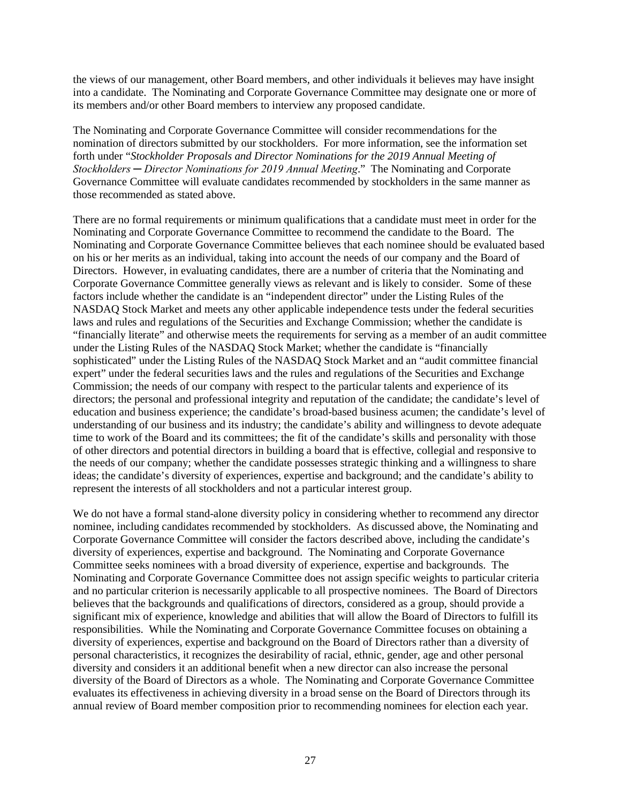the views of our management, other Board members, and other individuals it believes may have insight into a candidate. The Nominating and Corporate Governance Committee may designate one or more of its members and/or other Board members to interview any proposed candidate.

The Nominating and Corporate Governance Committee will consider recommendations for the nomination of directors submitted by our stockholders. For more information, see the information set forth under "*Stockholder Proposals and Director Nominations for the 2019 Annual Meeting of Stockholders ─ Director Nominations for 2019 Annual Meeting*." The Nominating and Corporate Governance Committee will evaluate candidates recommended by stockholders in the same manner as those recommended as stated above.

There are no formal requirements or minimum qualifications that a candidate must meet in order for the Nominating and Corporate Governance Committee to recommend the candidate to the Board. The Nominating and Corporate Governance Committee believes that each nominee should be evaluated based on his or her merits as an individual, taking into account the needs of our company and the Board of Directors. However, in evaluating candidates, there are a number of criteria that the Nominating and Corporate Governance Committee generally views as relevant and is likely to consider. Some of these factors include whether the candidate is an "independent director" under the Listing Rules of the NASDAQ Stock Market and meets any other applicable independence tests under the federal securities laws and rules and regulations of the Securities and Exchange Commission; whether the candidate is "financially literate" and otherwise meets the requirements for serving as a member of an audit committee under the Listing Rules of the NASDAQ Stock Market; whether the candidate is "financially sophisticated" under the Listing Rules of the NASDAQ Stock Market and an "audit committee financial expert" under the federal securities laws and the rules and regulations of the Securities and Exchange Commission; the needs of our company with respect to the particular talents and experience of its directors; the personal and professional integrity and reputation of the candidate; the candidate's level of education and business experience; the candidate's broad-based business acumen; the candidate's level of understanding of our business and its industry; the candidate's ability and willingness to devote adequate time to work of the Board and its committees; the fit of the candidate's skills and personality with those of other directors and potential directors in building a board that is effective, collegial and responsive to the needs of our company; whether the candidate possesses strategic thinking and a willingness to share ideas; the candidate's diversity of experiences, expertise and background; and the candidate's ability to represent the interests of all stockholders and not a particular interest group.

We do not have a formal stand-alone diversity policy in considering whether to recommend any director nominee, including candidates recommended by stockholders. As discussed above, the Nominating and Corporate Governance Committee will consider the factors described above, including the candidate's diversity of experiences, expertise and background. The Nominating and Corporate Governance Committee seeks nominees with a broad diversity of experience, expertise and backgrounds. The Nominating and Corporate Governance Committee does not assign specific weights to particular criteria and no particular criterion is necessarily applicable to all prospective nominees. The Board of Directors believes that the backgrounds and qualifications of directors, considered as a group, should provide a significant mix of experience, knowledge and abilities that will allow the Board of Directors to fulfill its responsibilities. While the Nominating and Corporate Governance Committee focuses on obtaining a diversity of experiences, expertise and background on the Board of Directors rather than a diversity of personal characteristics, it recognizes the desirability of racial, ethnic, gender, age and other personal diversity and considers it an additional benefit when a new director can also increase the personal diversity of the Board of Directors as a whole. The Nominating and Corporate Governance Committee evaluates its effectiveness in achieving diversity in a broad sense on the Board of Directors through its annual review of Board member composition prior to recommending nominees for election each year.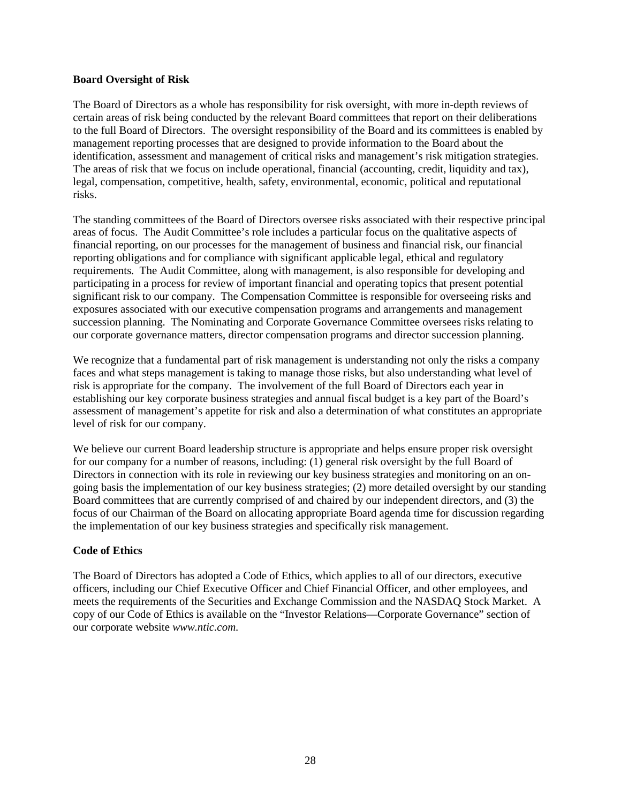#### <span id="page-31-0"></span>**Board Oversight of Risk**

The Board of Directors as a whole has responsibility for risk oversight, with more in-depth reviews of certain areas of risk being conducted by the relevant Board committees that report on their deliberations to the full Board of Directors. The oversight responsibility of the Board and its committees is enabled by management reporting processes that are designed to provide information to the Board about the identification, assessment and management of critical risks and management's risk mitigation strategies. The areas of risk that we focus on include operational, financial (accounting, credit, liquidity and tax), legal, compensation, competitive, health, safety, environmental, economic, political and reputational risks.

The standing committees of the Board of Directors oversee risks associated with their respective principal areas of focus. The Audit Committee's role includes a particular focus on the qualitative aspects of financial reporting, on our processes for the management of business and financial risk, our financial reporting obligations and for compliance with significant applicable legal, ethical and regulatory requirements. The Audit Committee, along with management, is also responsible for developing and participating in a process for review of important financial and operating topics that present potential significant risk to our company. The Compensation Committee is responsible for overseeing risks and exposures associated with our executive compensation programs and arrangements and management succession planning. The Nominating and Corporate Governance Committee oversees risks relating to our corporate governance matters, director compensation programs and director succession planning.

We recognize that a fundamental part of risk management is understanding not only the risks a company faces and what steps management is taking to manage those risks, but also understanding what level of risk is appropriate for the company. The involvement of the full Board of Directors each year in establishing our key corporate business strategies and annual fiscal budget is a key part of the Board's assessment of management's appetite for risk and also a determination of what constitutes an appropriate level of risk for our company.

We believe our current Board leadership structure is appropriate and helps ensure proper risk oversight for our company for a number of reasons, including: (1) general risk oversight by the full Board of Directors in connection with its role in reviewing our key business strategies and monitoring on an ongoing basis the implementation of our key business strategies; (2) more detailed oversight by our standing Board committees that are currently comprised of and chaired by our independent directors, and (3) the focus of our Chairman of the Board on allocating appropriate Board agenda time for discussion regarding the implementation of our key business strategies and specifically risk management.

### <span id="page-31-1"></span>**Code of Ethics**

The Board of Directors has adopted a Code of Ethics, which applies to all of our directors, executive officers, including our Chief Executive Officer and Chief Financial Officer, and other employees, and meets the requirements of the Securities and Exchange Commission and the NASDAQ Stock Market. A copy of our Code of Ethics is available on the "Investor Relations—Corporate Governance" section of our corporate website *[www.ntic.com](http://www.ntic.com/)*.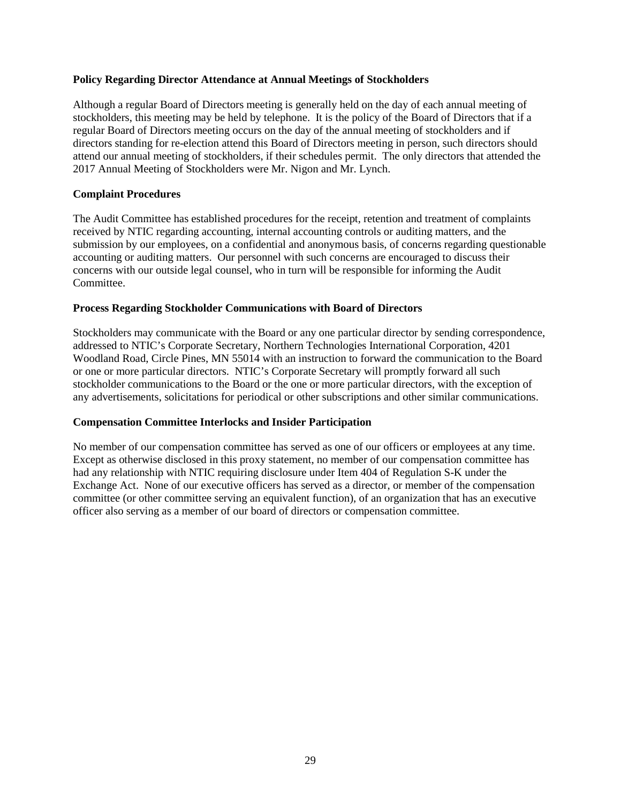#### <span id="page-32-0"></span>**Policy Regarding Director Attendance at Annual Meetings of Stockholders**

Although a regular Board of Directors meeting is generally held on the day of each annual meeting of stockholders, this meeting may be held by telephone. It is the policy of the Board of Directors that if a regular Board of Directors meeting occurs on the day of the annual meeting of stockholders and if directors standing for re-election attend this Board of Directors meeting in person, such directors should attend our annual meeting of stockholders, if their schedules permit. The only directors that attended the 2017 Annual Meeting of Stockholders were Mr. Nigon and Mr. Lynch.

#### <span id="page-32-1"></span>**Complaint Procedures**

The Audit Committee has established procedures for the receipt, retention and treatment of complaints received by NTIC regarding accounting, internal accounting controls or auditing matters, and the submission by our employees, on a confidential and anonymous basis, of concerns regarding questionable accounting or auditing matters. Our personnel with such concerns are encouraged to discuss their concerns with our outside legal counsel, who in turn will be responsible for informing the Audit Committee.

#### <span id="page-32-2"></span>**Process Regarding Stockholder Communications with Board of Directors**

Stockholders may communicate with the Board or any one particular director by sending correspondence, addressed to NTIC's Corporate Secretary, Northern Technologies International Corporation, 4201 Woodland Road, Circle Pines, MN 55014 with an instruction to forward the communication to the Board or one or more particular directors. NTIC's Corporate Secretary will promptly forward all such stockholder communications to the Board or the one or more particular directors, with the exception of any advertisements, solicitations for periodical or other subscriptions and other similar communications.

### <span id="page-32-3"></span>**Compensation Committee Interlocks and Insider Participation**

No member of our compensation committee has served as one of our officers or employees at any time. Except as otherwise disclosed in this proxy statement, no member of our compensation committee has had any relationship with NTIC requiring disclosure under Item 404 of Regulation S-K under the Exchange Act. None of our executive officers has served as a director, or member of the compensation committee (or other committee serving an equivalent function), of an organization that has an executive officer also serving as a member of our board of directors or compensation committee.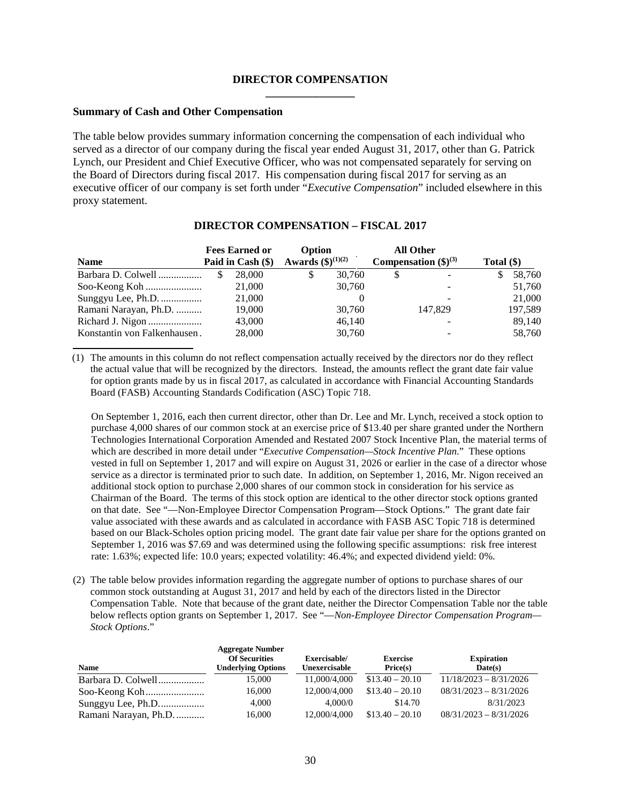#### **DIRECTOR COMPENSATION \_\_\_\_\_\_\_\_\_\_\_\_\_\_\_\_**

#### <span id="page-33-1"></span><span id="page-33-0"></span>**Summary of Cash and Other Compensation**

The table below provides summary information concerning the compensation of each individual who served as a director of our company during the fiscal year ended August 31, 2017, other than G. Patrick Lynch, our President and Chief Executive Officer, who was not compensated separately for serving on the Board of Directors during fiscal 2017. His compensation during fiscal 2017 for serving as an executive officer of our company is set forth under "*Executive Compensation*" included elsewhere in this proxy statement.

| <b>Name</b>                  | <b>Fees Earned or</b><br>Paid in Cash $(\$)$ | Option<br><b>Awards</b> $(\$)^{(1)(2)}$ |        | <b>All Other</b><br>Compensation $(\text{$\$})^{(3)}$ |         | Total $(\$)$ |         |
|------------------------------|----------------------------------------------|-----------------------------------------|--------|-------------------------------------------------------|---------|--------------|---------|
| Barbara D. Colwell           | 28,000                                       | S                                       | 30,760 | S                                                     |         |              | 58,760  |
|                              | 21,000                                       |                                         | 30,760 |                                                       |         |              | 51,760  |
| Sunggyu Lee, Ph.D.           | 21,000                                       |                                         |        |                                                       |         |              | 21,000  |
| Ramani Narayan, Ph.D.        | 19,000                                       |                                         | 30,760 |                                                       | 147.829 |              | 197,589 |
|                              | 43,000                                       |                                         | 46,140 |                                                       |         |              | 89.140  |
| Konstantin von Falkenhausen. | 28,000                                       |                                         | 30,760 |                                                       |         |              | 58,760  |

#### **DIRECTOR COMPENSATION – FISCAL 2017**

(1) The amounts in this column do not reflect compensation actually received by the directors nor do they reflect the actual value that will be recognized by the directors. Instead, the amounts reflect the grant date fair value for option grants made by us in fiscal 2017, as calculated in accordance with Financial Accounting Standards Board (FASB) Accounting Standards Codification (ASC) Topic 718.

On September 1, 2016, each then current director, other than Dr. Lee and Mr. Lynch, received a stock option to purchase 4,000 shares of our common stock at an exercise price of \$13.40 per share granted under the Northern Technologies International Corporation Amended and Restated 2007 Stock Incentive Plan, the material terms of which are described in more detail under "*Executive Compensation—Stock Incentive Plan*." These options vested in full on September 1, 2017 and will expire on August 31, 2026 or earlier in the case of a director whose service as a director is terminated prior to such date. In addition, on September 1, 2016, Mr. Nigon received an additional stock option to purchase 2,000 shares of our common stock in consideration for his service as Chairman of the Board. The terms of this stock option are identical to the other director stock options granted on that date. See "—Non-Employee Director Compensation Program—Stock Options." The grant date fair value associated with these awards and as calculated in accordance with FASB ASC Topic 718 is determined based on our Black-Scholes option pricing model. The grant date fair value per share for the options granted on September 1, 2016 was \$7.69 and was determined using the following specific assumptions: risk free interest rate: 1.63%; expected life: 10.0 years; expected volatility: 46.4%; and expected dividend yield: 0%.

(2) The table below provides information regarding the aggregate number of options to purchase shares of our common stock outstanding at August 31, 2017 and held by each of the directors listed in the Director Compensation Table. Note that because of the grant date, neither the Director Compensation Table nor the table below reflects option grants on September 1, 2017. See "—*Non-Employee Director Compensation Program— Stock Options*."

| <b>Name</b>           | <b>Aggregate Number</b><br><b>Of Securities</b><br><b>Underlying Options</b> | Exercisable/<br>Unexercisable | <b>Exercise</b><br>Price(s) | <b>Expiration</b><br>Date(s) |
|-----------------------|------------------------------------------------------------------------------|-------------------------------|-----------------------------|------------------------------|
| Barbara D. Colwell    | 15,000                                                                       | 11.000/4.000                  | $$13.40 - 20.10$            | $11/18/2023 - 8/31/2026$     |
|                       | 16,000                                                                       | 12,000/4,000                  | $$13.40 - 20.10$            | $08/31/2023 - 8/31/2026$     |
| Sunggyu Lee, Ph.D     | 4,000                                                                        | 4.000/0                       | \$14.70                     | 8/31/2023                    |
| Ramani Narayan, Ph.D. | 16.000                                                                       | 12,000/4,000                  | $$13.40 - 20.10$            | $08/31/2023 - 8/31/2026$     |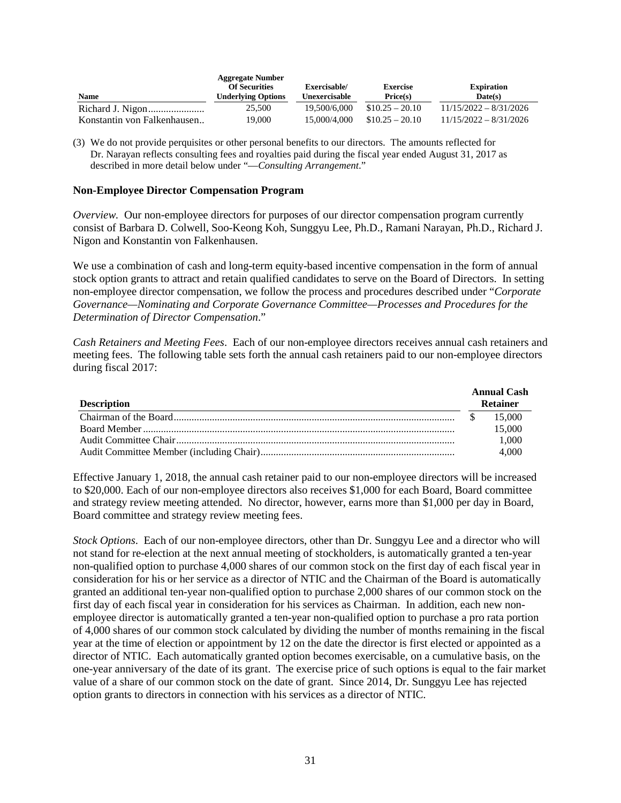| <b>Name</b>                 | <b>Aggregate Number</b><br><b>Of Securities</b><br><b>Underlying Options</b> | Exercisable/<br>Unexercisable | <b>Exercise</b><br>Price(s) | <b>Expiration</b><br>Date(s) |
|-----------------------------|------------------------------------------------------------------------------|-------------------------------|-----------------------------|------------------------------|
|                             | 25,500                                                                       | 19.500/6.000                  | $$10.25 - 20.10$            | $11/15/2022 - 8/31/2026$     |
| Konstantin von Falkenhausen | 19.000                                                                       | 15.000/4.000                  | $$10.25 - 20.10$            | $11/15/2022 - 8/31/2026$     |

(3) We do not provide perquisites or other personal benefits to our directors. The amounts reflected for Dr. Narayan reflects consulting fees and royalties paid during the fiscal year ended August 31, 2017 as described in more detail below under "—*Consulting Arrangement*."

#### <span id="page-34-0"></span>**Non-Employee Director Compensation Program**

*Overview.* Our non-employee directors for purposes of our director compensation program currently consist of Barbara D. Colwell, Soo-Keong Koh, Sunggyu Lee, Ph.D., Ramani Narayan, Ph.D., Richard J. Nigon and Konstantin von Falkenhausen.

We use a combination of cash and long-term equity-based incentive compensation in the form of annual stock option grants to attract and retain qualified candidates to serve on the Board of Directors. In setting non-employee director compensation, we follow the process and procedures described under "*Corporate Governance—Nominating and Corporate Governance Committee—Processes and Procedures for the Determination of Director Compensation*."

*Cash Retainers and Meeting Fees*. Each of our non-employee directors receives annual cash retainers and meeting fees. The following table sets forth the annual cash retainers paid to our non-employee directors during fiscal 2017:

| <b>Description</b> | <b>Annual Cash</b><br><b>Retainer</b> |
|--------------------|---------------------------------------|
|                    | $\frac{\$}{15.000}$                   |
|                    | 15,000                                |
|                    | 1.000                                 |
|                    | 4.000                                 |

Effective January 1, 2018, the annual cash retainer paid to our non-employee directors will be increased to \$20,000. Each of our non-employee directors also receives \$1,000 for each Board, Board committee and strategy review meeting attended. No director, however, earns more than \$1,000 per day in Board, Board committee and strategy review meeting fees.

*Stock Options*. Each of our non-employee directors, other than Dr. Sunggyu Lee and a director who will not stand for re-election at the next annual meeting of stockholders, is automatically granted a ten-year non-qualified option to purchase 4,000 shares of our common stock on the first day of each fiscal year in consideration for his or her service as a director of NTIC and the Chairman of the Board is automatically granted an additional ten-year non-qualified option to purchase 2,000 shares of our common stock on the first day of each fiscal year in consideration for his services as Chairman. In addition, each new nonemployee director is automatically granted a ten-year non-qualified option to purchase a pro rata portion of 4,000 shares of our common stock calculated by dividing the number of months remaining in the fiscal year at the time of election or appointment by 12 on the date the director is first elected or appointed as a director of NTIC. Each automatically granted option becomes exercisable, on a cumulative basis, on the one-year anniversary of the date of its grant. The exercise price of such options is equal to the fair market value of a share of our common stock on the date of grant. Since 2014, Dr. Sunggyu Lee has rejected option grants to directors in connection with his services as a director of NTIC.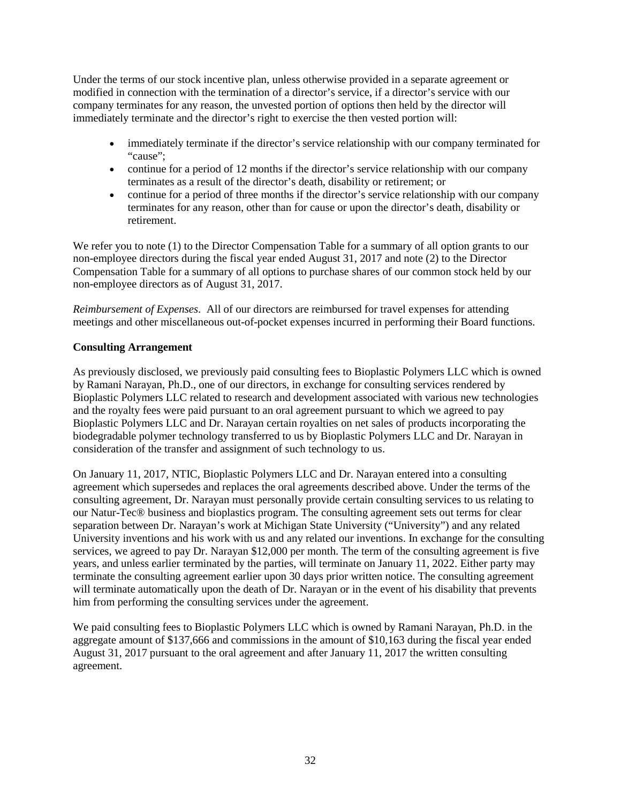Under the terms of our stock incentive plan, unless otherwise provided in a separate agreement or modified in connection with the termination of a director's service, if a director's service with our company terminates for any reason, the unvested portion of options then held by the director will immediately terminate and the director's right to exercise the then vested portion will:

- immediately terminate if the director's service relationship with our company terminated for "cause";
- continue for a period of 12 months if the director's service relationship with our company terminates as a result of the director's death, disability or retirement; or
- continue for a period of three months if the director's service relationship with our company terminates for any reason, other than for cause or upon the director's death, disability or retirement.

We refer you to note (1) to the Director Compensation Table for a summary of all option grants to our non-employee directors during the fiscal year ended August 31, 2017 and note (2) to the Director Compensation Table for a summary of all options to purchase shares of our common stock held by our non-employee directors as of August 31, 2017.

*Reimbursement of Expenses*. All of our directors are reimbursed for travel expenses for attending meetings and other miscellaneous out-of-pocket expenses incurred in performing their Board functions.

### <span id="page-35-0"></span>**Consulting Arrangement**

As previously disclosed, we previously paid consulting fees to Bioplastic Polymers LLC which is owned by Ramani Narayan, Ph.D., one of our directors, in exchange for consulting services rendered by Bioplastic Polymers LLC related to research and development associated with various new technologies and the royalty fees were paid pursuant to an oral agreement pursuant to which we agreed to pay Bioplastic Polymers LLC and Dr. Narayan certain royalties on net sales of products incorporating the biodegradable polymer technology transferred to us by Bioplastic Polymers LLC and Dr. Narayan in consideration of the transfer and assignment of such technology to us.

On January 11, 2017, NTIC, Bioplastic Polymers LLC and Dr. Narayan entered into a consulting agreement which supersedes and replaces the oral agreements described above. Under the terms of the consulting agreement, Dr. Narayan must personally provide certain consulting services to us relating to our Natur-Tec® business and bioplastics program. The consulting agreement sets out terms for clear separation between Dr. Narayan's work at Michigan State University ("University") and any related University inventions and his work with us and any related our inventions. In exchange for the consulting services, we agreed to pay Dr. Narayan \$12,000 per month. The term of the consulting agreement is five years, and unless earlier terminated by the parties, will terminate on January 11, 2022. Either party may terminate the consulting agreement earlier upon 30 days prior written notice. The consulting agreement will terminate automatically upon the death of Dr. Narayan or in the event of his disability that prevents him from performing the consulting services under the agreement.

We paid consulting fees to Bioplastic Polymers LLC which is owned by Ramani Narayan, Ph.D. in the aggregate amount of \$137,666 and commissions in the amount of \$10,163 during the fiscal year ended August 31, 2017 pursuant to the oral agreement and after January 11, 2017 the written consulting agreement.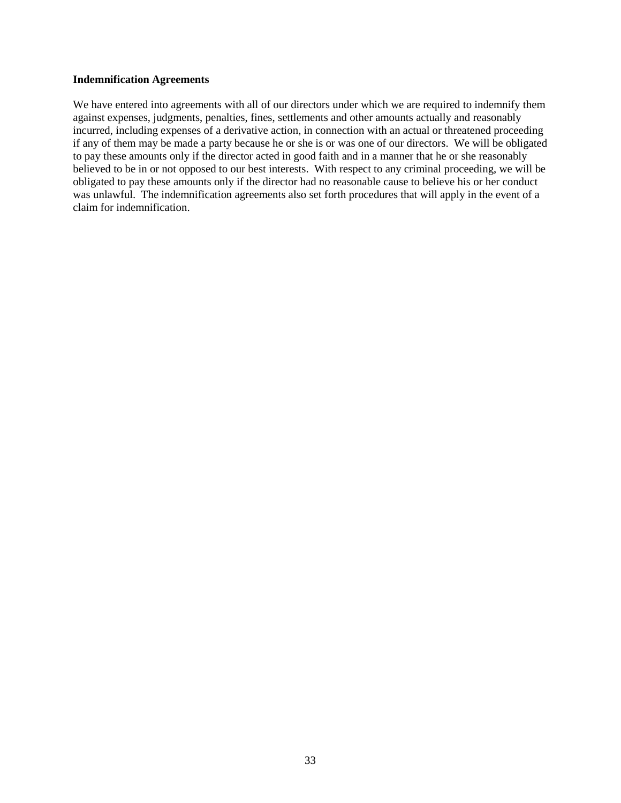#### <span id="page-36-0"></span>**Indemnification Agreements**

We have entered into agreements with all of our directors under which we are required to indemnify them against expenses, judgments, penalties, fines, settlements and other amounts actually and reasonably incurred, including expenses of a derivative action, in connection with an actual or threatened proceeding if any of them may be made a party because he or she is or was one of our directors. We will be obligated to pay these amounts only if the director acted in good faith and in a manner that he or she reasonably believed to be in or not opposed to our best interests. With respect to any criminal proceeding, we will be obligated to pay these amounts only if the director had no reasonable cause to believe his or her conduct was unlawful. The indemnification agreements also set forth procedures that will apply in the event of a claim for indemnification.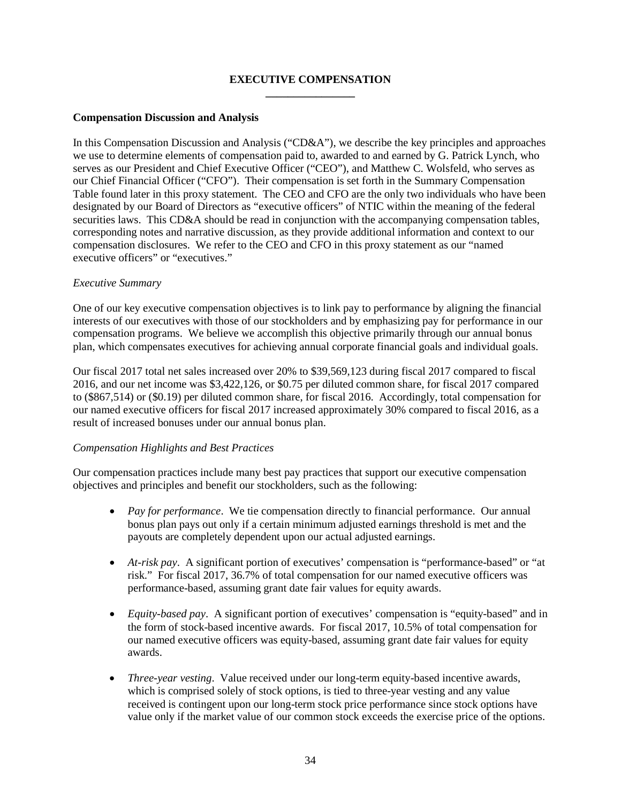# **EXECUTIVE COMPENSATION \_\_\_\_\_\_\_\_\_\_\_\_\_\_\_\_**

### <span id="page-37-1"></span><span id="page-37-0"></span>**Compensation Discussion and Analysis**

In this Compensation Discussion and Analysis ("CD&A"), we describe the key principles and approaches we use to determine elements of compensation paid to, awarded to and earned by G. Patrick Lynch, who serves as our President and Chief Executive Officer ("CEO"), and Matthew C. Wolsfeld, who serves as our Chief Financial Officer ("CFO"). Their compensation is set forth in the Summary Compensation Table found later in this proxy statement. The CEO and CFO are the only two individuals who have been designated by our Board of Directors as "executive officers" of NTIC within the meaning of the federal securities laws. This CD&A should be read in conjunction with the accompanying compensation tables, corresponding notes and narrative discussion, as they provide additional information and context to our compensation disclosures. We refer to the CEO and CFO in this proxy statement as our "named executive officers" or "executives."

#### *Executive Summary*

One of our key executive compensation objectives is to link pay to performance by aligning the financial interests of our executives with those of our stockholders and by emphasizing pay for performance in our compensation programs. We believe we accomplish this objective primarily through our annual bonus plan, which compensates executives for achieving annual corporate financial goals and individual goals.

Our fiscal 2017 total net sales increased over 20% to \$39,569,123 during fiscal 2017 compared to fiscal 2016, and our net income was \$3,422,126, or \$0.75 per diluted common share, for fiscal 2017 compared to (\$867,514) or (\$0.19) per diluted common share, for fiscal 2016. Accordingly, total compensation for our named executive officers for fiscal 2017 increased approximately 30% compared to fiscal 2016, as a result of increased bonuses under our annual bonus plan.

### *Compensation Highlights and Best Practices*

Our compensation practices include many best pay practices that support our executive compensation objectives and principles and benefit our stockholders, such as the following:

- *Pay for performance*. We tie compensation directly to financial performance. Our annual bonus plan pays out only if a certain minimum adjusted earnings threshold is met and the payouts are completely dependent upon our actual adjusted earnings.
- *At-risk pay*. A significant portion of executives' compensation is "performance-based" or "at risk." For fiscal 2017, 36.7% of total compensation for our named executive officers was performance-based, assuming grant date fair values for equity awards.
- *Equity-based pay*. A significant portion of executives' compensation is "equity-based" and in the form of stock-based incentive awards. For fiscal 2017, 10.5% of total compensation for our named executive officers was equity-based, assuming grant date fair values for equity awards.
- *Three-year vesting*. Value received under our long-term equity-based incentive awards, which is comprised solely of stock options, is tied to three-year vesting and any value received is contingent upon our long-term stock price performance since stock options have value only if the market value of our common stock exceeds the exercise price of the options.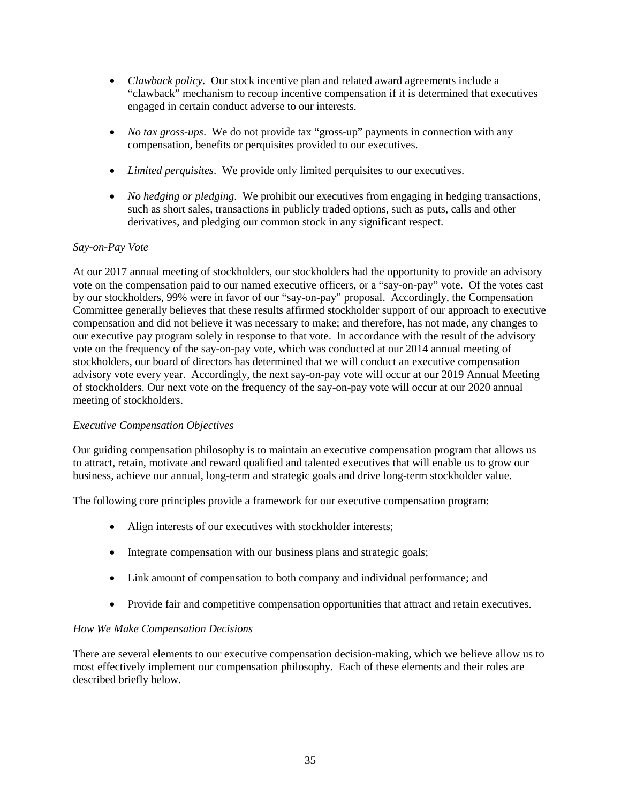- *Clawback policy*. Our stock incentive plan and related award agreements include a "clawback" mechanism to recoup incentive compensation if it is determined that executives engaged in certain conduct adverse to our interests.
- *No tax gross-ups*. We do not provide tax "gross-up" payments in connection with any compensation, benefits or perquisites provided to our executives.
- *Limited perquisites*. We provide only limited perquisites to our executives.
- *No hedging or pledging*. We prohibit our executives from engaging in hedging transactions, such as short sales, transactions in publicly traded options, such as puts, calls and other derivatives, and pledging our common stock in any significant respect.

### *Say-on-Pay Vote*

At our 2017 annual meeting of stockholders, our stockholders had the opportunity to provide an advisory vote on the compensation paid to our named executive officers, or a "say-on-pay" vote. Of the votes cast by our stockholders, 99% were in favor of our "say-on-pay" proposal. Accordingly, the Compensation Committee generally believes that these results affirmed stockholder support of our approach to executive compensation and did not believe it was necessary to make; and therefore, has not made, any changes to our executive pay program solely in response to that vote. In accordance with the result of the advisory vote on the frequency of the say-on-pay vote, which was conducted at our 2014 annual meeting of stockholders, our board of directors has determined that we will conduct an executive compensation advisory vote every year. Accordingly, the next say-on-pay vote will occur at our 2019 Annual Meeting of stockholders. Our next vote on the frequency of the say-on-pay vote will occur at our 2020 annual meeting of stockholders.

### *Executive Compensation Objectives*

Our guiding compensation philosophy is to maintain an executive compensation program that allows us to attract, retain, motivate and reward qualified and talented executives that will enable us to grow our business, achieve our annual, long-term and strategic goals and drive long-term stockholder value.

The following core principles provide a framework for our executive compensation program:

- Align interests of our executives with stockholder interests;
- Integrate compensation with our business plans and strategic goals;
- Link amount of compensation to both company and individual performance; and
- Provide fair and competitive compensation opportunities that attract and retain executives.

### *How We Make Compensation Decisions*

There are several elements to our executive compensation decision-making, which we believe allow us to most effectively implement our compensation philosophy. Each of these elements and their roles are described briefly below.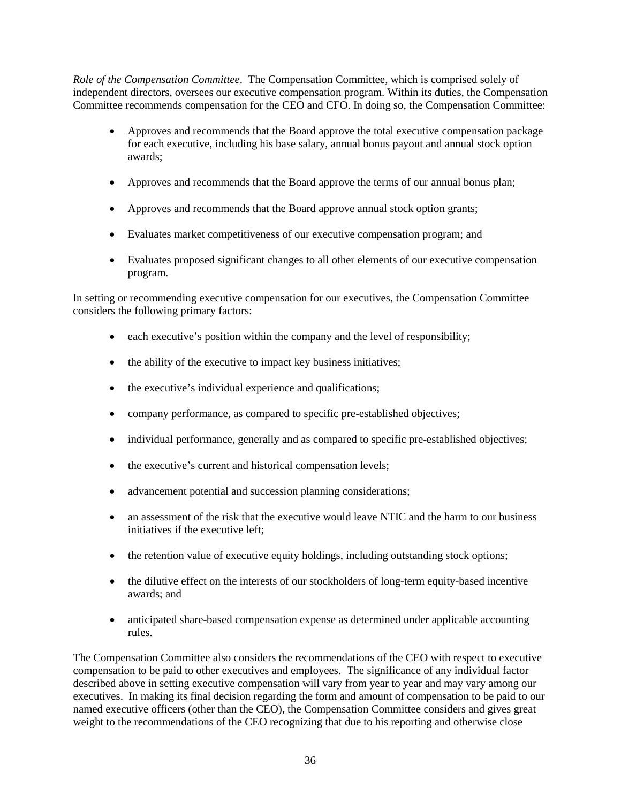*Role of the Compensation Committee*. The Compensation Committee, which is comprised solely of independent directors, oversees our executive compensation program. Within its duties, the Compensation Committee recommends compensation for the CEO and CFO. In doing so, the Compensation Committee:

- Approves and recommends that the Board approve the total executive compensation package for each executive, including his base salary, annual bonus payout and annual stock option awards;
- Approves and recommends that the Board approve the terms of our annual bonus plan;
- Approves and recommends that the Board approve annual stock option grants;
- Evaluates market competitiveness of our executive compensation program; and
- Evaluates proposed significant changes to all other elements of our executive compensation program.

In setting or recommending executive compensation for our executives, the Compensation Committee considers the following primary factors:

- each executive's position within the company and the level of responsibility;
- the ability of the executive to impact key business initiatives;
- the executive's individual experience and qualifications;
- company performance, as compared to specific pre-established objectives;
- individual performance, generally and as compared to specific pre-established objectives;
- the executive's current and historical compensation levels;
- advancement potential and succession planning considerations;
- an assessment of the risk that the executive would leave NTIC and the harm to our business initiatives if the executive left;
- the retention value of executive equity holdings, including outstanding stock options;
- the dilutive effect on the interests of our stockholders of long-term equity-based incentive awards; and
- anticipated share-based compensation expense as determined under applicable accounting rules.

The Compensation Committee also considers the recommendations of the CEO with respect to executive compensation to be paid to other executives and employees. The significance of any individual factor described above in setting executive compensation will vary from year to year and may vary among our executives. In making its final decision regarding the form and amount of compensation to be paid to our named executive officers (other than the CEO), the Compensation Committee considers and gives great weight to the recommendations of the CEO recognizing that due to his reporting and otherwise close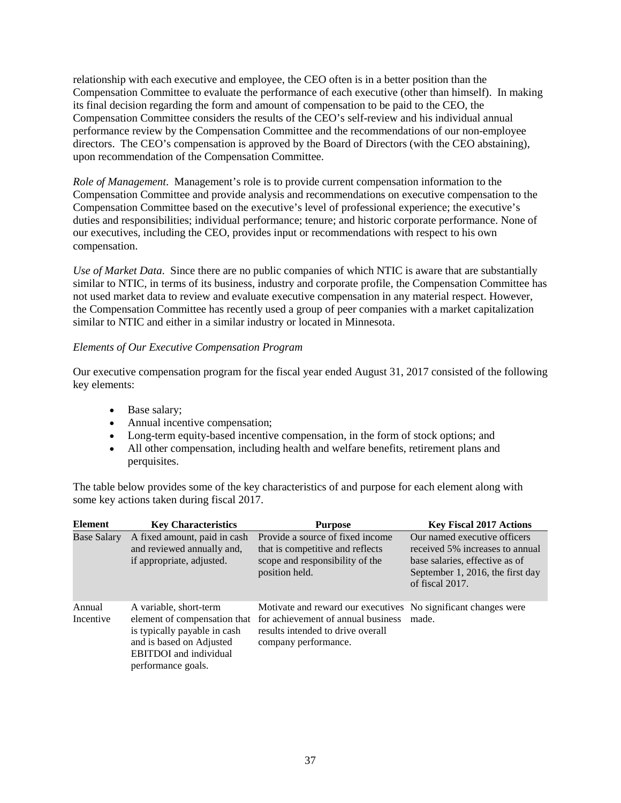relationship with each executive and employee, the CEO often is in a better position than the Compensation Committee to evaluate the performance of each executive (other than himself). In making its final decision regarding the form and amount of compensation to be paid to the CEO, the Compensation Committee considers the results of the CEO's self-review and his individual annual performance review by the Compensation Committee and the recommendations of our non-employee directors. The CEO's compensation is approved by the Board of Directors (with the CEO abstaining), upon recommendation of the Compensation Committee.

*Role of Management*. Management's role is to provide current compensation information to the Compensation Committee and provide analysis and recommendations on executive compensation to the Compensation Committee based on the executive's level of professional experience; the executive's duties and responsibilities; individual performance; tenure; and historic corporate performance. None of our executives, including the CEO, provides input or recommendations with respect to his own compensation.

*Use of Market Data*. Since there are no public companies of which NTIC is aware that are substantially similar to NTIC, in terms of its business, industry and corporate profile, the Compensation Committee has not used market data to review and evaluate executive compensation in any material respect. However, the Compensation Committee has recently used a group of peer companies with a market capitalization similar to NTIC and either in a similar industry or located in Minnesota.

### *Elements of Our Executive Compensation Program*

Our executive compensation program for the fiscal year ended August 31, 2017 consisted of the following key elements:

- Base salary;
- Annual incentive compensation;
- Long-term equity-based incentive compensation, in the form of stock options; and
- All other compensation, including health and welfare benefits, retirement plans and perquisites.

The table below provides some of the key characteristics of and purpose for each element along with some key actions taken during fiscal 2017.

| <b>Element</b>      | <b>Key Characteristics</b>                                                                                                                | <b>Purpose</b>                                                                                                                                                                                 | <b>Key Fiscal 2017 Actions</b>                                                                                                                           |
|---------------------|-------------------------------------------------------------------------------------------------------------------------------------------|------------------------------------------------------------------------------------------------------------------------------------------------------------------------------------------------|----------------------------------------------------------------------------------------------------------------------------------------------------------|
| <b>Base Salary</b>  | A fixed amount, paid in cash<br>and reviewed annually and,<br>if appropriate, adjusted.                                                   | Provide a source of fixed income<br>that is competitive and reflects<br>scope and responsibility of the<br>position held.                                                                      | Our named executive officers<br>received 5% increases to annual<br>base salaries, effective as of<br>September 1, 2016, the first day<br>of fiscal 2017. |
| Annual<br>Incentive | A variable, short-term<br>is typically payable in cash<br>and is based on Adjusted<br><b>EBITDOI</b> and individual<br>performance goals. | Motivate and reward our executives No significant changes were<br>element of compensation that for achievement of annual business<br>results intended to drive overall<br>company performance. | made.                                                                                                                                                    |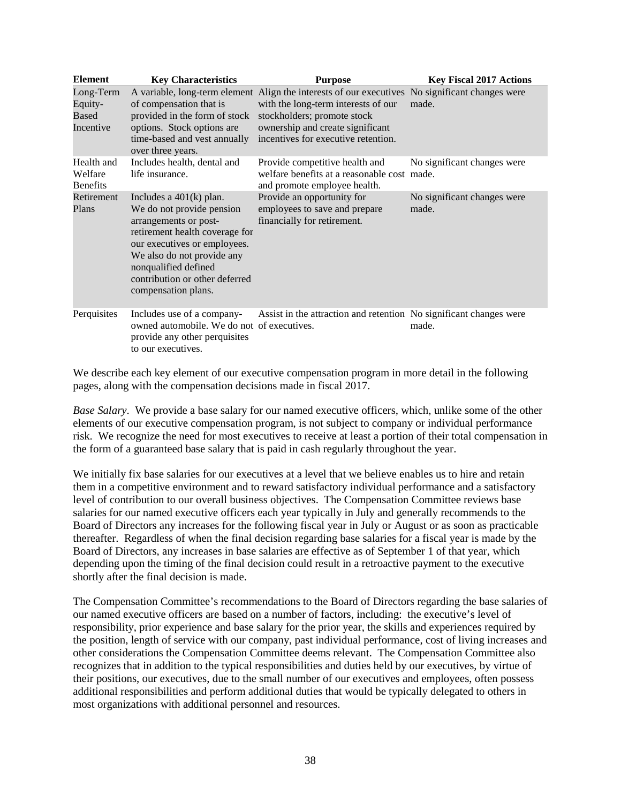| <b>Element</b>                             | <b>Key Characteristics</b>                                                                                                                                                                                                                                       | <b>Purpose</b>                                                                                                                                                                                                                                   | <b>Key Fiscal 2017 Actions</b>       |  |  |  |
|--------------------------------------------|------------------------------------------------------------------------------------------------------------------------------------------------------------------------------------------------------------------------------------------------------------------|--------------------------------------------------------------------------------------------------------------------------------------------------------------------------------------------------------------------------------------------------|--------------------------------------|--|--|--|
| Long-Term<br>Equity-<br>Based<br>Incentive | of compensation that is<br>provided in the form of stock<br>options. Stock options are<br>time-based and vest annually<br>over three years.                                                                                                                      | A variable, long-term element Align the interests of our executives No significant changes were<br>with the long-term interests of our<br>stockholders; promote stock<br>ownership and create significant<br>incentives for executive retention. | made.                                |  |  |  |
| Health and<br>Welfare<br><b>Benefits</b>   | Includes health, dental and<br>life insurance.                                                                                                                                                                                                                   | Provide competitive health and<br>welfare benefits at a reasonable cost made.<br>and promote employee health.                                                                                                                                    | No significant changes were          |  |  |  |
| Retirement<br>Plans                        | Includes a $401(k)$ plan.<br>We do not provide pension<br>arrangements or post-<br>retirement health coverage for<br>our executives or employees.<br>We also do not provide any<br>nonqualified defined<br>contribution or other deferred<br>compensation plans. | Provide an opportunity for<br>employees to save and prepare<br>financially for retirement.                                                                                                                                                       | No significant changes were<br>made. |  |  |  |
| Perquisites                                | Includes use of a company-<br>owned automobile. We do not of executives.<br>provide any other perquisites<br>to our executives.                                                                                                                                  | Assist in the attraction and retention No significant changes were                                                                                                                                                                               | made.                                |  |  |  |

We describe each key element of our executive compensation program in more detail in the following pages, along with the compensation decisions made in fiscal 2017.

*Base Salary*. We provide a base salary for our named executive officers, which, unlike some of the other elements of our executive compensation program, is not subject to company or individual performance risk. We recognize the need for most executives to receive at least a portion of their total compensation in the form of a guaranteed base salary that is paid in cash regularly throughout the year.

We initially fix base salaries for our executives at a level that we believe enables us to hire and retain them in a competitive environment and to reward satisfactory individual performance and a satisfactory level of contribution to our overall business objectives. The Compensation Committee reviews base salaries for our named executive officers each year typically in July and generally recommends to the Board of Directors any increases for the following fiscal year in July or August or as soon as practicable thereafter. Regardless of when the final decision regarding base salaries for a fiscal year is made by the Board of Directors, any increases in base salaries are effective as of September 1 of that year, which depending upon the timing of the final decision could result in a retroactive payment to the executive shortly after the final decision is made.

The Compensation Committee's recommendations to the Board of Directors regarding the base salaries of our named executive officers are based on a number of factors, including: the executive's level of responsibility, prior experience and base salary for the prior year, the skills and experiences required by the position, length of service with our company, past individual performance, cost of living increases and other considerations the Compensation Committee deems relevant. The Compensation Committee also recognizes that in addition to the typical responsibilities and duties held by our executives, by virtue of their positions, our executives, due to the small number of our executives and employees, often possess additional responsibilities and perform additional duties that would be typically delegated to others in most organizations with additional personnel and resources.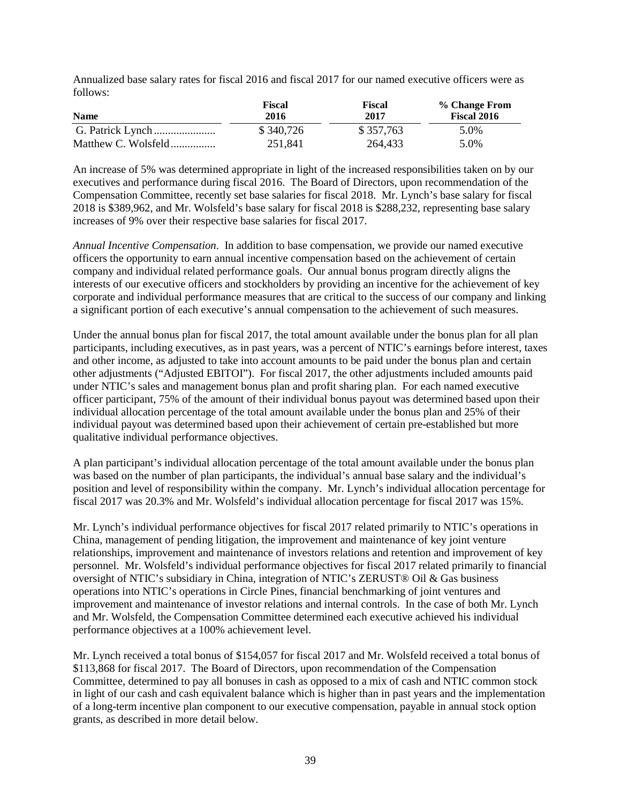Annualized base salary rates for fiscal 2016 and fiscal 2017 for our named executive officers were as follows:

|                     | Fiscal    | <b>Fiscal</b> | % Change From      |  |  |
|---------------------|-----------|---------------|--------------------|--|--|
| <b>Name</b>         | 2016      | 2017          | <b>Fiscal 2016</b> |  |  |
|                     | \$340,726 | \$357,763     | 5.0%               |  |  |
| Matthew C. Wolsfeld | 251.841   | 264.433       | 5.0%               |  |  |

An increase of 5% was determined appropriate in light of the increased responsibilities taken on by our executives and performance during fiscal 2016. The Board of Directors, upon recommendation of the Compensation Committee, recently set base salaries for fiscal 2018. Mr. Lynch's base salary for fiscal 2018 is \$389,962, and Mr. Wolsfeld's base salary for fiscal 2018 is \$288,232, representing base salary increases of 9% over their respective base salaries for fiscal 2017.

*Annual Incentive Compensation*. In addition to base compensation, we provide our named executive officers the opportunity to earn annual incentive compensation based on the achievement of certain company and individual related performance goals. Our annual bonus program directly aligns the interests of our executive officers and stockholders by providing an incentive for the achievement of key corporate and individual performance measures that are critical to the success of our company and linking a significant portion of each executive's annual compensation to the achievement of such measures.

Under the annual bonus plan for fiscal 2017, the total amount available under the bonus plan for all plan participants, including executives, as in past years, was a percent of NTIC's earnings before interest, taxes and other income, as adjusted to take into account amounts to be paid under the bonus plan and certain other adjustments ("Adjusted EBITOI"). For fiscal 2017, the other adjustments included amounts paid under NTIC's sales and management bonus plan and profit sharing plan. For each named executive officer participant, 75% of the amount of their individual bonus payout was determined based upon their individual allocation percentage of the total amount available under the bonus plan and 25% of their individual payout was determined based upon their achievement of certain pre-established but more qualitative individual performance objectives.

A plan participant's individual allocation percentage of the total amount available under the bonus plan was based on the number of plan participants, the individual's annual base salary and the individual's position and level of responsibility within the company. Mr. Lynch's individual allocation percentage for fiscal 2017 was 20.3% and Mr. Wolsfeld's individual allocation percentage for fiscal 2017 was 15%.

Mr. Lynch's individual performance objectives for fiscal 2017 related primarily to NTIC's operations in China, management of pending litigation, the improvement and maintenance of key joint venture relationships, improvement and maintenance of investors relations and retention and improvement of key personnel. Mr. Wolsfeld's individual performance objectives for fiscal 2017 related primarily to financial oversight of NTIC's subsidiary in China, integration of NTIC's ZERUST® Oil & Gas business operations into NTIC's operations in Circle Pines, financial benchmarking of joint ventures and improvement and maintenance of investor relations and internal controls. In the case of both Mr. Lynch and Mr. Wolsfeld, the Compensation Committee determined each executive achieved his individual performance objectives at a 100% achievement level.

Mr. Lynch received a total bonus of \$154,057 for fiscal 2017 and Mr. Wolsfeld received a total bonus of \$113,868 for fiscal 2017. The Board of Directors, upon recommendation of the Compensation Committee, determined to pay all bonuses in cash as opposed to a mix of cash and NTIC common stock in light of our cash and cash equivalent balance which is higher than in past years and the implementation of a long-term incentive plan component to our executive compensation, payable in annual stock option grants, as described in more detail below.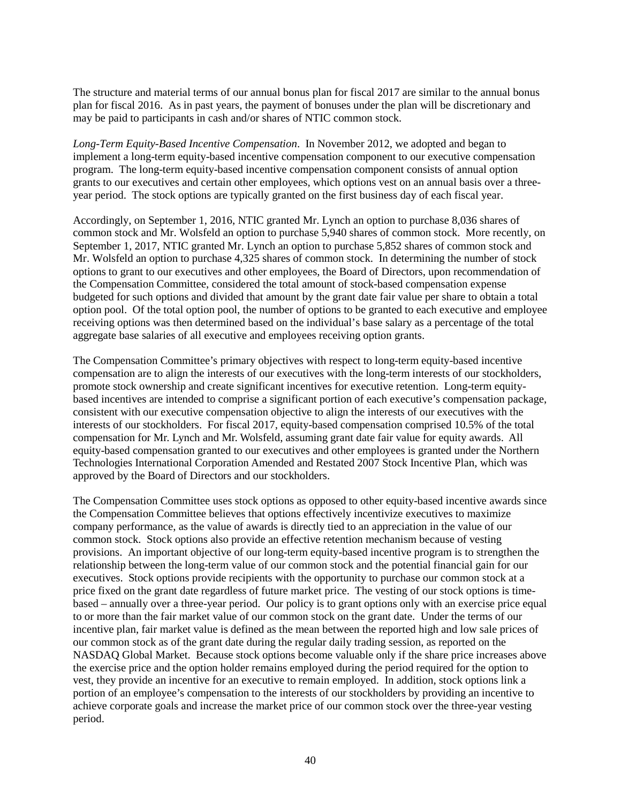The structure and material terms of our annual bonus plan for fiscal 2017 are similar to the annual bonus plan for fiscal 2016. As in past years, the payment of bonuses under the plan will be discretionary and may be paid to participants in cash and/or shares of NTIC common stock.

*Long-Term Equity-Based Incentive Compensation*. In November 2012, we adopted and began to implement a long-term equity-based incentive compensation component to our executive compensation program. The long-term equity-based incentive compensation component consists of annual option grants to our executives and certain other employees, which options vest on an annual basis over a threeyear period. The stock options are typically granted on the first business day of each fiscal year.

Accordingly, on September 1, 2016, NTIC granted Mr. Lynch an option to purchase 8,036 shares of common stock and Mr. Wolsfeld an option to purchase 5,940 shares of common stock. More recently, on September 1, 2017, NTIC granted Mr. Lynch an option to purchase 5,852 shares of common stock and Mr. Wolsfeld an option to purchase 4,325 shares of common stock. In determining the number of stock options to grant to our executives and other employees, the Board of Directors, upon recommendation of the Compensation Committee, considered the total amount of stock-based compensation expense budgeted for such options and divided that amount by the grant date fair value per share to obtain a total option pool. Of the total option pool, the number of options to be granted to each executive and employee receiving options was then determined based on the individual's base salary as a percentage of the total aggregate base salaries of all executive and employees receiving option grants.

The Compensation Committee's primary objectives with respect to long-term equity-based incentive compensation are to align the interests of our executives with the long-term interests of our stockholders, promote stock ownership and create significant incentives for executive retention. Long-term equitybased incentives are intended to comprise a significant portion of each executive's compensation package, consistent with our executive compensation objective to align the interests of our executives with the interests of our stockholders. For fiscal 2017, equity-based compensation comprised 10.5% of the total compensation for Mr. Lynch and Mr. Wolsfeld, assuming grant date fair value for equity awards. All equity-based compensation granted to our executives and other employees is granted under the Northern Technologies International Corporation Amended and Restated 2007 Stock Incentive Plan, which was approved by the Board of Directors and our stockholders.

The Compensation Committee uses stock options as opposed to other equity-based incentive awards since the Compensation Committee believes that options effectively incentivize executives to maximize company performance, as the value of awards is directly tied to an appreciation in the value of our common stock. Stock options also provide an effective retention mechanism because of vesting provisions. An important objective of our long-term equity-based incentive program is to strengthen the relationship between the long-term value of our common stock and the potential financial gain for our executives. Stock options provide recipients with the opportunity to purchase our common stock at a price fixed on the grant date regardless of future market price. The vesting of our stock options is timebased – annually over a three-year period. Our policy is to grant options only with an exercise price equal to or more than the fair market value of our common stock on the grant date. Under the terms of our incentive plan, fair market value is defined as the mean between the reported high and low sale prices of our common stock as of the grant date during the regular daily trading session, as reported on the NASDAQ Global Market. Because stock options become valuable only if the share price increases above the exercise price and the option holder remains employed during the period required for the option to vest, they provide an incentive for an executive to remain employed. In addition, stock options link a portion of an employee's compensation to the interests of our stockholders by providing an incentive to achieve corporate goals and increase the market price of our common stock over the three-year vesting period.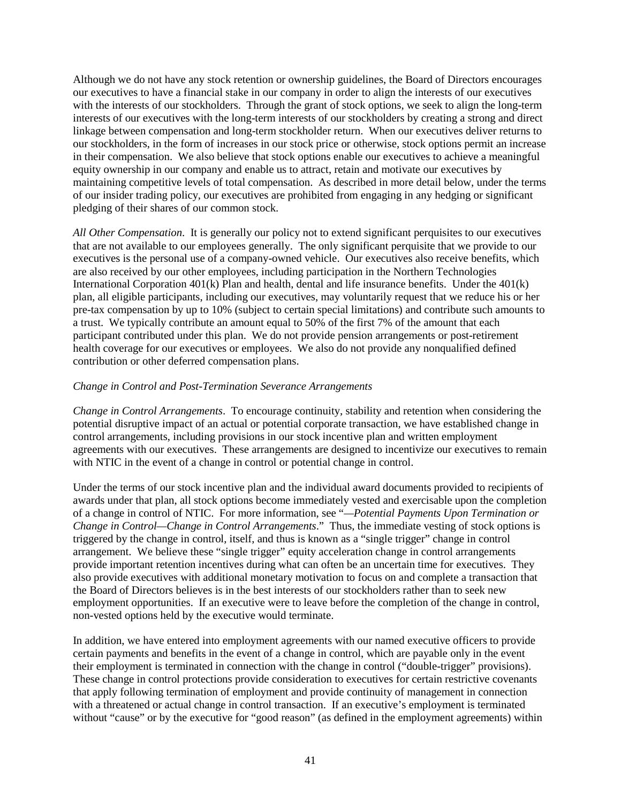Although we do not have any stock retention or ownership guidelines, the Board of Directors encourages our executives to have a financial stake in our company in order to align the interests of our executives with the interests of our stockholders. Through the grant of stock options, we seek to align the long-term interests of our executives with the long-term interests of our stockholders by creating a strong and direct linkage between compensation and long-term stockholder return. When our executives deliver returns to our stockholders, in the form of increases in our stock price or otherwise, stock options permit an increase in their compensation. We also believe that stock options enable our executives to achieve a meaningful equity ownership in our company and enable us to attract, retain and motivate our executives by maintaining competitive levels of total compensation. As described in more detail below, under the terms of our insider trading policy, our executives are prohibited from engaging in any hedging or significant pledging of their shares of our common stock.

*All Other Compensation*. It is generally our policy not to extend significant perquisites to our executives that are not available to our employees generally. The only significant perquisite that we provide to our executives is the personal use of a company-owned vehicle. Our executives also receive benefits, which are also received by our other employees, including participation in the Northern Technologies International Corporation 401(k) Plan and health, dental and life insurance benefits. Under the 401(k) plan, all eligible participants, including our executives, may voluntarily request that we reduce his or her pre-tax compensation by up to 10% (subject to certain special limitations) and contribute such amounts to a trust. We typically contribute an amount equal to 50% of the first 7% of the amount that each participant contributed under this plan. We do not provide pension arrangements or post-retirement health coverage for our executives or employees. We also do not provide any nonqualified defined contribution or other deferred compensation plans.

### *Change in Control and Post-Termination Severance Arrangements*

*Change in Control Arrangements*. To encourage continuity, stability and retention when considering the potential disruptive impact of an actual or potential corporate transaction, we have established change in control arrangements, including provisions in our stock incentive plan and written employment agreements with our executives. These arrangements are designed to incentivize our executives to remain with NTIC in the event of a change in control or potential change in control.

Under the terms of our stock incentive plan and the individual award documents provided to recipients of awards under that plan, all stock options become immediately vested and exercisable upon the completion of a change in control of NTIC. For more information, see "*—Potential Payments Upon Termination or Change in Control—Change in Control Arrangements*." Thus, the immediate vesting of stock options is triggered by the change in control, itself, and thus is known as a "single trigger" change in control arrangement. We believe these "single trigger" equity acceleration change in control arrangements provide important retention incentives during what can often be an uncertain time for executives. They also provide executives with additional monetary motivation to focus on and complete a transaction that the Board of Directors believes is in the best interests of our stockholders rather than to seek new employment opportunities. If an executive were to leave before the completion of the change in control, non-vested options held by the executive would terminate.

In addition, we have entered into employment agreements with our named executive officers to provide certain payments and benefits in the event of a change in control, which are payable only in the event their employment is terminated in connection with the change in control ("double-trigger" provisions). These change in control protections provide consideration to executives for certain restrictive covenants that apply following termination of employment and provide continuity of management in connection with a threatened or actual change in control transaction. If an executive's employment is terminated without "cause" or by the executive for "good reason" (as defined in the employment agreements) within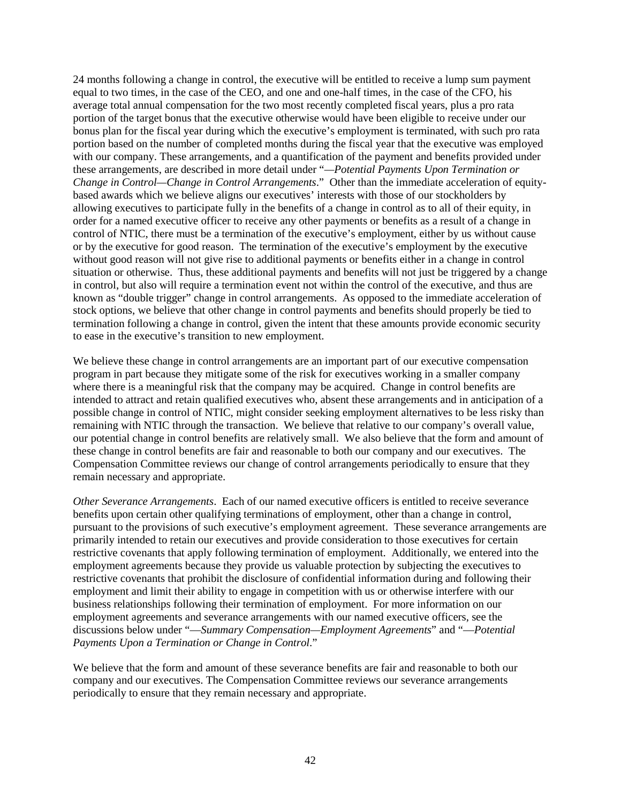24 months following a change in control, the executive will be entitled to receive a lump sum payment equal to two times, in the case of the CEO, and one and one-half times, in the case of the CFO, his average total annual compensation for the two most recently completed fiscal years, plus a pro rata portion of the target bonus that the executive otherwise would have been eligible to receive under our bonus plan for the fiscal year during which the executive's employment is terminated, with such pro rata portion based on the number of completed months during the fiscal year that the executive was employed with our company. These arrangements, and a quantification of the payment and benefits provided under these arrangements, are described in more detail under "*—Potential Payments Upon Termination or Change in Control—Change in Control Arrangements*." Other than the immediate acceleration of equitybased awards which we believe aligns our executives' interests with those of our stockholders by allowing executives to participate fully in the benefits of a change in control as to all of their equity, in order for a named executive officer to receive any other payments or benefits as a result of a change in control of NTIC, there must be a termination of the executive's employment, either by us without cause or by the executive for good reason. The termination of the executive's employment by the executive without good reason will not give rise to additional payments or benefits either in a change in control situation or otherwise. Thus, these additional payments and benefits will not just be triggered by a change in control, but also will require a termination event not within the control of the executive, and thus are known as "double trigger" change in control arrangements. As opposed to the immediate acceleration of stock options, we believe that other change in control payments and benefits should properly be tied to termination following a change in control, given the intent that these amounts provide economic security to ease in the executive's transition to new employment.

We believe these change in control arrangements are an important part of our executive compensation program in part because they mitigate some of the risk for executives working in a smaller company where there is a meaningful risk that the company may be acquired. Change in control benefits are intended to attract and retain qualified executives who, absent these arrangements and in anticipation of a possible change in control of NTIC, might consider seeking employment alternatives to be less risky than remaining with NTIC through the transaction. We believe that relative to our company's overall value, our potential change in control benefits are relatively small. We also believe that the form and amount of these change in control benefits are fair and reasonable to both our company and our executives. The Compensation Committee reviews our change of control arrangements periodically to ensure that they remain necessary and appropriate.

*Other Severance Arrangements*. Each of our named executive officers is entitled to receive severance benefits upon certain other qualifying terminations of employment, other than a change in control, pursuant to the provisions of such executive's employment agreement. These severance arrangements are primarily intended to retain our executives and provide consideration to those executives for certain restrictive covenants that apply following termination of employment. Additionally, we entered into the employment agreements because they provide us valuable protection by subjecting the executives to restrictive covenants that prohibit the disclosure of confidential information during and following their employment and limit their ability to engage in competition with us or otherwise interfere with our business relationships following their termination of employment. For more information on our employment agreements and severance arrangements with our named executive officers, see the discussions below under "—*Summary Compensation—Employment Agreements*" and "—*Potential Payments Upon a Termination or Change in Control*."

We believe that the form and amount of these severance benefits are fair and reasonable to both our company and our executives. The Compensation Committee reviews our severance arrangements periodically to ensure that they remain necessary and appropriate.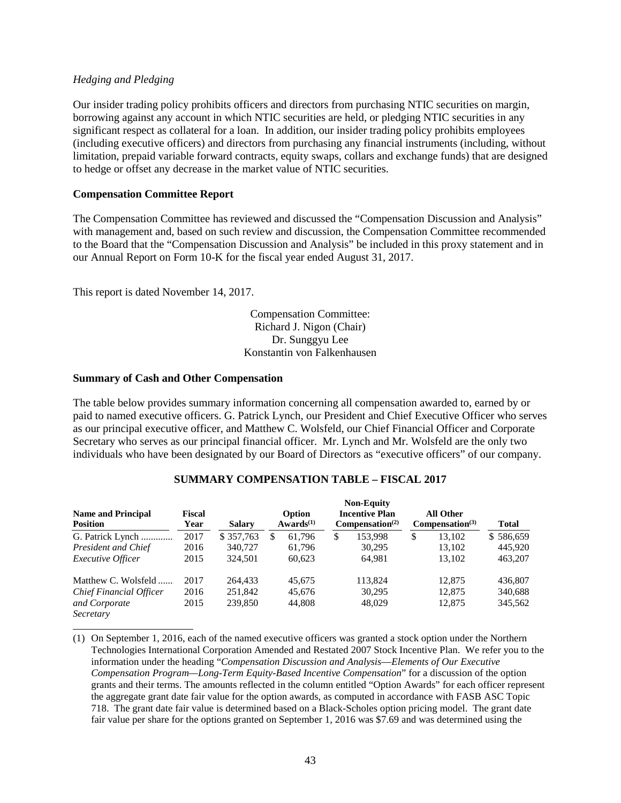#### *Hedging and Pledging*

Our insider trading policy prohibits officers and directors from purchasing NTIC securities on margin, borrowing against any account in which NTIC securities are held, or pledging NTIC securities in any significant respect as collateral for a loan. In addition, our insider trading policy prohibits employees (including executive officers) and directors from purchasing any financial instruments (including, without limitation, prepaid variable forward contracts, equity swaps, collars and exchange funds) that are designed to hedge or offset any decrease in the market value of NTIC securities.

#### <span id="page-46-0"></span>**Compensation Committee Report**

The Compensation Committee has reviewed and discussed the "Compensation Discussion and Analysis" with management and, based on such review and discussion, the Compensation Committee recommended to the Board that the "Compensation Discussion and Analysis" be included in this proxy statement and in our Annual Report on Form 10-K for the fiscal year ended August 31, 2017.

This report is dated November 14, 2017.

Compensation Committee: Richard J. Nigon (Chair) Dr. Sunggyu Lee Konstantin von Falkenhausen

#### <span id="page-46-1"></span>**Summary of Cash and Other Compensation**

The table below provides summary information concerning all compensation awarded to, earned by or paid to named executive officers. G. Patrick Lynch, our President and Chief Executive Officer who serves as our principal executive officer, and Matthew C. Wolsfeld, our Chief Financial Officer and Corporate Secretary who serves as our principal financial officer. Mr. Lynch and Mr. Wolsfeld are the only two individuals who have been designated by our Board of Directors as "executive officers" of our company.

|                                              |                |               |                          |   | <b>Non-Equity</b>                                    |                                                 |              |
|----------------------------------------------|----------------|---------------|--------------------------|---|------------------------------------------------------|-------------------------------------------------|--------------|
| <b>Name and Principal</b><br><b>Position</b> | Fiscal<br>Year | <b>Salary</b> | Option<br>$Awards^{(1)}$ |   | <b>Incentive Plan</b><br>Compensation <sup>(2)</sup> | <b>All Other</b><br>Compensation <sup>(3)</sup> | <b>Total</b> |
|                                              |                |               |                          |   |                                                      |                                                 |              |
| G. Patrick Lynch                             | 2017           | \$357,763     | \$<br>61.796             | S | 153.998                                              | \$<br>13.102                                    | \$586,659    |
| <b>President and Chief</b>                   | 2016           | 340,727       | 61.796                   |   | 30.295                                               | 13,102                                          | 445.920      |
| <i>Executive Officer</i>                     | 2015           | 324.501       | 60,623                   |   | 64.981                                               | 13,102                                          | 463,207      |
| Matthew C. Wolsfeld                          | 2017           | 264.433       | 45.675                   |   | 113.824                                              | 12.875                                          | 436,807      |
| Chief Financial Officer                      | 2016           | 251,842       | 45.676                   |   | 30.295                                               | 12,875                                          | 340,688      |
| and Corporate                                | 2015           | 239,850       | 44.808                   |   | 48,029                                               | 12,875                                          | 345,562      |
| Secretary                                    |                |               |                          |   |                                                      |                                                 |              |

### **SUMMARY COMPENSATION TABLE – FISCAL 2017**

(1) On September 1, 2016, each of the named executive officers was granted a stock option under the Northern Technologies International Corporation Amended and Restated 2007 Stock Incentive Plan. We refer you to the information under the heading "*Compensation Discussion and Analysis*—*Elements of Our Executive Compensation Program—Long-Term Equity-Based Incentive Compensation*" for a discussion of the option grants and their terms. The amounts reflected in the column entitled "Option Awards" for each officer represent the aggregate grant date fair value for the option awards, as computed in accordance with FASB ASC Topic 718. The grant date fair value is determined based on a Black-Scholes option pricing model. The grant date fair value per share for the options granted on September 1, 2016 was \$7.69 and was determined using the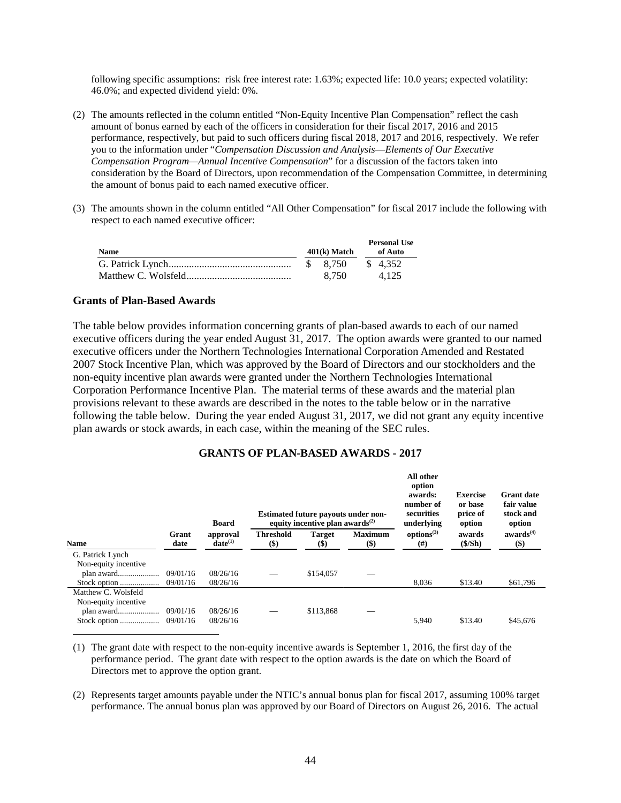following specific assumptions: risk free interest rate: 1.63%; expected life: 10.0 years; expected volatility: 46.0%; and expected dividend yield: 0%.

- (2) The amounts reflected in the column entitled "Non-Equity Incentive Plan Compensation" reflect the cash amount of bonus earned by each of the officers in consideration for their fiscal 2017, 2016 and 2015 performance, respectively, but paid to such officers during fiscal 2018, 2017 and 2016, respectively. We refer you to the information under "*Compensation Discussion and Analysis*—*Elements of Our Executive Compensation Program—Annual Incentive Compensation*" for a discussion of the factors taken into consideration by the Board of Directors, upon recommendation of the Compensation Committee, in determining the amount of bonus paid to each named executive officer.
- (3) The amounts shown in the column entitled "All Other Compensation" for fiscal 2017 include the following with respect to each named executive officer:

| <b>Name</b> | $401(k)$ Match | <b>Personal Use</b><br>of Auto |
|-------------|----------------|--------------------------------|
|             | \$ 8.750       | \$ 4.352                       |
|             | 8.750          | 4.125                          |

#### <span id="page-47-0"></span>**Grants of Plan-Based Awards**

The table below provides information concerning grants of plan-based awards to each of our named executive officers during the year ended August 31, 2017. The option awards were granted to our named executive officers under the Northern Technologies International Corporation Amended and Restated 2007 Stock Incentive Plan, which was approved by the Board of Directors and our stockholders and the non-equity incentive plan awards were granted under the Northern Technologies International Corporation Performance Incentive Plan. The material terms of these awards and the material plan provisions relevant to these awards are described in the notes to the table below or in the narrative following the table below. During the year ended August 31, 2017, we did not grant any equity incentive plan awards or stock awards, in each case, within the meaning of the SEC rules.

#### **GRANTS OF PLAN-BASED AWARDS - 2017**

|                      |               | <b>Board</b>             |                           | <b>Estimated future payouts under non-</b><br>equity incentive plan awards $^{(2)}$ |                         | All other<br>option<br>awards:<br>number of<br>securities<br>underlying | <b>Exercise</b><br>or base<br>price of<br>option | <b>Grant date</b><br>fair value<br>stock and<br>option |
|----------------------|---------------|--------------------------|---------------------------|-------------------------------------------------------------------------------------|-------------------------|-------------------------------------------------------------------------|--------------------------------------------------|--------------------------------------------------------|
| <b>Name</b>          | Grant<br>date | approval<br>$date^{(1)}$ | <b>Threshold</b><br>$($)$ | <b>Target</b><br>$($)$                                                              | <b>Maximum</b><br>$($)$ | options <sup>(3)</sup><br>(# )                                          | awards<br>(S/Sh)                                 | awards <sup>(4)</sup><br>$($)$                         |
| G. Patrick Lynch     |               |                          |                           |                                                                                     |                         |                                                                         |                                                  |                                                        |
| Non-equity incentive |               |                          |                           |                                                                                     |                         |                                                                         |                                                  |                                                        |
| plan award           | 09/01/16      | 08/26/16                 |                           | \$154,057                                                                           |                         |                                                                         |                                                  |                                                        |
| Stock option         | 09/01/16      | 08/26/16                 |                           |                                                                                     |                         | 8.036                                                                   | \$13.40                                          | \$61,796                                               |
| Matthew C. Wolsfeld  |               |                          |                           |                                                                                     |                         |                                                                         |                                                  |                                                        |
| Non-equity incentive |               |                          |                           |                                                                                     |                         |                                                                         |                                                  |                                                        |
| plan award           | 09/01/16      | 08/26/16                 |                           | \$113,868                                                                           |                         |                                                                         |                                                  |                                                        |
|                      |               | 08/26/16                 |                           |                                                                                     |                         | 5.940                                                                   | \$13.40                                          | \$45,676                                               |

(1) The grant date with respect to the non-equity incentive awards is September 1, 2016, the first day of the performance period. The grant date with respect to the option awards is the date on which the Board of Directors met to approve the option grant.

(2) Represents target amounts payable under the NTIC's annual bonus plan for fiscal 2017, assuming 100% target performance. The annual bonus plan was approved by our Board of Directors on August 26, 2016. The actual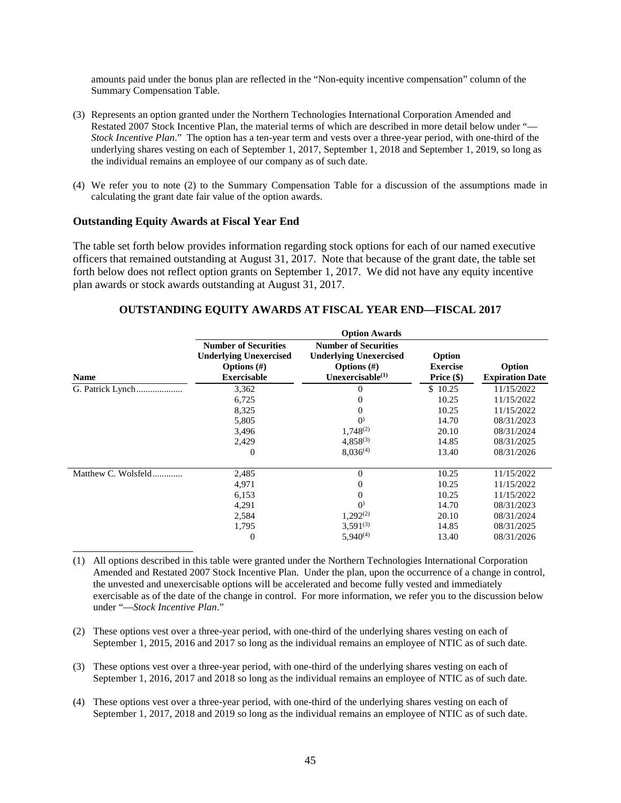amounts paid under the bonus plan are reflected in the "Non-equity incentive compensation" column of the Summary Compensation Table.

- (3) Represents an option granted under the Northern Technologies International Corporation Amended and Restated 2007 Stock Incentive Plan, the material terms of which are described in more detail below under "-*Stock Incentive Plan*." The option has a ten-year term and vests over a three-year period, with one-third of the underlying shares vesting on each of September 1, 2017, September 1, 2018 and September 1, 2019, so long as the individual remains an employee of our company as of such date.
- (4) We refer you to note (2) to the Summary Compensation Table for a discussion of the assumptions made in calculating the grant date fair value of the option awards.

#### <span id="page-48-0"></span>**Outstanding Equity Awards at Fiscal Year End**

The table set forth below provides information regarding stock options for each of our named executive officers that remained outstanding at August 31, 2017. Note that because of the grant date, the table set forth below does not reflect option grants on September 1, 2017. We did not have any equity incentive plan awards or stock awards outstanding at August 31, 2017.

|                     | <b>Option Awards</b>                                                                                 |                                                                                                          |                                         |                                  |  |  |  |  |
|---------------------|------------------------------------------------------------------------------------------------------|----------------------------------------------------------------------------------------------------------|-----------------------------------------|----------------------------------|--|--|--|--|
| <b>Name</b>         | <b>Number of Securities</b><br><b>Underlying Unexercised</b><br>Options $(\#)$<br><b>Exercisable</b> | <b>Number of Securities</b><br><b>Underlying Unexercised</b><br>Options $(\#)$<br>Unexercisable $^{(1)}$ | Option<br><b>Exercise</b><br>Price (\$) | Option<br><b>Expiration Date</b> |  |  |  |  |
|                     | 3,362                                                                                                | 0                                                                                                        | \$10.25                                 | 11/15/2022                       |  |  |  |  |
|                     | 6,725                                                                                                | 0                                                                                                        | 10.25                                   | 11/15/2022                       |  |  |  |  |
|                     | 8,325                                                                                                | $^{(1)}$                                                                                                 | 10.25                                   | 11/15/2022                       |  |  |  |  |
|                     | 5,805                                                                                                | $\Omega$                                                                                                 | 14.70                                   | 08/31/2023                       |  |  |  |  |
|                     | 3,496                                                                                                | $1,748^{(2)}$                                                                                            | 20.10                                   | 08/31/2024                       |  |  |  |  |
|                     | 2,429                                                                                                | $4,858^{(3)}$                                                                                            | 14.85                                   | 08/31/2025                       |  |  |  |  |
|                     | $\theta$                                                                                             | $8,036^{(4)}$                                                                                            | 13.40                                   | 08/31/2026                       |  |  |  |  |
| Matthew C. Wolsfeld | 2,485                                                                                                | $\theta$                                                                                                 | 10.25                                   | 11/15/2022                       |  |  |  |  |
|                     | 4,971                                                                                                | $^{()}$                                                                                                  | 10.25                                   | 11/15/2022                       |  |  |  |  |
|                     | 6,153                                                                                                | $^{()}$                                                                                                  | 10.25                                   | 11/15/2022                       |  |  |  |  |
|                     | 4,291                                                                                                | $\Omega$                                                                                                 | 14.70                                   | 08/31/2023                       |  |  |  |  |
|                     | 2,584                                                                                                | $1,292^{(2)}$                                                                                            | 20.10                                   | 08/31/2024                       |  |  |  |  |
|                     | 1,795                                                                                                | $3.591^{(3)}$                                                                                            | 14.85                                   | 08/31/2025                       |  |  |  |  |
|                     | $\theta$                                                                                             | $5,940^{(4)}$                                                                                            | 13.40                                   | 08/31/2026                       |  |  |  |  |

# **OUTSTANDING EQUITY AWARDS AT FISCAL YEAR END—FISCAL 2017**

(1) All options described in this table were granted under the Northern Technologies International Corporation Amended and Restated 2007 Stock Incentive Plan. Under the plan, upon the occurrence of a change in control, the unvested and unexercisable options will be accelerated and become fully vested and immediately exercisable as of the date of the change in control. For more information, we refer you to the discussion below under "—*Stock Incentive Plan*."

- (2) These options vest over a three-year period, with one-third of the underlying shares vesting on each of September 1, 2015, 2016 and 2017 so long as the individual remains an employee of NTIC as of such date.
- (3) These options vest over a three-year period, with one-third of the underlying shares vesting on each of September 1, 2016, 2017 and 2018 so long as the individual remains an employee of NTIC as of such date.
- (4) These options vest over a three-year period, with one-third of the underlying shares vesting on each of September 1, 2017, 2018 and 2019 so long as the individual remains an employee of NTIC as of such date.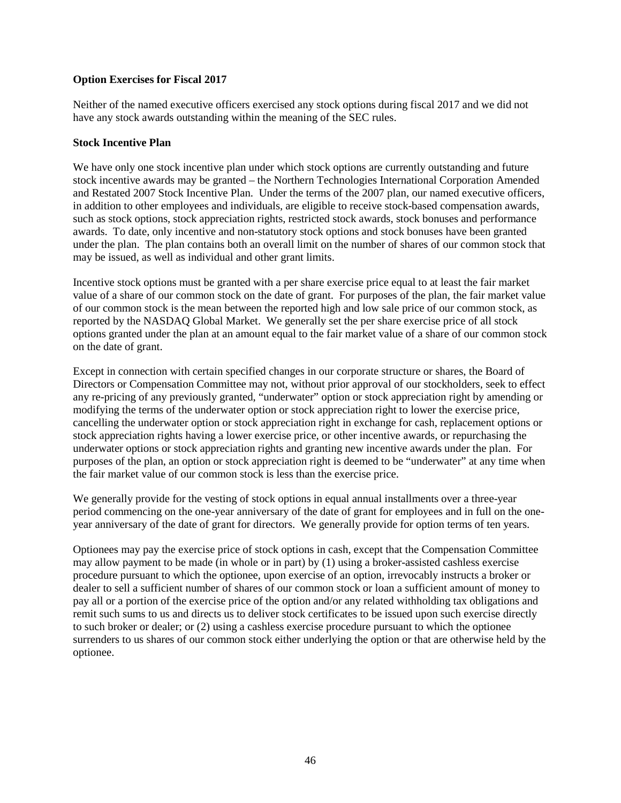## <span id="page-49-0"></span>**Option Exercises for Fiscal 2017**

Neither of the named executive officers exercised any stock options during fiscal 2017 and we did not have any stock awards outstanding within the meaning of the SEC rules.

### <span id="page-49-1"></span>**Stock Incentive Plan**

We have only one stock incentive plan under which stock options are currently outstanding and future stock incentive awards may be granted – the Northern Technologies International Corporation Amended and Restated 2007 Stock Incentive Plan. Under the terms of the 2007 plan, our named executive officers, in addition to other employees and individuals, are eligible to receive stock-based compensation awards, such as stock options, stock appreciation rights, restricted stock awards, stock bonuses and performance awards. To date, only incentive and non-statutory stock options and stock bonuses have been granted under the plan. The plan contains both an overall limit on the number of shares of our common stock that may be issued, as well as individual and other grant limits.

Incentive stock options must be granted with a per share exercise price equal to at least the fair market value of a share of our common stock on the date of grant. For purposes of the plan, the fair market value of our common stock is the mean between the reported high and low sale price of our common stock, as reported by the NASDAQ Global Market. We generally set the per share exercise price of all stock options granted under the plan at an amount equal to the fair market value of a share of our common stock on the date of grant.

Except in connection with certain specified changes in our corporate structure or shares, the Board of Directors or Compensation Committee may not, without prior approval of our stockholders, seek to effect any re-pricing of any previously granted, "underwater" option or stock appreciation right by amending or modifying the terms of the underwater option or stock appreciation right to lower the exercise price, cancelling the underwater option or stock appreciation right in exchange for cash, replacement options or stock appreciation rights having a lower exercise price, or other incentive awards, or repurchasing the underwater options or stock appreciation rights and granting new incentive awards under the plan. For purposes of the plan, an option or stock appreciation right is deemed to be "underwater" at any time when the fair market value of our common stock is less than the exercise price.

We generally provide for the vesting of stock options in equal annual installments over a three-year period commencing on the one-year anniversary of the date of grant for employees and in full on the oneyear anniversary of the date of grant for directors. We generally provide for option terms of ten years.

Optionees may pay the exercise price of stock options in cash, except that the Compensation Committee may allow payment to be made (in whole or in part) by (1) using a broker-assisted cashless exercise procedure pursuant to which the optionee, upon exercise of an option, irrevocably instructs a broker or dealer to sell a sufficient number of shares of our common stock or loan a sufficient amount of money to pay all or a portion of the exercise price of the option and/or any related withholding tax obligations and remit such sums to us and directs us to deliver stock certificates to be issued upon such exercise directly to such broker or dealer; or (2) using a cashless exercise procedure pursuant to which the optionee surrenders to us shares of our common stock either underlying the option or that are otherwise held by the optionee.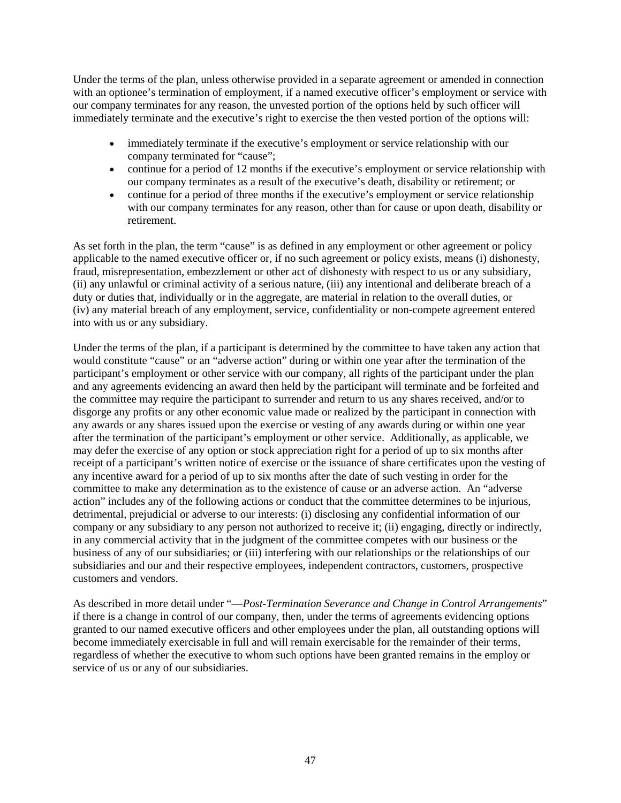Under the terms of the plan, unless otherwise provided in a separate agreement or amended in connection with an optionee's termination of employment, if a named executive officer's employment or service with our company terminates for any reason, the unvested portion of the options held by such officer will immediately terminate and the executive's right to exercise the then vested portion of the options will:

- immediately terminate if the executive's employment or service relationship with our company terminated for "cause";
- continue for a period of 12 months if the executive's employment or service relationship with our company terminates as a result of the executive's death, disability or retirement; or
- continue for a period of three months if the executive's employment or service relationship with our company terminates for any reason, other than for cause or upon death, disability or retirement.

As set forth in the plan, the term "cause" is as defined in any employment or other agreement or policy applicable to the named executive officer or, if no such agreement or policy exists, means (i) dishonesty, fraud, misrepresentation, embezzlement or other act of dishonesty with respect to us or any subsidiary, (ii) any unlawful or criminal activity of a serious nature, (iii) any intentional and deliberate breach of a duty or duties that, individually or in the aggregate, are material in relation to the overall duties, or (iv) any material breach of any employment, service, confidentiality or non-compete agreement entered into with us or any subsidiary.

Under the terms of the plan, if a participant is determined by the committee to have taken any action that would constitute "cause" or an "adverse action" during or within one year after the termination of the participant's employment or other service with our company, all rights of the participant under the plan and any agreements evidencing an award then held by the participant will terminate and be forfeited and the committee may require the participant to surrender and return to us any shares received, and/or to disgorge any profits or any other economic value made or realized by the participant in connection with any awards or any shares issued upon the exercise or vesting of any awards during or within one year after the termination of the participant's employment or other service. Additionally, as applicable, we may defer the exercise of any option or stock appreciation right for a period of up to six months after receipt of a participant's written notice of exercise or the issuance of share certificates upon the vesting of any incentive award for a period of up to six months after the date of such vesting in order for the committee to make any determination as to the existence of cause or an adverse action. An "adverse action" includes any of the following actions or conduct that the committee determines to be injurious, detrimental, prejudicial or adverse to our interests: (i) disclosing any confidential information of our company or any subsidiary to any person not authorized to receive it; (ii) engaging, directly or indirectly, in any commercial activity that in the judgment of the committee competes with our business or the business of any of our subsidiaries; or (iii) interfering with our relationships or the relationships of our subsidiaries and our and their respective employees, independent contractors, customers, prospective customers and vendors.

As described in more detail under "—*Post-Termination Severance and Change in Control Arrangements*" if there is a change in control of our company, then, under the terms of agreements evidencing options granted to our named executive officers and other employees under the plan, all outstanding options will become immediately exercisable in full and will remain exercisable for the remainder of their terms, regardless of whether the executive to whom such options have been granted remains in the employ or service of us or any of our subsidiaries.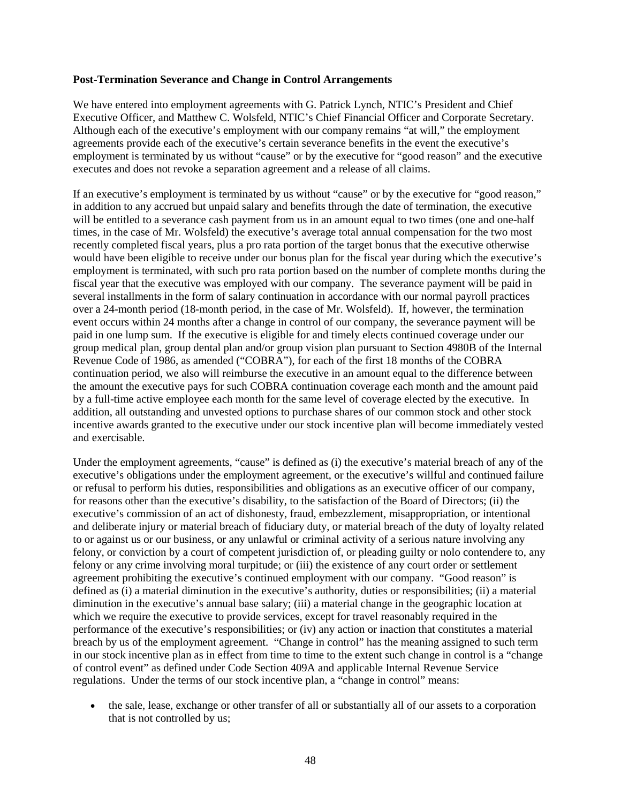#### <span id="page-51-0"></span>**Post-Termination Severance and Change in Control Arrangements**

We have entered into employment agreements with G. Patrick Lynch, NTIC's President and Chief Executive Officer, and Matthew C. Wolsfeld, NTIC's Chief Financial Officer and Corporate Secretary. Although each of the executive's employment with our company remains "at will," the employment agreements provide each of the executive's certain severance benefits in the event the executive's employment is terminated by us without "cause" or by the executive for "good reason" and the executive executes and does not revoke a separation agreement and a release of all claims.

If an executive's employment is terminated by us without "cause" or by the executive for "good reason," in addition to any accrued but unpaid salary and benefits through the date of termination, the executive will be entitled to a severance cash payment from us in an amount equal to two times (one and one-half times, in the case of Mr. Wolsfeld) the executive's average total annual compensation for the two most recently completed fiscal years, plus a pro rata portion of the target bonus that the executive otherwise would have been eligible to receive under our bonus plan for the fiscal year during which the executive's employment is terminated, with such pro rata portion based on the number of complete months during the fiscal year that the executive was employed with our company. The severance payment will be paid in several installments in the form of salary continuation in accordance with our normal payroll practices over a 24-month period (18-month period, in the case of Mr. Wolsfeld). If, however, the termination event occurs within 24 months after a change in control of our company, the severance payment will be paid in one lump sum. If the executive is eligible for and timely elects continued coverage under our group medical plan, group dental plan and/or group vision plan pursuant to Section 4980B of the Internal Revenue Code of 1986, as amended ("COBRA"), for each of the first 18 months of the COBRA continuation period, we also will reimburse the executive in an amount equal to the difference between the amount the executive pays for such COBRA continuation coverage each month and the amount paid by a full-time active employee each month for the same level of coverage elected by the executive. In addition, all outstanding and unvested options to purchase shares of our common stock and other stock incentive awards granted to the executive under our stock incentive plan will become immediately vested and exercisable.

Under the employment agreements, "cause" is defined as (i) the executive's material breach of any of the executive's obligations under the employment agreement, or the executive's willful and continued failure or refusal to perform his duties, responsibilities and obligations as an executive officer of our company, for reasons other than the executive's disability, to the satisfaction of the Board of Directors; (ii) the executive's commission of an act of dishonesty, fraud, embezzlement, misappropriation, or intentional and deliberate injury or material breach of fiduciary duty, or material breach of the duty of loyalty related to or against us or our business, or any unlawful or criminal activity of a serious nature involving any felony, or conviction by a court of competent jurisdiction of, or pleading guilty or nolo contendere to, any felony or any crime involving moral turpitude; or (iii) the existence of any court order or settlement agreement prohibiting the executive's continued employment with our company. "Good reason" is defined as (i) a material diminution in the executive's authority, duties or responsibilities; (ii) a material diminution in the executive's annual base salary; (iii) a material change in the geographic location at which we require the executive to provide services, except for travel reasonably required in the performance of the executive's responsibilities; or (iv) any action or inaction that constitutes a material breach by us of the employment agreement. "Change in control" has the meaning assigned to such term in our stock incentive plan as in effect from time to time to the extent such change in control is a "change of control event" as defined under Code Section 409A and applicable Internal Revenue Service regulations. Under the terms of our stock incentive plan, a "change in control" means:

• the sale, lease, exchange or other transfer of all or substantially all of our assets to a corporation that is not controlled by us;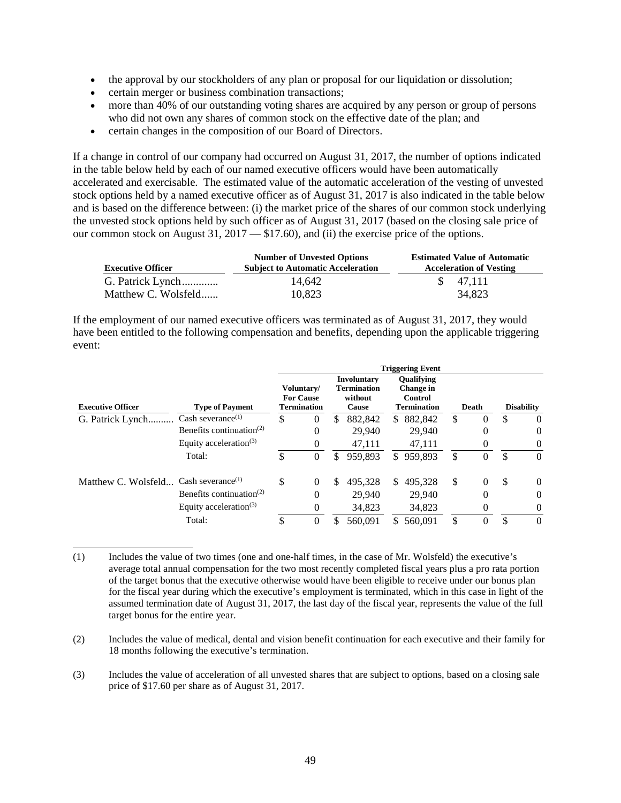- the approval by our stockholders of any plan or proposal for our liquidation or dissolution;
- certain merger or business combination transactions;
- more than 40% of our outstanding voting shares are acquired by any person or group of persons who did not own any shares of common stock on the effective date of the plan; and
- certain changes in the composition of our Board of Directors.

If a change in control of our company had occurred on August 31, 2017, the number of options indicated in the table below held by each of our named executive officers would have been automatically accelerated and exercisable. The estimated value of the automatic acceleration of the vesting of unvested stock options held by a named executive officer as of August 31, 2017 is also indicated in the table below and is based on the difference between: (i) the market price of the shares of our common stock underlying the unvested stock options held by such officer as of August 31, 2017 (based on the closing sale price of our common stock on August 31, 2017 — \$17.60), and (ii) the exercise price of the options.

| <b>Executive Officer</b> | <b>Number of Unvested Options</b><br><b>Subject to Automatic Acceleration</b> | <b>Estimated Value of Automatic</b><br><b>Acceleration of Vesting</b> |  |  |  |  |
|--------------------------|-------------------------------------------------------------------------------|-----------------------------------------------------------------------|--|--|--|--|
| G. Patrick Lynch         | 14.642                                                                        | \$ 47.111                                                             |  |  |  |  |
| Matthew C. Wolsfeld      | 10.823                                                                        | 34,823                                                                |  |  |  |  |

If the employment of our named executive officers was terminated as of August 31, 2017, they would have been entitled to the following compensation and benefits, depending upon the applicable triggering event:

|                                                    |                                                   | Triggering Event                                     |              |                                                              |         |                                                                        |         |       |          |                   |          |
|----------------------------------------------------|---------------------------------------------------|------------------------------------------------------|--------------|--------------------------------------------------------------|---------|------------------------------------------------------------------------|---------|-------|----------|-------------------|----------|
| <b>Executive Officer</b><br><b>Type of Payment</b> |                                                   | Voluntary/<br><b>For Cause</b><br><b>Termination</b> |              | <b>Involuntary</b><br><b>Termination</b><br>without<br>Cause |         | <b>Oualifying</b><br><b>Change</b> in<br>Control<br><b>Termination</b> |         | Death |          | <b>Disability</b> |          |
| G. Patrick Lynch                                   | Cash severance <sup><math>(1)</math></sup>        | \$                                                   | $\mathbf{0}$ | S                                                            | 882.842 | S.                                                                     | 882,842 | \$    |          | \$                | $\Omega$ |
|                                                    | Benefits continuation <sup><math>(2)</math></sup> |                                                      | 0            |                                                              | 29,940  |                                                                        | 29,940  |       | 0        |                   | $\Omega$ |
|                                                    | Equity acceleration <sup>(3)</sup>                |                                                      | $\theta$     |                                                              | 47,111  |                                                                        | 47,111  |       | $\Omega$ |                   | $\Omega$ |
|                                                    | Total:                                            | \$                                                   | $\Omega$     | S                                                            | 959,893 | S.                                                                     | 959,893 | S     | $\Omega$ | \$                | $\Omega$ |
| Matthew C. Wolsfeld Cash severance <sup>(1)</sup>  |                                                   | \$                                                   | $\theta$     | \$                                                           | 495.328 | S.                                                                     | 495.328 | \$    | $\Omega$ | \$                | $\theta$ |
|                                                    | Benefits continuation <sup><math>(2)</math></sup> |                                                      | 0            |                                                              | 29.940  |                                                                        | 29,940  |       | 0        |                   | $\Omega$ |
|                                                    | Equity acceleration <sup>(3)</sup>                |                                                      | 0            |                                                              | 34,823  |                                                                        | 34,823  |       | 0        |                   | 0        |
|                                                    | Total:                                            | \$.                                                  | 0            | S                                                            | 560,091 |                                                                        | 560,091 | \$    |          | \$                | $\Omega$ |

<sup>(1)</sup> Includes the value of two times (one and one-half times, in the case of Mr. Wolsfeld) the executive's average total annual compensation for the two most recently completed fiscal years plus a pro rata portion of the target bonus that the executive otherwise would have been eligible to receive under our bonus plan for the fiscal year during which the executive's employment is terminated, which in this case in light of the assumed termination date of August 31, 2017, the last day of the fiscal year, represents the value of the full target bonus for the entire year.

- (2) Includes the value of medical, dental and vision benefit continuation for each executive and their family for 18 months following the executive's termination.
- (3) Includes the value of acceleration of all unvested shares that are subject to options, based on a closing sale price of \$17.60 per share as of August 31, 2017.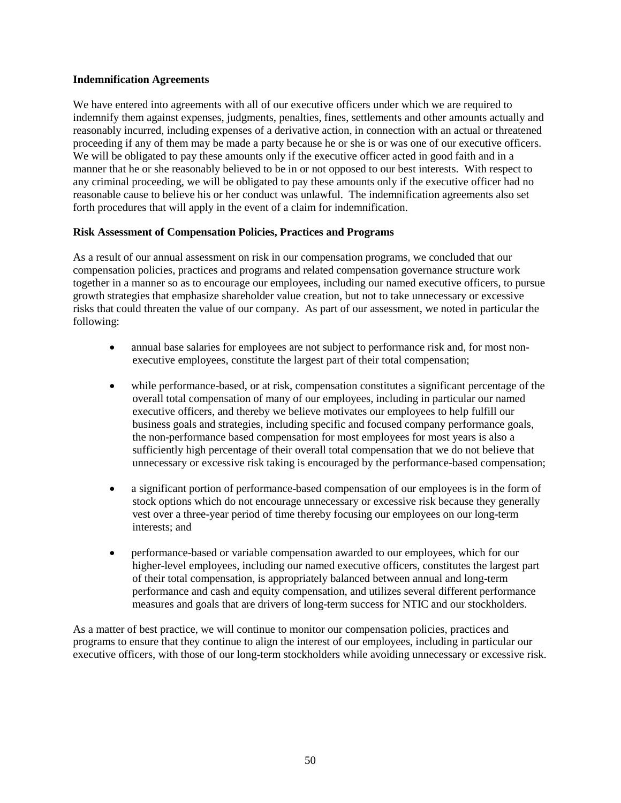### <span id="page-53-0"></span>**Indemnification Agreements**

We have entered into agreements with all of our executive officers under which we are required to indemnify them against expenses, judgments, penalties, fines, settlements and other amounts actually and reasonably incurred, including expenses of a derivative action, in connection with an actual or threatened proceeding if any of them may be made a party because he or she is or was one of our executive officers. We will be obligated to pay these amounts only if the executive officer acted in good faith and in a manner that he or she reasonably believed to be in or not opposed to our best interests. With respect to any criminal proceeding, we will be obligated to pay these amounts only if the executive officer had no reasonable cause to believe his or her conduct was unlawful. The indemnification agreements also set forth procedures that will apply in the event of a claim for indemnification.

### <span id="page-53-1"></span>**Risk Assessment of Compensation Policies, Practices and Programs**

As a result of our annual assessment on risk in our compensation programs, we concluded that our compensation policies, practices and programs and related compensation governance structure work together in a manner so as to encourage our employees, including our named executive officers, to pursue growth strategies that emphasize shareholder value creation, but not to take unnecessary or excessive risks that could threaten the value of our company. As part of our assessment, we noted in particular the following:

- annual base salaries for employees are not subject to performance risk and, for most nonexecutive employees, constitute the largest part of their total compensation;
- while performance-based, or at risk, compensation constitutes a significant percentage of the overall total compensation of many of our employees, including in particular our named executive officers, and thereby we believe motivates our employees to help fulfill our business goals and strategies, including specific and focused company performance goals, the non-performance based compensation for most employees for most years is also a sufficiently high percentage of their overall total compensation that we do not believe that unnecessary or excessive risk taking is encouraged by the performance-based compensation;
- a significant portion of performance-based compensation of our employees is in the form of stock options which do not encourage unnecessary or excessive risk because they generally vest over a three-year period of time thereby focusing our employees on our long-term interests; and
- performance-based or variable compensation awarded to our employees, which for our higher-level employees, including our named executive officers, constitutes the largest part of their total compensation, is appropriately balanced between annual and long-term performance and cash and equity compensation, and utilizes several different performance measures and goals that are drivers of long-term success for NTIC and our stockholders.

As a matter of best practice, we will continue to monitor our compensation policies, practices and programs to ensure that they continue to align the interest of our employees, including in particular our executive officers, with those of our long-term stockholders while avoiding unnecessary or excessive risk.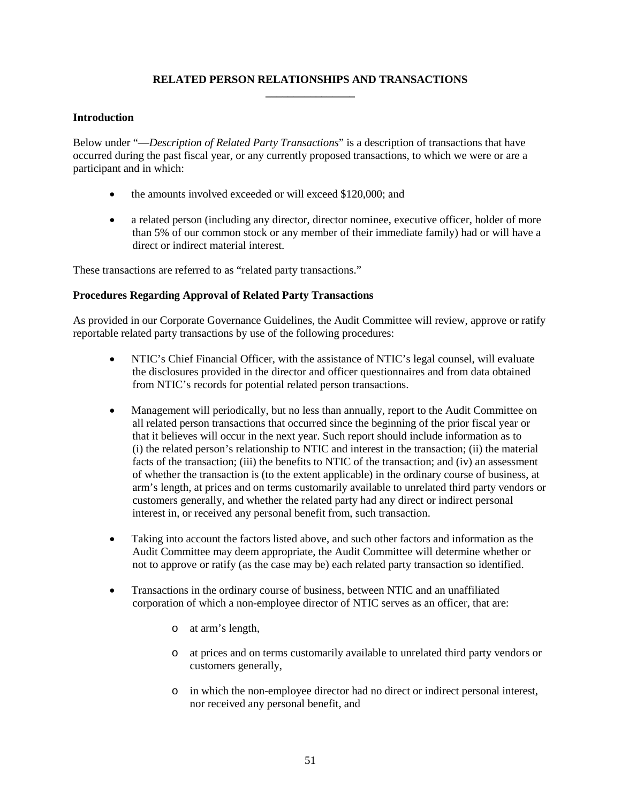# **RELATED PERSON RELATIONSHIPS AND TRANSACTIONS \_\_\_\_\_\_\_\_\_\_\_\_\_\_\_\_**

### <span id="page-54-1"></span><span id="page-54-0"></span>**Introduction**

Below under "—*Description of Related Party Transactions*" is a description of transactions that have occurred during the past fiscal year, or any currently proposed transactions, to which we were or are a participant and in which:

- the amounts involved exceeded or will exceed \$120,000; and
- a related person (including any director, director nominee, executive officer, holder of more than 5% of our common stock or any member of their immediate family) had or will have a direct or indirect material interest.

These transactions are referred to as "related party transactions."

### <span id="page-54-2"></span>**Procedures Regarding Approval of Related Party Transactions**

As provided in our Corporate Governance Guidelines, the Audit Committee will review, approve or ratify reportable related party transactions by use of the following procedures:

- NTIC's Chief Financial Officer, with the assistance of NTIC's legal counsel, will evaluate the disclosures provided in the director and officer questionnaires and from data obtained from NTIC's records for potential related person transactions.
- Management will periodically, but no less than annually, report to the Audit Committee on all related person transactions that occurred since the beginning of the prior fiscal year or that it believes will occur in the next year. Such report should include information as to (i) the related person's relationship to NTIC and interest in the transaction; (ii) the material facts of the transaction; (iii) the benefits to NTIC of the transaction; and (iv) an assessment of whether the transaction is (to the extent applicable) in the ordinary course of business, at arm's length, at prices and on terms customarily available to unrelated third party vendors or customers generally, and whether the related party had any direct or indirect personal interest in, or received any personal benefit from, such transaction.
- Taking into account the factors listed above, and such other factors and information as the Audit Committee may deem appropriate, the Audit Committee will determine whether or not to approve or ratify (as the case may be) each related party transaction so identified.
- Transactions in the ordinary course of business, between NTIC and an unaffiliated corporation of which a non-employee director of NTIC serves as an officer, that are:
	- o at arm's length,
	- o at prices and on terms customarily available to unrelated third party vendors or customers generally,
	- o in which the non-employee director had no direct or indirect personal interest, nor received any personal benefit, and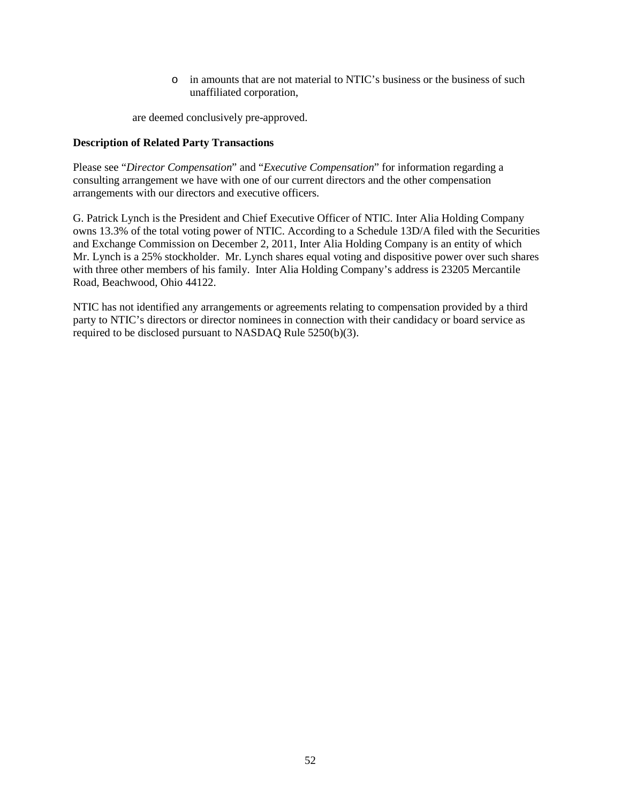o in amounts that are not material to NTIC's business or the business of such unaffiliated corporation,

are deemed conclusively pre-approved.

### <span id="page-55-0"></span>**Description of Related Party Transactions**

Please see "*Director Compensation*" and "*Executive Compensation*" for information regarding a consulting arrangement we have with one of our current directors and the other compensation arrangements with our directors and executive officers.

G. Patrick Lynch is the President and Chief Executive Officer of NTIC. Inter Alia Holding Company owns 13.3% of the total voting power of NTIC. According to a Schedule 13D/A filed with the Securities and Exchange Commission on December 2, 2011, Inter Alia Holding Company is an entity of which Mr. Lynch is a 25% stockholder. Mr. Lynch shares equal voting and dispositive power over such shares with three other members of his family. Inter Alia Holding Company's address is 23205 Mercantile Road, Beachwood, Ohio 44122.

NTIC has not identified any arrangements or agreements relating to compensation provided by a third party to NTIC's directors or director nominees in connection with their candidacy or board service as required to be disclosed pursuant to NASDAQ Rule 5250(b)(3).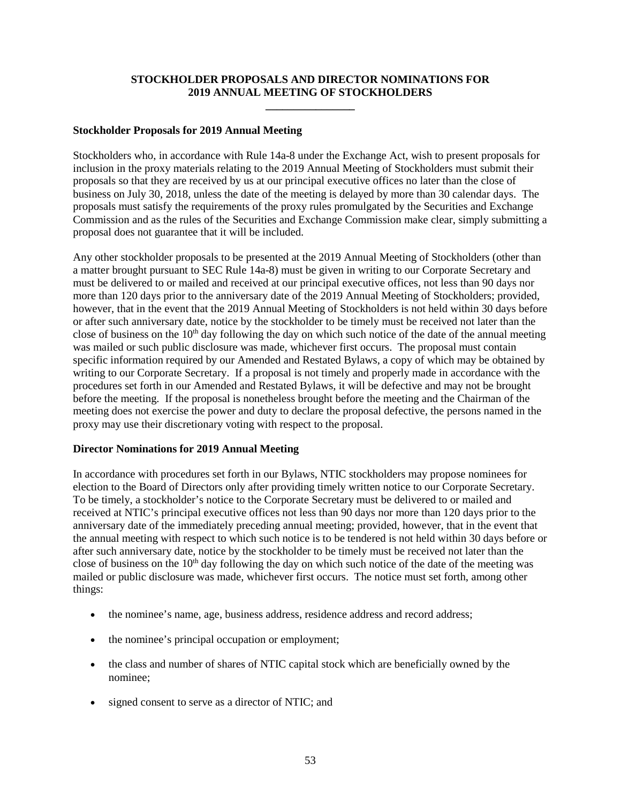# **STOCKHOLDER PROPOSALS AND DIRECTOR NOMINATIONS FOR 2019 ANNUAL MEETING OF STOCKHOLDERS \_\_\_\_\_\_\_\_\_\_\_\_\_\_\_\_**

### <span id="page-56-1"></span><span id="page-56-0"></span>**Stockholder Proposals for 2019 Annual Meeting**

Stockholders who, in accordance with Rule 14a-8 under the Exchange Act, wish to present proposals for inclusion in the proxy materials relating to the 2019 Annual Meeting of Stockholders must submit their proposals so that they are received by us at our principal executive offices no later than the close of business on July 30, 2018, unless the date of the meeting is delayed by more than 30 calendar days. The proposals must satisfy the requirements of the proxy rules promulgated by the Securities and Exchange Commission and as the rules of the Securities and Exchange Commission make clear, simply submitting a proposal does not guarantee that it will be included.

Any other stockholder proposals to be presented at the 2019 Annual Meeting of Stockholders (other than a matter brought pursuant to SEC Rule 14a-8) must be given in writing to our Corporate Secretary and must be delivered to or mailed and received at our principal executive offices, not less than 90 days nor more than 120 days prior to the anniversary date of the 2019 Annual Meeting of Stockholders; provided, however, that in the event that the 2019 Annual Meeting of Stockholders is not held within 30 days before or after such anniversary date, notice by the stockholder to be timely must be received not later than the close of business on the  $10<sup>th</sup>$  day following the day on which such notice of the date of the annual meeting was mailed or such public disclosure was made, whichever first occurs. The proposal must contain specific information required by our Amended and Restated Bylaws, a copy of which may be obtained by writing to our Corporate Secretary. If a proposal is not timely and properly made in accordance with the procedures set forth in our Amended and Restated Bylaws, it will be defective and may not be brought before the meeting. If the proposal is nonetheless brought before the meeting and the Chairman of the meeting does not exercise the power and duty to declare the proposal defective, the persons named in the proxy may use their discretionary voting with respect to the proposal.

### <span id="page-56-2"></span>**Director Nominations for 2019 Annual Meeting**

In accordance with procedures set forth in our Bylaws, NTIC stockholders may propose nominees for election to the Board of Directors only after providing timely written notice to our Corporate Secretary. To be timely, a stockholder's notice to the Corporate Secretary must be delivered to or mailed and received at NTIC's principal executive offices not less than 90 days nor more than 120 days prior to the anniversary date of the immediately preceding annual meeting; provided, however, that in the event that the annual meeting with respect to which such notice is to be tendered is not held within 30 days before or after such anniversary date, notice by the stockholder to be timely must be received not later than the close of business on the 10<sup>th</sup> day following the day on which such notice of the date of the meeting was mailed or public disclosure was made, whichever first occurs. The notice must set forth, among other things:

- the nominee's name, age, business address, residence address and record address;
- the nominee's principal occupation or employment;
- the class and number of shares of NTIC capital stock which are beneficially owned by the nominee;
- signed consent to serve as a director of NTIC; and